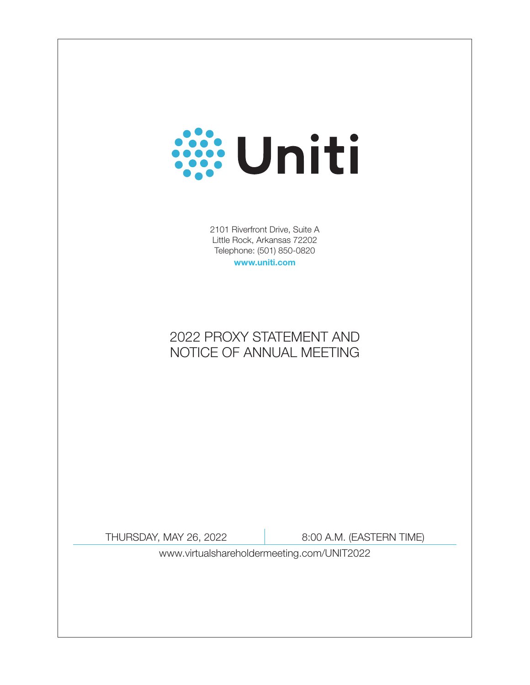# **William**

2101 Riverfront Drive, Suite A Little Rock, Arkansas 72202 Telephone: (501) 850-0820 www.uniti.com

2022 PROXY STATEMENT AND NOTICE OF ANNUAL MEETING

THURSDAY, MAY 26, 2022 8:00 A.M. (EASTERN TIME)

www.virtualshareholdermeeting.com/UNIT2022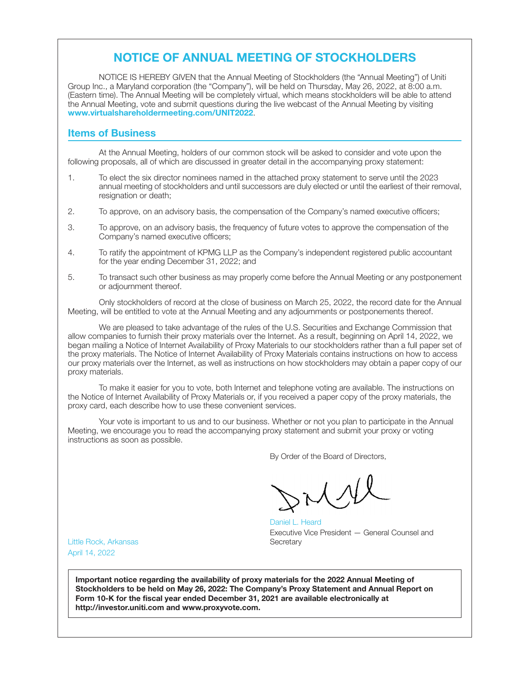# NOTICE OF ANNUAL MEETING OF STOCKHOLDERS

NOTICE IS HEREBY GIVEN that the Annual Meeting of Stockholders (the "Annual Meeting") of Uniti Group Inc., a Maryland corporation (the "Company"), will be held on Thursday, May 26, 2022, at 8:00 a.m. (Eastern time). The Annual Meeting will be completely virtual, which means stockholders will be able to attend the Annual Meeting, vote and submit questions during the live webcast of the Annual Meeting by visiting www.virtualshareholdermeeting.com/UNIT2022.

## Items of Business

At the Annual Meeting, holders of our common stock will be asked to consider and vote upon the following proposals, all of which are discussed in greater detail in the accompanying proxy statement:

- 1. To elect the six director nominees named in the attached proxy statement to serve until the 2023 annual meeting of stockholders and until successors are duly elected or until the earliest of their removal, resignation or death:
- 2. To approve, on an advisory basis, the compensation of the Company's named executive officers;
- 3. To approve, on an advisory basis, the frequency of future votes to approve the compensation of the Company's named executive officers;
- 4. To ratify the appointment of KPMG LLP as the Company's independent registered public accountant for the year ending December 31, 2022; and
- 5. To transact such other business as may properly come before the Annual Meeting or any postponement or adjournment thereof.

Only stockholders of record at the close of business on March 25, 2022, the record date for the Annual Meeting, will be entitled to vote at the Annual Meeting and any adjournments or postponements thereof.

We are pleased to take advantage of the rules of the U.S. Securities and Exchange Commission that allow companies to furnish their proxy materials over the Internet. As a result, beginning on April 14, 2022, we began mailing a Notice of Internet Availability of Proxy Materials to our stockholders rather than a full paper set of the proxy materials. The Notice of Internet Availability of Proxy Materials contains instructions on how to access our proxy materials over the Internet, as well as instructions on how stockholders may obtain a paper copy of our proxy materials.

To make it easier for you to vote, both Internet and telephone voting are available. The instructions on the Notice of Internet Availability of Proxy Materials or, if you received a paper copy of the proxy materials, the proxy card, each describe how to use these convenient services.

Your vote is important to us and to our business. Whether or not you plan to participate in the Annual Meeting, we encourage you to read the accompanying proxy statement and submit your proxy or voting instructions as soon as possible.

By Order of the Board of Directors,

Mill

Daniel L. Heard Executive Vice President — General Counsel and **Secretary** 

Little Rock, Arkansas April 14, 2022

Important notice regarding the availability of proxy materials for the 2022 Annual Meeting of Stockholders to be held on May 26, 2022: The Company's Proxy Statement and Annual Report on Form 10-K for the fiscal year ended December 31, 2021 are available electronically at http://investor.uniti.com and www.proxyvote.com.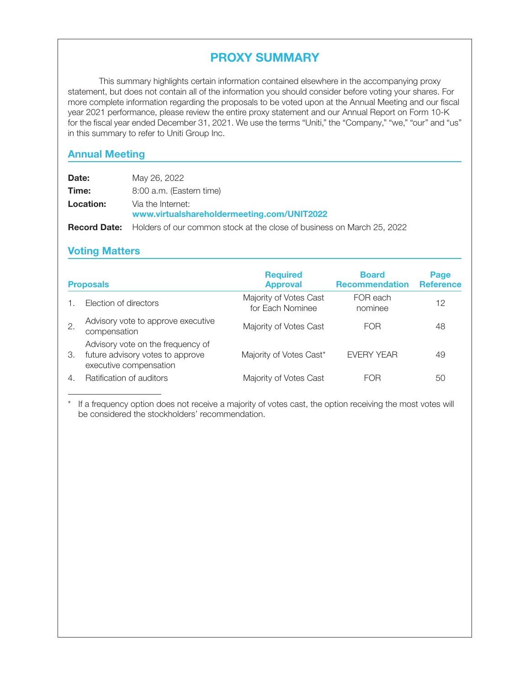# PROXY SUMMARY

This summary highlights certain information contained elsewhere in the accompanying proxy statement, but does not contain all of the information you should consider before voting your shares. For more complete information regarding the proposals to be voted upon at the Annual Meeting and our fiscal year 2021 performance, please review the entire proxy statement and our Annual Report on Form 10-K for the fiscal year ended December 31, 2021. We use the terms "Uniti," the "Company," "we," "our" and "us" in this summary to refer to Uniti Group Inc.

# Annual Meeting

| Date:            | May 26, 2022                                                                               |
|------------------|--------------------------------------------------------------------------------------------|
| Time:            | 8:00 a.m. (Eastern time)                                                                   |
| <b>Location:</b> | Via the Internet:<br>www.virtualshareholdermeeting.com/UNIT2022                            |
|                  | <b>Record Date:</b> Holders of our common stock at the close of business on March 25, 2022 |

# Voting Matters

| <b>Proposals</b>      |                                                                                                 | <b>Required</b><br><b>Approval</b>         | <b>Board</b><br><b>Recommendation</b> | Page<br><b>Reference</b> |
|-----------------------|-------------------------------------------------------------------------------------------------|--------------------------------------------|---------------------------------------|--------------------------|
|                       | Election of directors                                                                           | Majority of Votes Cast<br>for Each Nominee | FOR each<br>nominee                   | 12                       |
| 2.                    | Advisory vote to approve executive<br>compensation                                              | Majority of Votes Cast                     | <b>FOR</b>                            | 48                       |
| 3.                    | Advisory vote on the frequency of<br>future advisory votes to approve<br>executive compensation | Majority of Votes Cast*                    | <b>EVERY YEAR</b>                     | 49                       |
| $\mathcal{A}_{\cdot}$ | Ratification of auditors                                                                        | Majority of Votes Cast                     | FOR                                   | 50                       |

If a frequency option does not receive a majority of votes cast, the option receiving the most votes will be considered the stockholders' recommendation.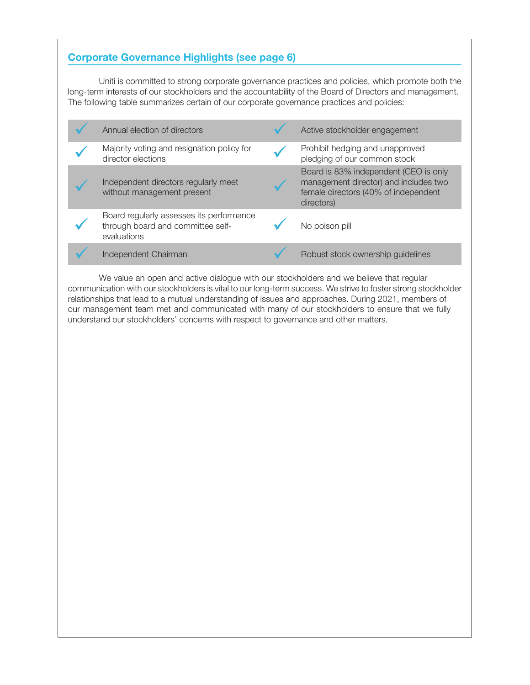# Corporate Governance Highlights (see page 6)

Uniti is committed to strong corporate governance practices and policies, which promote both the long-term interests of our stockholders and the accountability of the Board of Directors and management. The following table summarizes certain of our corporate governance practices and policies:

| Annual election of directors                                                                 | Active stockholder engagement                                                                                                        |
|----------------------------------------------------------------------------------------------|--------------------------------------------------------------------------------------------------------------------------------------|
| Majority voting and resignation policy for<br>director elections                             | Prohibit hedging and unapproved<br>pledging of our common stock                                                                      |
| Independent directors regularly meet<br>without management present                           | Board is 83% independent (CEO is only<br>management director) and includes two<br>female directors (40% of independent<br>directors) |
| Board regularly assesses its performance<br>through board and committee self-<br>evaluations | No poison pill                                                                                                                       |
| Independent Chairman                                                                         | Robust stock ownership guidelines                                                                                                    |

We value an open and active dialogue with our stockholders and we believe that regular communication with our stockholders is vital to our long-term success. We strive to foster strong stockholder relationships that lead to a mutual understanding of issues and approaches. During 2021, members of our management team met and communicated with many of our stockholders to ensure that we fully understand our stockholders' concerns with respect to governance and other matters.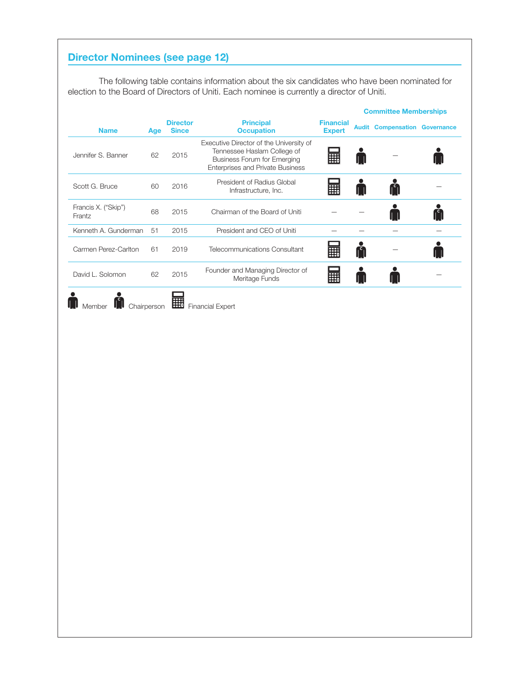# Director Nominees (see page 12)

The following table contains information about the six candidates who have been nominated for election to the Board of Directors of Uniti. Each nominee is currently a director of Uniti.

|                               |     |                                 |                                                                                                                                                  |                                   | <b>Committee Memberships</b>         |  |
|-------------------------------|-----|---------------------------------|--------------------------------------------------------------------------------------------------------------------------------------------------|-----------------------------------|--------------------------------------|--|
| <b>Name</b>                   | Age | <b>Director</b><br><b>Since</b> | <b>Principal</b><br><b>Occupation</b>                                                                                                            | <b>Financial</b><br><b>Expert</b> | <b>Audit Compensation Governance</b> |  |
| Jennifer S. Banner            | 62  | 2015                            | Executive Director of the University of<br>Tennessee Haslam College of<br>Business Forum for Emerging<br><b>Enterprises and Private Business</b> | E                                 |                                      |  |
| Scott G. Bruce                | 60  | 2016                            | President of Radius Global<br>Infrastructure, Inc.                                                                                               | E                                 |                                      |  |
| Francis X. ("Skip")<br>Frantz | 68  | 2015                            | Chairman of the Board of Uniti                                                                                                                   |                                   |                                      |  |
| Kenneth A. Gunderman          | 51  | 2015                            | President and CEO of Uniti                                                                                                                       |                                   |                                      |  |
| Carmen Perez-Carlton          | 61  | 2019                            | Telecommunications Consultant                                                                                                                    | m                                 |                                      |  |
| David L. Solomon              | 62  | 2015                            | Founder and Managing Director of<br>Meritage Funds                                                                                               | m                                 |                                      |  |
|                               |     |                                 |                                                                                                                                                  |                                   |                                      |  |

Member **M** Chairperson **Financial Expert**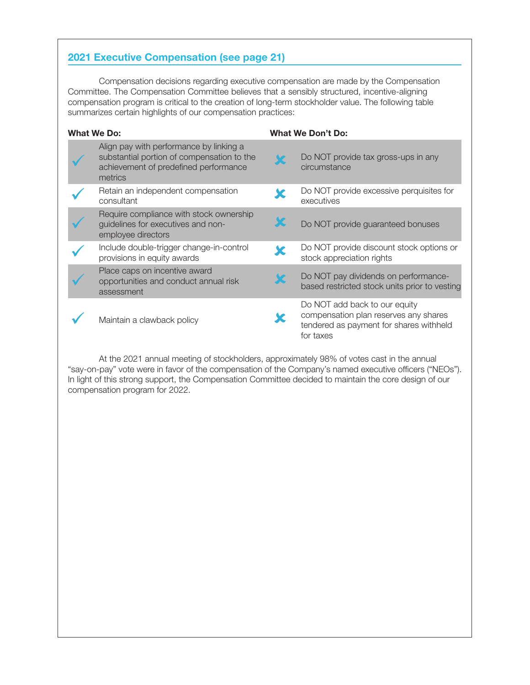# 2021 Executive Compensation (see page 21)

Compensation decisions regarding executive compensation are made by the Compensation Committee. The Compensation Committee believes that a sensibly structured, incentive-aligning compensation program is critical to the creation of long-term stockholder value. The following table summarizes certain highlights of our compensation practices:

| <b>What We Do:</b> |                                                                                                                                           | <b>What We Don't Do:</b>                                                                                                       |
|--------------------|-------------------------------------------------------------------------------------------------------------------------------------------|--------------------------------------------------------------------------------------------------------------------------------|
|                    | Align pay with performance by linking a<br>substantial portion of compensation to the<br>achievement of predefined performance<br>metrics | Do NOT provide tax gross-ups in any<br>circumstance                                                                            |
|                    | Retain an independent compensation<br>consultant                                                                                          | Do NOT provide excessive perquisites for<br>executives                                                                         |
|                    | Require compliance with stock ownership<br>guidelines for executives and non-<br>employee directors                                       | Do NOT provide guaranteed bonuses                                                                                              |
|                    | Include double-trigger change-in-control<br>provisions in equity awards                                                                   | Do NOT provide discount stock options or<br>stock appreciation rights                                                          |
|                    | Place caps on incentive award<br>opportunities and conduct annual risk<br>assessment                                                      | Do NOT pay dividends on performance-<br>based restricted stock units prior to vesting                                          |
|                    | Maintain a clawback policy                                                                                                                | Do NOT add back to our equity<br>compensation plan reserves any shares<br>tendered as payment for shares withheld<br>for taxes |

At the 2021 annual meeting of stockholders, approximately 98% of votes cast in the annual "say-on-pay" vote were in favor of the compensation of the Company's named executive officers ("NEOs"). In light of this strong support, the Compensation Committee decided to maintain the core design of our compensation program for 2022.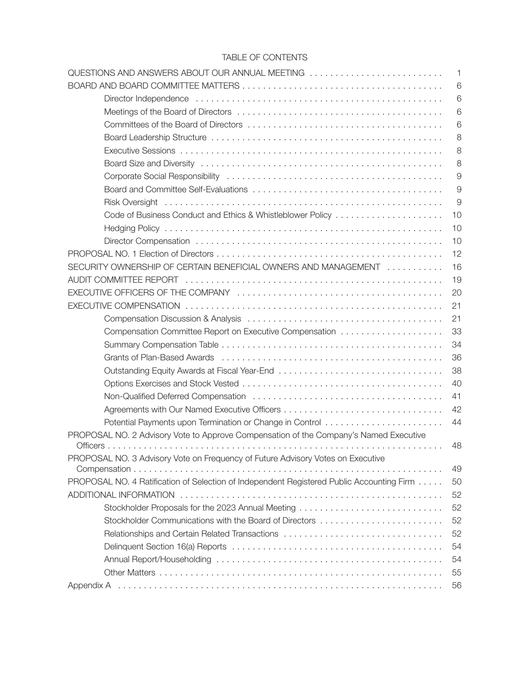# TABLE OF CONTENTS

| QUESTIONS AND ANSWERS ABOUT OUR ANNUAL MEETING                                            | $\mathbf{1}$   |
|-------------------------------------------------------------------------------------------|----------------|
|                                                                                           | 6              |
|                                                                                           | 6              |
|                                                                                           | 6              |
|                                                                                           | 6              |
|                                                                                           | 8              |
|                                                                                           | 8              |
|                                                                                           | 8              |
|                                                                                           | $\overline{9}$ |
|                                                                                           | $\overline{9}$ |
|                                                                                           | $\overline{9}$ |
|                                                                                           | 10             |
|                                                                                           | 10             |
|                                                                                           | 10             |
|                                                                                           | 12             |
| SECURITY OWNERSHIP OF CERTAIN BENEFICIAL OWNERS AND MANAGEMENT                            | 16             |
|                                                                                           | 19             |
|                                                                                           | 20             |
|                                                                                           | 21             |
|                                                                                           | 21             |
|                                                                                           | 33             |
|                                                                                           | 34             |
|                                                                                           | 36             |
|                                                                                           | 38             |
|                                                                                           | 40             |
|                                                                                           | 41             |
|                                                                                           | 42             |
|                                                                                           | 44             |
| PROPOSAL NO. 2 Advisory Vote to Approve Compensation of the Company's Named Executive     |                |
|                                                                                           | 48             |
| PROPOSAL NO. 3 Advisory Vote on Frequency of Future Advisory Votes on Executive           |                |
| Compensation                                                                              | 49             |
| PROPOSAL NO. 4 Ratification of Selection of Independent Registered Public Accounting Firm | 50             |
|                                                                                           | 52             |
| Stockholder Proposals for the 2023 Annual Meeting                                         | 52             |
|                                                                                           | 52             |
| Relationships and Certain Related Transactions                                            | 52             |
|                                                                                           | 54             |
|                                                                                           | 54             |
|                                                                                           | 55             |
|                                                                                           | 56             |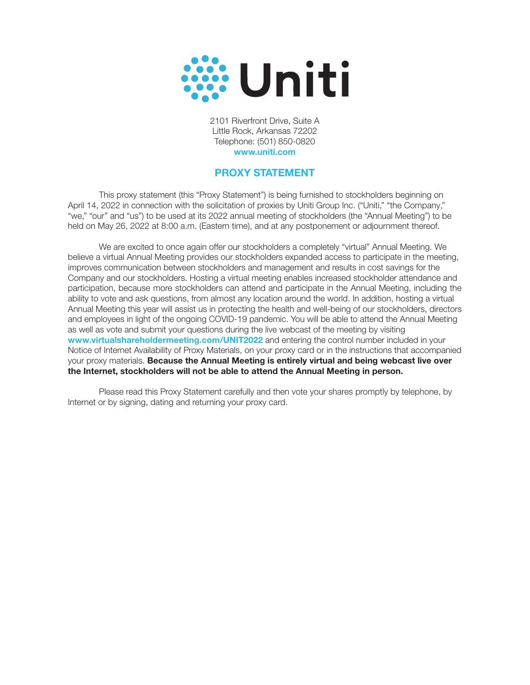

2101 Riverfront Drive, Suite A Little Rock, Arkansas 72202 Telephone: (501) 850-0820 www.uniti.com

# PROXY STATEMENT

This proxy statement (this "Proxy Statement") is being furnished to stockholders beginning on April 14, 2022 in connection with the solicitation of proxies by Uniti Group Inc. ("Uniti," "the Company," "we," "our" and "us") to be used at its 2022 annual meeting of stockholders (the "Annual Meeting") to be held on May 26, 2022 at 8:00 a.m. (Eastern time), and at any postponement or adjournment thereof.

We are excited to once again offer our stockholders a completely "virtual" Annual Meeting. We believe a virtual Annual Meeting provides our stockholders expanded access to participate in the meeting, improves communication between stockholders and management and results in cost savings for the Company and our stockholders. Hosting a virtual meeting enables increased stockholder attendance and participation, because more stockholders can attend and participate in the Annual Meeting, including the ability to vote and ask questions, from almost any location around the world. In addition, hosting a virtual Annual Meeting this year will assist us in protecting the health and well-being of our stockholders, directors and employees in light of the ongoing COVID-19 pandemic. You will be able to attend the Annual Meeting as well as vote and submit your questions during the live webcast of the meeting by visiting www.virtualshareholdermeeting.com/UNIT2022 and entering the control number included in your Notice of Internet Availability of Proxy Materials, on your proxy card or in the instructions that accompanied your proxy materials. Because the Annual Meeting is entirely virtual and being webcast live over the Internet, stockholders will not be able to attend the Annual Meeting in person.

Please read this Proxy Statement carefully and then vote your shares promptly by telephone, by Internet or by signing, dating and returning your proxy card.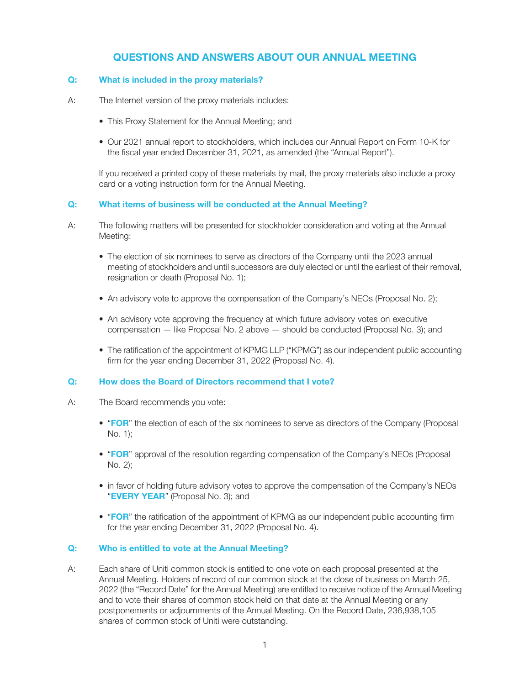# QUESTIONS AND ANSWERS ABOUT OUR ANNUAL MEETING

## Q: What is included in the proxy materials?

- A: The Internet version of the proxy materials includes:
	- This Proxy Statement for the Annual Meeting; and
	- Our 2021 annual report to stockholders, which includes our Annual Report on Form 10-K for the fiscal year ended December 31, 2021, as amended (the "Annual Report").

If you received a printed copy of these materials by mail, the proxy materials also include a proxy card or a voting instruction form for the Annual Meeting.

## Q: What items of business will be conducted at the Annual Meeting?

- A: The following matters will be presented for stockholder consideration and voting at the Annual Meeting:
	- The election of six nominees to serve as directors of the Company until the 2023 annual meeting of stockholders and until successors are duly elected or until the earliest of their removal, resignation or death (Proposal No. 1);
	- An advisory vote to approve the compensation of the Company's NEOs (Proposal No. 2);
	- An advisory vote approving the frequency at which future advisory votes on executive compensation — like Proposal No. 2 above — should be conducted (Proposal No. 3); and
	- The ratification of the appointment of KPMG LLP ("KPMG") as our independent public accounting firm for the year ending December 31, 2022 (Proposal No. 4).

## Q: How does the Board of Directors recommend that I vote?

- A: The Board recommends you vote:
	- "FOR" the election of each of the six nominees to serve as directors of the Company (Proposal No. 1);
	- "FOR" approval of the resolution regarding compensation of the Company's NEOs (Proposal No. 2);
	- in favor of holding future advisory votes to approve the compensation of the Company's NEOs "EVERY YEAR" (Proposal No. 3); and
	- "FOR" the ratification of the appointment of KPMG as our independent public accounting firm for the year ending December 31, 2022 (Proposal No. 4).

## Q: Who is entitled to vote at the Annual Meeting?

A: Each share of Uniti common stock is entitled to one vote on each proposal presented at the Annual Meeting. Holders of record of our common stock at the close of business on March 25, 2022 (the "Record Date" for the Annual Meeting) are entitled to receive notice of the Annual Meeting and to vote their shares of common stock held on that date at the Annual Meeting or any postponements or adjournments of the Annual Meeting. On the Record Date, 236,938,105 shares of common stock of Uniti were outstanding.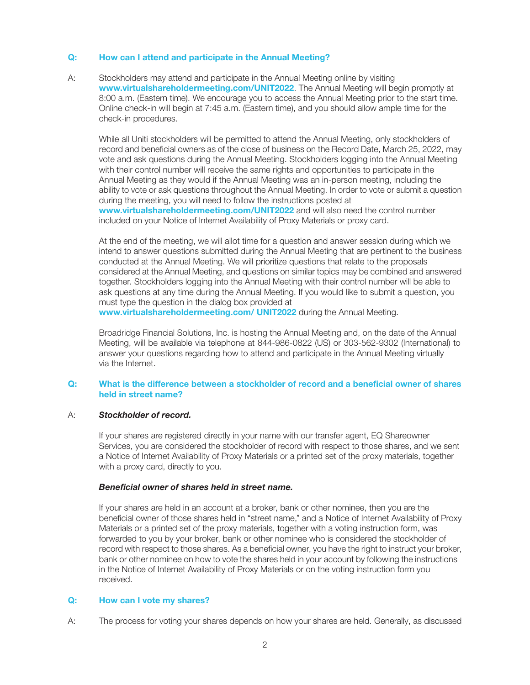## Q: How can I attend and participate in the Annual Meeting?

A: Stockholders may attend and participate in the Annual Meeting online by visiting www.virtualshareholdermeeting.com/UNIT2022. The Annual Meeting will begin promptly at 8:00 a.m. (Eastern time). We encourage you to access the Annual Meeting prior to the start time. Online check-in will begin at 7:45 a.m. (Eastern time), and you should allow ample time for the check-in procedures.

While all Uniti stockholders will be permitted to attend the Annual Meeting, only stockholders of record and beneficial owners as of the close of business on the Record Date, March 25, 2022, may vote and ask questions during the Annual Meeting. Stockholders logging into the Annual Meeting with their control number will receive the same rights and opportunities to participate in the Annual Meeting as they would if the Annual Meeting was an in-person meeting, including the ability to vote or ask questions throughout the Annual Meeting. In order to vote or submit a question during the meeting, you will need to follow the instructions posted at www.virtualshareholdermeeting.com/UNIT2022 and will also need the control number included on your Notice of Internet Availability of Proxy Materials or proxy card.

At the end of the meeting, we will allot time for a question and answer session during which we intend to answer questions submitted during the Annual Meeting that are pertinent to the business conducted at the Annual Meeting. We will prioritize questions that relate to the proposals considered at the Annual Meeting, and questions on similar topics may be combined and answered together. Stockholders logging into the Annual Meeting with their control number will be able to ask questions at any time during the Annual Meeting. If you would like to submit a question, you must type the question in the dialog box provided at

www.virtualshareholdermeeting.com/ UNIT2022 during the Annual Meeting.

Broadridge Financial Solutions, Inc. is hosting the Annual Meeting and, on the date of the Annual Meeting, will be available via telephone at 844-986-0822 (US) or 303-562-9302 (International) to answer your questions regarding how to attend and participate in the Annual Meeting virtually via the Internet.

## Q: What is the difference between a stockholder of record and a beneficial owner of shares held in street name?

## A: Stockholder of record.

If your shares are registered directly in your name with our transfer agent, EQ Shareowner Services, you are considered the stockholder of record with respect to those shares, and we sent a Notice of Internet Availability of Proxy Materials or a printed set of the proxy materials, together with a proxy card, directly to you.

## Beneficial owner of shares held in street name.

If your shares are held in an account at a broker, bank or other nominee, then you are the beneficial owner of those shares held in "street name," and a Notice of Internet Availability of Proxy Materials or a printed set of the proxy materials, together with a voting instruction form, was forwarded to you by your broker, bank or other nominee who is considered the stockholder of record with respect to those shares. As a beneficial owner, you have the right to instruct your broker, bank or other nominee on how to vote the shares held in your account by following the instructions in the Notice of Internet Availability of Proxy Materials or on the voting instruction form you received.

## Q: How can I vote my shares?

A: The process for voting your shares depends on how your shares are held. Generally, as discussed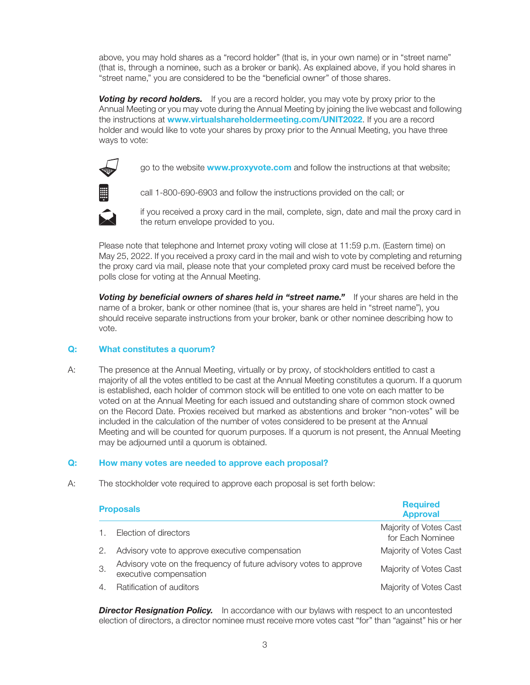above, you may hold shares as a "record holder" (that is, in your own name) or in "street name" (that is, through a nominee, such as a broker or bank). As explained above, if you hold shares in "street name," you are considered to be the "beneficial owner" of those shares.

**Voting by record holders.** If you are a record holder, you may vote by proxy prior to the Annual Meeting or you may vote during the Annual Meeting by joining the live webcast and following the instructions at www.virtualshareholdermeeting.com/UNIT2022. If you are a record holder and would like to vote your shares by proxy prior to the Annual Meeting, you have three ways to vote:



go to the website **www.proxyvote.com** and follow the instructions at that website;



call 1-800-690-6903 and follow the instructions provided on the call; or



if you received a proxy card in the mail, complete, sign, date and mail the proxy card in the return envelope provided to you.

Please note that telephone and Internet proxy voting will close at 11:59 p.m. (Eastern time) on May 25, 2022. If you received a proxy card in the mail and wish to vote by completing and returning the proxy card via mail, please note that your completed proxy card must be received before the polls close for voting at the Annual Meeting.

Voting by beneficial owners of shares held in "street name." If your shares are held in the name of a broker, bank or other nominee (that is, your shares are held in "street name"), you should receive separate instructions from your broker, bank or other nominee describing how to vote.

## Q: What constitutes a quorum?

A: The presence at the Annual Meeting, virtually or by proxy, of stockholders entitled to cast a majority of all the votes entitled to be cast at the Annual Meeting constitutes a quorum. If a quorum is established, each holder of common stock will be entitled to one vote on each matter to be voted on at the Annual Meeting for each issued and outstanding share of common stock owned on the Record Date. Proxies received but marked as abstentions and broker "non-votes" will be included in the calculation of the number of votes considered to be present at the Annual Meeting and will be counted for quorum purposes. If a quorum is not present, the Annual Meeting may be adjourned until a quorum is obtained.

## Q: How many votes are needed to approve each proposal?

A: The stockholder vote required to approve each proposal is set forth below:

|    | <b>Proposals</b>                                                                             | <b>Required</b><br><b>Approval</b>         |
|----|----------------------------------------------------------------------------------------------|--------------------------------------------|
|    | Election of directors                                                                        | Majority of Votes Cast<br>for Each Nominee |
| 2. | Advisory vote to approve executive compensation                                              | Majority of Votes Cast                     |
| 3. | Advisory vote on the frequency of future advisory votes to approve<br>executive compensation | Majority of Votes Cast                     |
|    | Ratification of auditors                                                                     | Majority of Votes Cast                     |

**Director Resignation Policy.** In accordance with our bylaws with respect to an uncontested election of directors, a director nominee must receive more votes cast "for" than "against" his or her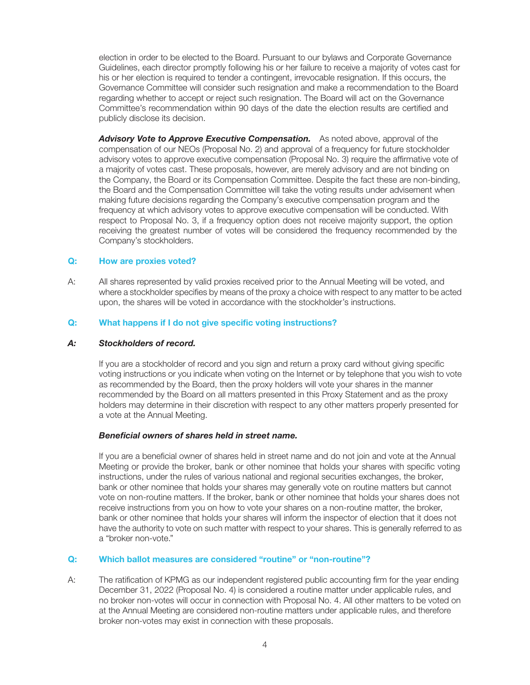election in order to be elected to the Board. Pursuant to our bylaws and Corporate Governance Guidelines, each director promptly following his or her failure to receive a majority of votes cast for his or her election is required to tender a contingent, irrevocable resignation. If this occurs, the Governance Committee will consider such resignation and make a recommendation to the Board regarding whether to accept or reject such resignation. The Board will act on the Governance Committee's recommendation within 90 days of the date the election results are certified and publicly disclose its decision.

Advisory Vote to Approve Executive Compensation. As noted above, approval of the compensation of our NEOs (Proposal No. 2) and approval of a frequency for future stockholder advisory votes to approve executive compensation (Proposal No. 3) require the affirmative vote of a majority of votes cast. These proposals, however, are merely advisory and are not binding on the Company, the Board or its Compensation Committee. Despite the fact these are non-binding, the Board and the Compensation Committee will take the voting results under advisement when making future decisions regarding the Company's executive compensation program and the frequency at which advisory votes to approve executive compensation will be conducted. With respect to Proposal No. 3, if a frequency option does not receive majority support, the option receiving the greatest number of votes will be considered the frequency recommended by the Company's stockholders.

## Q: How are proxies voted?

A: All shares represented by valid proxies received prior to the Annual Meeting will be voted, and where a stockholder specifies by means of the proxy a choice with respect to any matter to be acted upon, the shares will be voted in accordance with the stockholder's instructions.

## Q: What happens if I do not give specific voting instructions?

## A: Stockholders of record.

If you are a stockholder of record and you sign and return a proxy card without giving specific voting instructions or you indicate when voting on the Internet or by telephone that you wish to vote as recommended by the Board, then the proxy holders will vote your shares in the manner recommended by the Board on all matters presented in this Proxy Statement and as the proxy holders may determine in their discretion with respect to any other matters properly presented for a vote at the Annual Meeting.

## Beneficial owners of shares held in street name.

If you are a beneficial owner of shares held in street name and do not join and vote at the Annual Meeting or provide the broker, bank or other nominee that holds your shares with specific voting instructions, under the rules of various national and regional securities exchanges, the broker, bank or other nominee that holds your shares may generally vote on routine matters but cannot vote on non-routine matters. If the broker, bank or other nominee that holds your shares does not receive instructions from you on how to vote your shares on a non-routine matter, the broker, bank or other nominee that holds your shares will inform the inspector of election that it does not have the authority to vote on such matter with respect to your shares. This is generally referred to as a "broker non-vote."

## Q: Which ballot measures are considered "routine" or "non-routine"?

A: The ratification of KPMG as our independent registered public accounting firm for the year ending December 31, 2022 (Proposal No. 4) is considered a routine matter under applicable rules, and no broker non-votes will occur in connection with Proposal No. 4. All other matters to be voted on at the Annual Meeting are considered non-routine matters under applicable rules, and therefore broker non-votes may exist in connection with these proposals.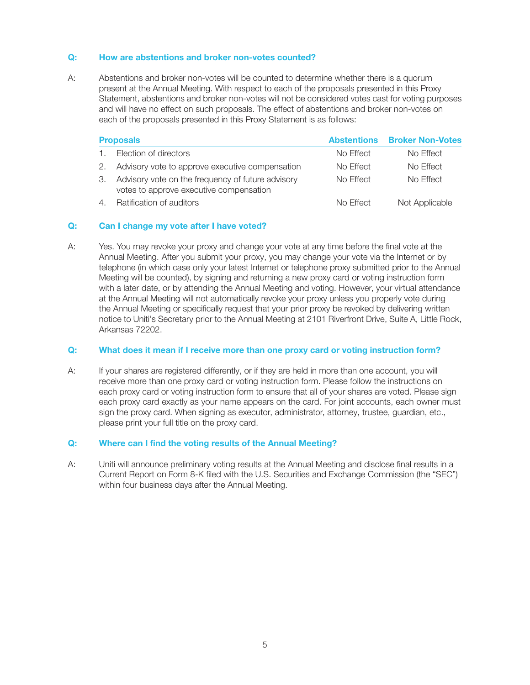## Q: How are abstentions and broker non-votes counted?

A: Abstentions and broker non-votes will be counted to determine whether there is a quorum present at the Annual Meeting. With respect to each of the proposals presented in this Proxy Statement, abstentions and broker non-votes will not be considered votes cast for voting purposes and will have no effect on such proposals. The effect of abstentions and broker non-votes on each of the proposals presented in this Proxy Statement is as follows:

|    | <b>Proposals</b>                                                                             | <b>Abstentions</b> | <b>Broker Non-Votes</b> |
|----|----------------------------------------------------------------------------------------------|--------------------|-------------------------|
|    | Election of directors                                                                        | No Effect          | No Effect               |
|    | Advisory vote to approve executive compensation                                              | No Effect          | No Effect               |
| З. | Advisory vote on the frequency of future advisory<br>votes to approve executive compensation | No Effect          | No Effect               |
| 4  | Ratification of auditors                                                                     | No Effect          | Not Applicable          |

## Q: Can I change my vote after I have voted?

A: Yes. You may revoke your proxy and change your vote at any time before the final vote at the Annual Meeting. After you submit your proxy, you may change your vote via the Internet or by telephone (in which case only your latest Internet or telephone proxy submitted prior to the Annual Meeting will be counted), by signing and returning a new proxy card or voting instruction form with a later date, or by attending the Annual Meeting and voting. However, your virtual attendance at the Annual Meeting will not automatically revoke your proxy unless you properly vote during the Annual Meeting or specifically request that your prior proxy be revoked by delivering written notice to Uniti's Secretary prior to the Annual Meeting at 2101 Riverfront Drive, Suite A, Little Rock, Arkansas 72202.

## Q: What does it mean if I receive more than one proxy card or voting instruction form?

A: If your shares are registered differently, or if they are held in more than one account, you will receive more than one proxy card or voting instruction form. Please follow the instructions on each proxy card or voting instruction form to ensure that all of your shares are voted. Please sign each proxy card exactly as your name appears on the card. For joint accounts, each owner must sign the proxy card. When signing as executor, administrator, attorney, trustee, guardian, etc., please print your full title on the proxy card.

## Q: Where can I find the voting results of the Annual Meeting?

A: Uniti will announce preliminary voting results at the Annual Meeting and disclose final results in a Current Report on Form 8-K filed with the U.S. Securities and Exchange Commission (the "SEC") within four business days after the Annual Meeting.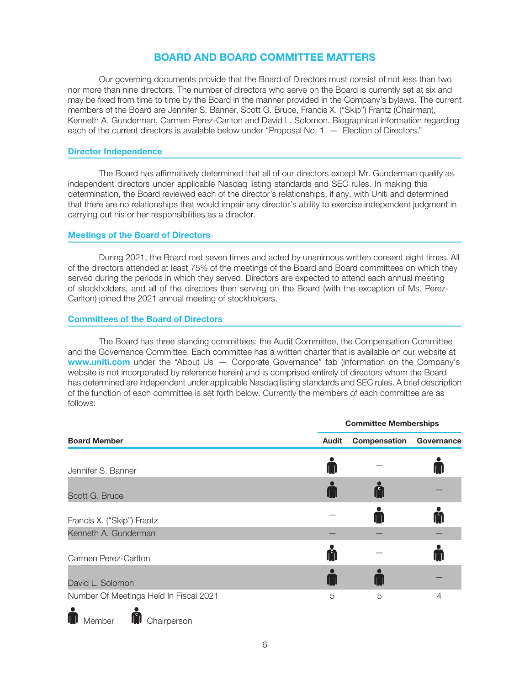# BOARD AND BOARD COMMITTEE MATTERS

Our governing documents provide that the Board of Directors must consist of not less than two nor more than nine directors. The number of directors who serve on the Board is currently set at six and may be fixed from time to time by the Board in the manner provided in the Company's bylaws. The current members of the Board are Jennifer S. Banner, Scott G. Bruce, Francis X. ("Skip") Frantz (Chairman), Kenneth A. Gunderman, Carmen Perez-Carlton and David L. Solomon. Biographical information regarding each of the current directors is available below under "Proposal No. 1 — Election of Directors."

## Director Independence

The Board has affirmatively determined that all of our directors except Mr. Gunderman qualify as independent directors under applicable Nasdaq listing standards and SEC rules. In making this determination, the Board reviewed each of the director's relationships, if any, with Uniti and determined that there are no relationships that would impair any director's ability to exercise independent judgment in carrying out his or her responsibilities as a director.

## Meetings of the Board of Directors

During 2021, the Board met seven times and acted by unanimous written consent eight times. All of the directors attended at least 75% of the meetings of the Board and Board committees on which they served during the periods in which they served. Directors are expected to attend each annual meeting of stockholders, and all of the directors then serving on the Board (with the exception of Ms. Perez-Carlton) joined the 2021 annual meeting of stockholders.

## Committees of the Board of Directors

The Board has three standing committees: the Audit Committee, the Compensation Committee and the Governance Committee. Each committee has a written charter that is available on our website at www.uniti.com under the "About Us - Corporate Governance" tab (information on the Company's website is not incorporated by reference herein) and is comprised entirely of directors whom the Board has determined are independent under applicable Nasdaq listing standards and SEC rules. A brief description of the function of each committee is set forth below. Currently the members of each committee are as follows:

|                                        |              | <b>Committee Memberships</b> |              |  |  |  |
|----------------------------------------|--------------|------------------------------|--------------|--|--|--|
| <b>Board Member</b>                    | <b>Audit</b> | Compensation                 | Governance   |  |  |  |
| Jennifer S. Banner                     |              |                              |              |  |  |  |
| Scott G. Bruce                         |              |                              |              |  |  |  |
| Francis X. ("Skip") Frantz             |              |                              | A            |  |  |  |
| Kenneth A. Gunderman                   |              |                              |              |  |  |  |
| Carmen Perez-Carlton                   | n            |                              | $\mathsf{L}$ |  |  |  |
| David L. Solomon                       |              |                              |              |  |  |  |
| Number Of Meetings Held In Fiscal 2021 | 5            | 5                            | 4            |  |  |  |
|                                        |              |                              |              |  |  |  |



**M** Member **M** Chairperson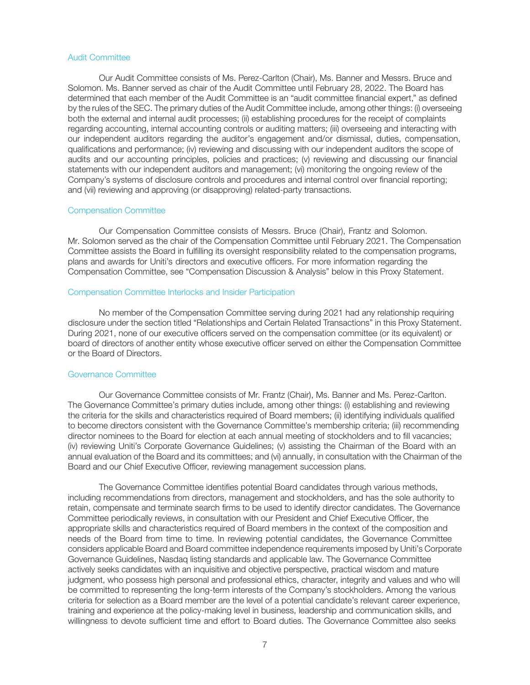## Audit Committee

Our Audit Committee consists of Ms. Perez-Carlton (Chair), Ms. Banner and Messrs. Bruce and Solomon. Ms. Banner served as chair of the Audit Committee until February 28, 2022. The Board has determined that each member of the Audit Committee is an "audit committee financial expert," as defined by the rules of the SEC. The primary duties of the Audit Committee include, among other things: (i) overseeing both the external and internal audit processes; (ii) establishing procedures for the receipt of complaints regarding accounting, internal accounting controls or auditing matters; (iii) overseeing and interacting with our independent auditors regarding the auditor's engagement and/or dismissal, duties, compensation, qualifications and performance; (iv) reviewing and discussing with our independent auditors the scope of audits and our accounting principles, policies and practices; (v) reviewing and discussing our financial statements with our independent auditors and management; (vi) monitoring the ongoing review of the Company's systems of disclosure controls and procedures and internal control over financial reporting; and (vii) reviewing and approving (or disapproving) related-party transactions.

## Compensation Committee

Our Compensation Committee consists of Messrs. Bruce (Chair), Frantz and Solomon. Mr. Solomon served as the chair of the Compensation Committee until February 2021. The Compensation Committee assists the Board in fulfilling its oversight responsibility related to the compensation programs, plans and awards for Uniti's directors and executive officers. For more information regarding the Compensation Committee, see "Compensation Discussion & Analysis" below in this Proxy Statement.

## Compensation Committee Interlocks and Insider Participation

No member of the Compensation Committee serving during 2021 had any relationship requiring disclosure under the section titled "Relationships and Certain Related Transactions" in this Proxy Statement. During 2021, none of our executive officers served on the compensation committee (or its equivalent) or board of directors of another entity whose executive officer served on either the Compensation Committee or the Board of Directors.

#### Governance Committee

Our Governance Committee consists of Mr. Frantz (Chair), Ms. Banner and Ms. Perez-Carlton. The Governance Committee's primary duties include, among other things: (i) establishing and reviewing the criteria for the skills and characteristics required of Board members; (ii) identifying individuals qualified to become directors consistent with the Governance Committee's membership criteria; (iii) recommending director nominees to the Board for election at each annual meeting of stockholders and to fill vacancies; (iv) reviewing Uniti's Corporate Governance Guidelines; (v) assisting the Chairman of the Board with an annual evaluation of the Board and its committees; and (vi) annually, in consultation with the Chairman of the Board and our Chief Executive Officer, reviewing management succession plans.

The Governance Committee identifies potential Board candidates through various methods, including recommendations from directors, management and stockholders, and has the sole authority to retain, compensate and terminate search firms to be used to identify director candidates. The Governance Committee periodically reviews, in consultation with our President and Chief Executive Officer, the appropriate skills and characteristics required of Board members in the context of the composition and needs of the Board from time to time. In reviewing potential candidates, the Governance Committee considers applicable Board and Board committee independence requirements imposed by Uniti's Corporate Governance Guidelines, Nasdaq listing standards and applicable law. The Governance Committee actively seeks candidates with an inquisitive and objective perspective, practical wisdom and mature judgment, who possess high personal and professional ethics, character, integrity and values and who will be committed to representing the long-term interests of the Company's stockholders. Among the various criteria for selection as a Board member are the level of a potential candidate's relevant career experience, training and experience at the policy-making level in business, leadership and communication skills, and willingness to devote sufficient time and effort to Board duties. The Governance Committee also seeks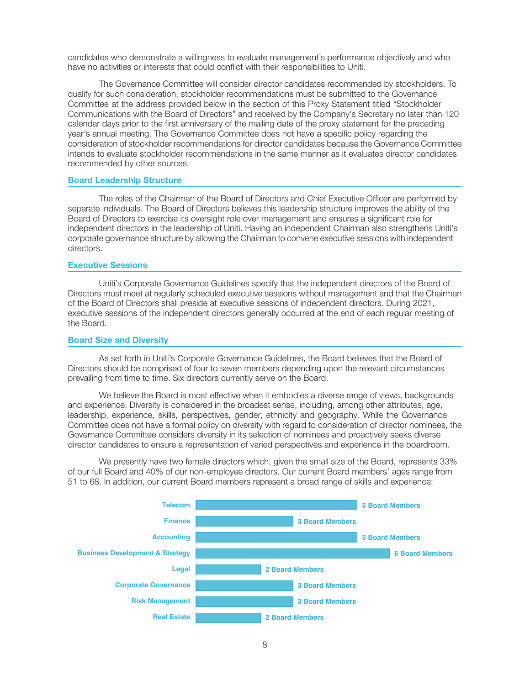candidates who demonstrate a willingness to evaluate management's performance objectively and who have no activities or interests that could conflict with their responsibilities to Uniti.

The Governance Committee will consider director candidates recommended by stockholders. To qualify for such consideration, stockholder recommendations must be submitted to the Governance Committee at the address provided below in the section of this Proxy Statement titled "Stockholder Communications with the Board of Directors" and received by the Company's Secretary no later than 120 calendar days prior to the first anniversary of the mailing date of the proxy statement for the preceding year's annual meeting. The Governance Committee does not have a specific policy regarding the consideration of stockholder recommendations for director candidates because the Governance Committee intends to evaluate stockholder recommendations in the same manner as it evaluates director candidates recommended by other sources.

## Board Leadership Structure

The roles of the Chairman of the Board of Directors and Chief Executive Officer are performed by separate individuals. The Board of Directors believes this leadership structure improves the ability of the Board of Directors to exercise its oversight role over management and ensures a significant role for independent directors in the leadership of Uniti. Having an independent Chairman also strengthens Uniti's corporate governance structure by allowing the Chairman to convene executive sessions with independent directors.

#### Executive Sessions

Uniti's Corporate Governance Guidelines specify that the independent directors of the Board of Directors must meet at regularly scheduled executive sessions without management and that the Chairman of the Board of Directors shall preside at executive sessions of independent directors. During 2021, executive sessions of the independent directors generally occurred at the end of each regular meeting of the Board.

#### Board Size and Diversity

As set forth in Uniti's Corporate Governance Guidelines, the Board believes that the Board of Directors should be comprised of four to seven members depending upon the relevant circumstances prevailing from time to time. Six directors currently serve on the Board.

We believe the Board is most effective when it embodies a diverse range of views, backgrounds and experience. Diversity is considered in the broadest sense, including, among other attributes, age, leadership, experience, skills, perspectives, gender, ethnicity and geography. While the Governance Committee does not have a formal policy on diversity with regard to consideration of director nominees, the Governance Committee considers diversity in its selection of nominees and proactively seeks diverse director candidates to ensure a representation of varied perspectives and experience in the boardroom.

We presently have two female directors which, given the small size of the Board, represents 33% of our full Board and 40% of our non-employee directors. Our current Board members' ages range from 51 to 68. In addition, our current Board members represent a broad range of skills and experience:

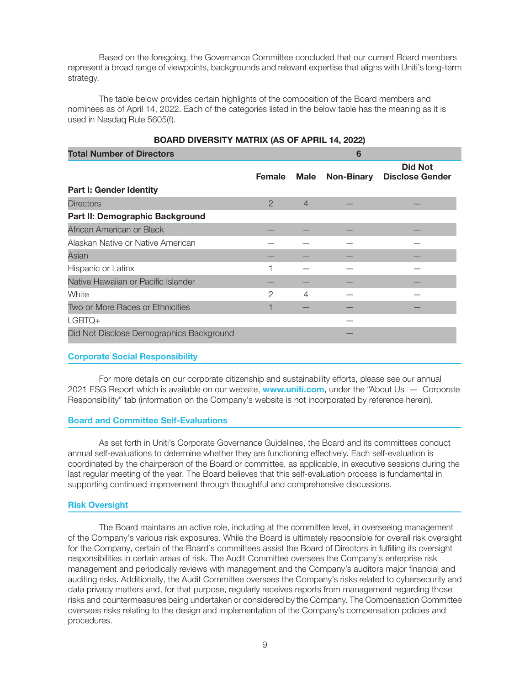Based on the foregoing, the Governance Committee concluded that our current Board members represent a broad range of viewpoints, backgrounds and relevant expertise that aligns with Uniti's long-term strategy.

The table below provides certain highlights of the composition of the Board members and nominees as of April 14, 2022. Each of the categories listed in the below table has the meaning as it is used in Nasdaq Rule 5605(f).

| BOARD DIVERSITT MATRIX (AS OF APRIL 14, 2022) |                |                |                   |                                          |  |
|-----------------------------------------------|----------------|----------------|-------------------|------------------------------------------|--|
| <b>Total Number of Directors</b>              |                | 6              |                   |                                          |  |
|                                               | <b>Female</b>  | Male           | <b>Non-Binary</b> | <b>Did Not</b><br><b>Disclose Gender</b> |  |
| Part I: Gender Identity                       |                |                |                   |                                          |  |
| <b>Directors</b>                              | $\overline{2}$ | $\overline{4}$ |                   |                                          |  |
| Part II: Demographic Background               |                |                |                   |                                          |  |
| African American or Black                     |                |                |                   |                                          |  |
| Alaskan Native or Native American             |                |                |                   |                                          |  |
| Asian                                         |                |                |                   |                                          |  |
| Hispanic or Latinx                            |                |                |                   |                                          |  |
| Native Hawaiian or Pacific Islander           |                |                |                   |                                          |  |
| White                                         | 2              | 4              |                   |                                          |  |
| Two or More Races or Ethnicities              |                |                |                   |                                          |  |
| $LGBTO+$                                      |                |                |                   |                                          |  |
| Did Not Disclose Demographics Background      |                |                |                   |                                          |  |

# BOARD DIVERSITY MATRIX (AS OF APRIL 14, 2022)

## Corporate Social Responsibility

For more details on our corporate citizenship and sustainability efforts, please see our annual 2021 ESG Report which is available on our website, **www.uniti.com**, under the "About Us  $-$  Corporate Responsibility" tab (information on the Company's website is not incorporated by reference herein).

## Board and Committee Self-Evaluations

As set forth in Uniti's Corporate Governance Guidelines, the Board and its committees conduct annual self-evaluations to determine whether they are functioning effectively. Each self-evaluation is coordinated by the chairperson of the Board or committee, as applicable, in executive sessions during the last regular meeting of the year. The Board believes that this self-evaluation process is fundamental in supporting continued improvement through thoughtful and comprehensive discussions.

## Risk Oversight

The Board maintains an active role, including at the committee level, in overseeing management of the Company's various risk exposures. While the Board is ultimately responsible for overall risk oversight for the Company, certain of the Board's committees assist the Board of Directors in fulfilling its oversight responsibilities in certain areas of risk. The Audit Committee oversees the Company's enterprise risk management and periodically reviews with management and the Company's auditors major financial and auditing risks. Additionally, the Audit Committee oversees the Company's risks related to cybersecurity and data privacy matters and, for that purpose, regularly receives reports from management regarding those risks and countermeasures being undertaken or considered by the Company. The Compensation Committee oversees risks relating to the design and implementation of the Company's compensation policies and procedures.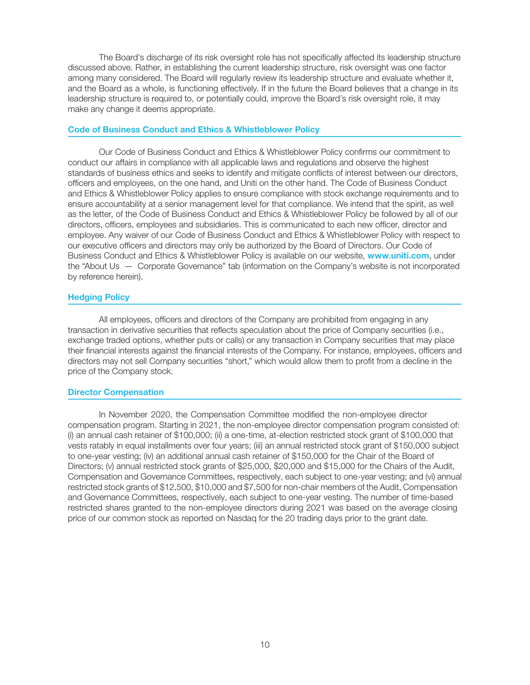The Board's discharge of its risk oversight role has not specifically affected its leadership structure discussed above. Rather, in establishing the current leadership structure, risk oversight was one factor among many considered. The Board will regularly review its leadership structure and evaluate whether it, and the Board as a whole, is functioning effectively. If in the future the Board believes that a change in its leadership structure is required to, or potentially could, improve the Board's risk oversight role, it may make any change it deems appropriate.

## Code of Business Conduct and Ethics & Whistleblower Policy

Our Code of Business Conduct and Ethics & Whistleblower Policy confirms our commitment to conduct our affairs in compliance with all applicable laws and regulations and observe the highest standards of business ethics and seeks to identify and mitigate conflicts of interest between our directors, officers and employees, on the one hand, and Uniti on the other hand. The Code of Business Conduct and Ethics & Whistleblower Policy applies to ensure compliance with stock exchange requirements and to ensure accountability at a senior management level for that compliance. We intend that the spirit, as well as the letter, of the Code of Business Conduct and Ethics & Whistleblower Policy be followed by all of our directors, officers, employees and subsidiaries. This is communicated to each new officer, director and employee. Any waiver of our Code of Business Conduct and Ethics & Whistleblower Policy with respect to our executive officers and directors may only be authorized by the Board of Directors. Our Code of Business Conduct and Ethics & Whistleblower Policy is available on our website, www.uniti.com, under the "About Us — Corporate Governance" tab (information on the Company's website is not incorporated by reference herein).

## Hedging Policy

All employees, officers and directors of the Company are prohibited from engaging in any transaction in derivative securities that reflects speculation about the price of Company securities (i.e., exchange traded options, whether puts or calls) or any transaction in Company securities that may place their financial interests against the financial interests of the Company. For instance, employees, officers and directors may not sell Company securities "short," which would allow them to profit from a decline in the price of the Company stock.

## Director Compensation

In November 2020, the Compensation Committee modified the non-employee director compensation program. Starting in 2021, the non-employee director compensation program consisted of: (i) an annual cash retainer of \$100,000; (ii) a one-time, at-election restricted stock grant of \$100,000 that vests ratably in equal installments over four years; (iii) an annual restricted stock grant of \$150,000 subject to one-year vesting; (iv) an additional annual cash retainer of \$150,000 for the Chair of the Board of Directors; (v) annual restricted stock grants of \$25,000, \$20,000 and \$15,000 for the Chairs of the Audit, Compensation and Governance Committees, respectively, each subject to one-year vesting; and (vi) annual restricted stock grants of \$12,500, \$10,000 and \$7,500 for non-chair members of the Audit, Compensation and Governance Committees, respectively, each subject to one-year vesting. The number of time-based restricted shares granted to the non-employee directors during 2021 was based on the average closing price of our common stock as reported on Nasdaq for the 20 trading days prior to the grant date.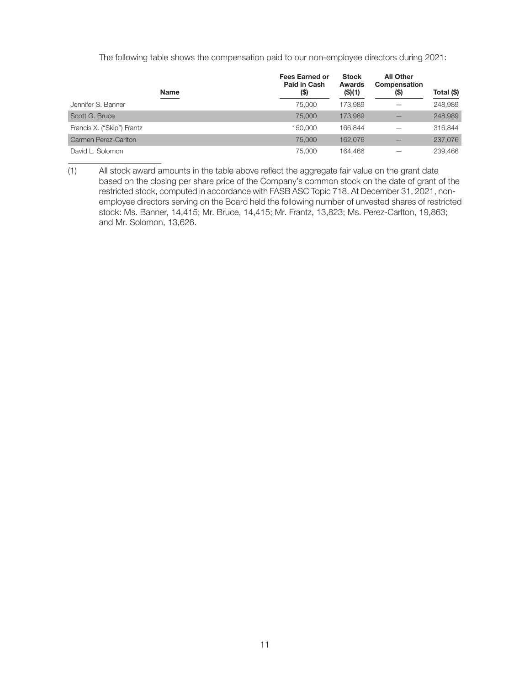The following table shows the compensation paid to our non-employee directors during 2021:

| <b>Name</b>                | <b>Fees Earned or</b><br>Paid in Cash<br>$($ \$) | <b>Stock</b><br><b>Awards</b><br>(\$)(1) | <b>All Other</b><br><b>Compensation</b><br>(\$) | Total (\$) |
|----------------------------|--------------------------------------------------|------------------------------------------|-------------------------------------------------|------------|
| Jennifer S. Banner         | 75,000                                           | 173.989                                  |                                                 | 248,989    |
| Scott G. Bruce             | 75,000                                           | 173.989                                  |                                                 | 248,989    |
| Francis X. ("Skip") Frantz | 150,000                                          | 166.844                                  |                                                 | 316,844    |
| Carmen Perez-Carlton       | 75,000                                           | 162.076                                  |                                                 | 237,076    |
| David L. Solomon           | 75,000                                           | 164.466                                  |                                                 | 239,466    |

<sup>(1)</sup> All stock award amounts in the table above reflect the aggregate fair value on the grant date based on the closing per share price of the Company's common stock on the date of grant of the restricted stock, computed in accordance with FASB ASC Topic 718. At December 31, 2021, nonemployee directors serving on the Board held the following number of unvested shares of restricted stock: Ms. Banner, 14,415; Mr. Bruce, 14,415; Mr. Frantz, 13,823; Ms. Perez-Carlton, 19,863; and Mr. Solomon, 13,626.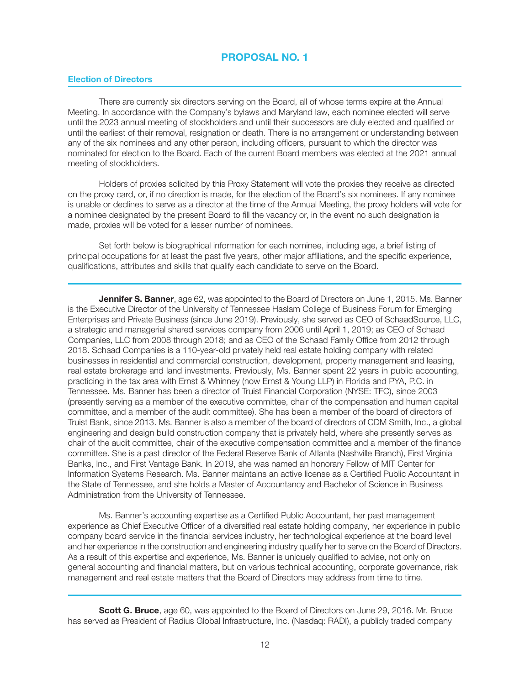## Election of Directors

There are currently six directors serving on the Board, all of whose terms expire at the Annual Meeting. In accordance with the Company's bylaws and Maryland law, each nominee elected will serve until the 2023 annual meeting of stockholders and until their successors are duly elected and qualified or until the earliest of their removal, resignation or death. There is no arrangement or understanding between any of the six nominees and any other person, including officers, pursuant to which the director was nominated for election to the Board. Each of the current Board members was elected at the 2021 annual meeting of stockholders.

Holders of proxies solicited by this Proxy Statement will vote the proxies they receive as directed on the proxy card, or, if no direction is made, for the election of the Board's six nominees. If any nominee is unable or declines to serve as a director at the time of the Annual Meeting, the proxy holders will vote for a nominee designated by the present Board to fill the vacancy or, in the event no such designation is made, proxies will be voted for a lesser number of nominees.

Set forth below is biographical information for each nominee, including age, a brief listing of principal occupations for at least the past five years, other major affiliations, and the specific experience, qualifications, attributes and skills that qualify each candidate to serve on the Board.

**Jennifer S. Banner**, age 62, was appointed to the Board of Directors on June 1, 2015. Ms. Banner is the Executive Director of the University of Tennessee Haslam College of Business Forum for Emerging Enterprises and Private Business (since June 2019). Previously, she served as CEO of SchaadSource, LLC, a strategic and managerial shared services company from 2006 until April 1, 2019; as CEO of Schaad Companies, LLC from 2008 through 2018; and as CEO of the Schaad Family Office from 2012 through 2018. Schaad Companies is a 110-year-old privately held real estate holding company with related businesses in residential and commercial construction, development, property management and leasing, real estate brokerage and land investments. Previously, Ms. Banner spent 22 years in public accounting, practicing in the tax area with Ernst & Whinney (now Ernst & Young LLP) in Florida and PYA, P.C. in Tennessee. Ms. Banner has been a director of Truist Financial Corporation (NYSE: TFC), since 2003 (presently serving as a member of the executive committee, chair of the compensation and human capital committee, and a member of the audit committee). She has been a member of the board of directors of Truist Bank, since 2013. Ms. Banner is also a member of the board of directors of CDM Smith, Inc., a global engineering and design build construction company that is privately held, where she presently serves as chair of the audit committee, chair of the executive compensation committee and a member of the finance committee. She is a past director of the Federal Reserve Bank of Atlanta (Nashville Branch), First Virginia Banks, Inc., and First Vantage Bank. In 2019, she was named an honorary Fellow of MIT Center for Information Systems Research. Ms. Banner maintains an active license as a Certified Public Accountant in the State of Tennessee, and she holds a Master of Accountancy and Bachelor of Science in Business Administration from the University of Tennessee.

Ms. Banner's accounting expertise as a Certified Public Accountant, her past management experience as Chief Executive Officer of a diversified real estate holding company, her experience in public company board service in the financial services industry, her technological experience at the board level and her experience in the construction and engineering industry qualify her to serve on the Board of Directors. As a result of this expertise and experience, Ms. Banner is uniquely qualified to advise, not only on general accounting and financial matters, but on various technical accounting, corporate governance, risk management and real estate matters that the Board of Directors may address from time to time.

Scott G. Bruce, age 60, was appointed to the Board of Directors on June 29, 2016. Mr. Bruce has served as President of Radius Global Infrastructure, Inc. (Nasdaq: RADI), a publicly traded company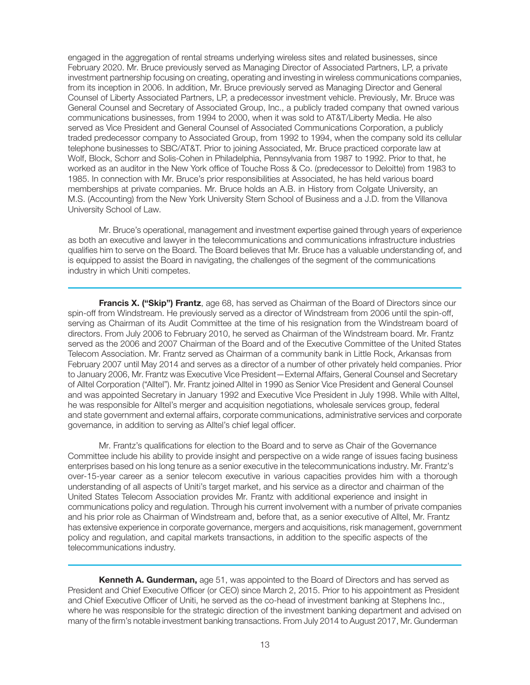engaged in the aggregation of rental streams underlying wireless sites and related businesses, since February 2020. Mr. Bruce previously served as Managing Director of Associated Partners, LP, a private investment partnership focusing on creating, operating and investing in wireless communications companies, from its inception in 2006. In addition, Mr. Bruce previously served as Managing Director and General Counsel of Liberty Associated Partners, LP, a predecessor investment vehicle. Previously, Mr. Bruce was General Counsel and Secretary of Associated Group, Inc., a publicly traded company that owned various communications businesses, from 1994 to 2000, when it was sold to AT&T/Liberty Media. He also served as Vice President and General Counsel of Associated Communications Corporation, a publicly traded predecessor company to Associated Group, from 1992 to 1994, when the company sold its cellular telephone businesses to SBC/AT&T. Prior to joining Associated, Mr. Bruce practiced corporate law at Wolf, Block, Schorr and Solis-Cohen in Philadelphia, Pennsylvania from 1987 to 1992. Prior to that, he worked as an auditor in the New York office of Touche Ross & Co. (predecessor to Deloitte) from 1983 to 1985. In connection with Mr. Bruce's prior responsibilities at Associated, he has held various board memberships at private companies. Mr. Bruce holds an A.B. in History from Colgate University, an M.S. (Accounting) from the New York University Stern School of Business and a J.D. from the Villanova University School of Law.

Mr. Bruce's operational, management and investment expertise gained through years of experience as both an executive and lawyer in the telecommunications and communications infrastructure industries qualifies him to serve on the Board. The Board believes that Mr. Bruce has a valuable understanding of, and is equipped to assist the Board in navigating, the challenges of the segment of the communications industry in which Uniti competes.

**Francis X. ("Skip") Frantz**, age 68, has served as Chairman of the Board of Directors since our spin-off from Windstream. He previously served as a director of Windstream from 2006 until the spin-off, serving as Chairman of its Audit Committee at the time of his resignation from the Windstream board of directors. From July 2006 to February 2010, he served as Chairman of the Windstream board. Mr. Frantz served as the 2006 and 2007 Chairman of the Board and of the Executive Committee of the United States Telecom Association. Mr. Frantz served as Chairman of a community bank in Little Rock, Arkansas from February 2007 until May 2014 and serves as a director of a number of other privately held companies. Prior to January 2006, Mr. Frantz was Executive Vice President—External Affairs, General Counsel and Secretary of Alltel Corporation ("Alltel"). Mr. Frantz joined Alltel in 1990 as Senior Vice President and General Counsel and was appointed Secretary in January 1992 and Executive Vice President in July 1998. While with Alltel, he was responsible for Alltel's merger and acquisition negotiations, wholesale services group, federal and state government and external affairs, corporate communications, administrative services and corporate governance, in addition to serving as Alltel's chief legal officer.

Mr. Frantz's qualifications for election to the Board and to serve as Chair of the Governance Committee include his ability to provide insight and perspective on a wide range of issues facing business enterprises based on his long tenure as a senior executive in the telecommunications industry. Mr. Frantz's over-15-year career as a senior telecom executive in various capacities provides him with a thorough understanding of all aspects of Uniti's target market, and his service as a director and chairman of the United States Telecom Association provides Mr. Frantz with additional experience and insight in communications policy and regulation. Through his current involvement with a number of private companies and his prior role as Chairman of Windstream and, before that, as a senior executive of Alltel, Mr. Frantz has extensive experience in corporate governance, mergers and acquisitions, risk management, government policy and regulation, and capital markets transactions, in addition to the specific aspects of the telecommunications industry.

**Kenneth A. Gunderman,** age 51, was appointed to the Board of Directors and has served as President and Chief Executive Officer (or CEO) since March 2, 2015. Prior to his appointment as President and Chief Executive Officer of Uniti, he served as the co-head of investment banking at Stephens Inc., where he was responsible for the strategic direction of the investment banking department and advised on many of the firm's notable investment banking transactions. From July 2014 to August 2017, Mr. Gunderman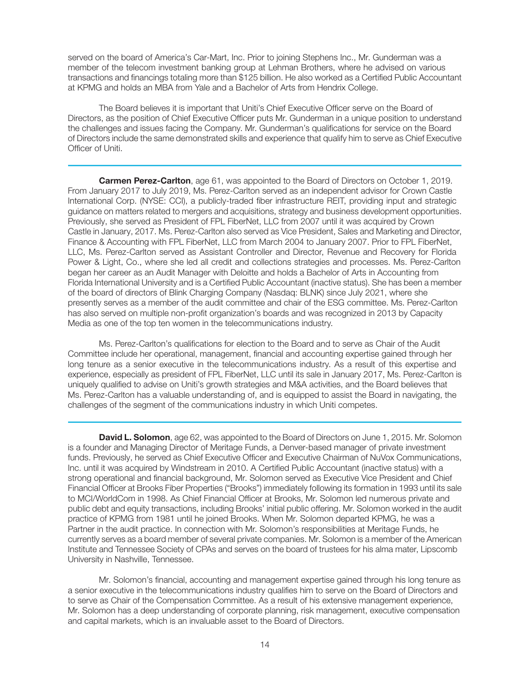served on the board of America's Car-Mart, Inc. Prior to joining Stephens Inc., Mr. Gunderman was a member of the telecom investment banking group at Lehman Brothers, where he advised on various transactions and financings totaling more than \$125 billion. He also worked as a Certified Public Accountant at KPMG and holds an MBA from Yale and a Bachelor of Arts from Hendrix College.

The Board believes it is important that Uniti's Chief Executive Officer serve on the Board of Directors, as the position of Chief Executive Officer puts Mr. Gunderman in a unique position to understand the challenges and issues facing the Company. Mr. Gunderman's qualifications for service on the Board of Directors include the same demonstrated skills and experience that qualify him to serve as Chief Executive Officer of Uniti.

**Carmen Perez-Carlton**, age 61, was appointed to the Board of Directors on October 1, 2019. From January 2017 to July 2019, Ms. Perez-Carlton served as an independent advisor for Crown Castle International Corp. (NYSE: CCI), a publicly-traded fiber infrastructure REIT, providing input and strategic guidance on matters related to mergers and acquisitions, strategy and business development opportunities. Previously, she served as President of FPL FiberNet, LLC from 2007 until it was acquired by Crown Castle in January, 2017. Ms. Perez-Carlton also served as Vice President, Sales and Marketing and Director, Finance & Accounting with FPL FiberNet, LLC from March 2004 to January 2007. Prior to FPL FiberNet, LLC, Ms. Perez-Carlton served as Assistant Controller and Director, Revenue and Recovery for Florida Power & Light, Co., where she led all credit and collections strategies and processes. Ms. Perez-Carlton began her career as an Audit Manager with Deloitte and holds a Bachelor of Arts in Accounting from Florida International University and is a Certified Public Accountant (inactive status). She has been a member of the board of directors of Blink Charging Company (Nasdaq: BLNK) since July 2021, where she presently serves as a member of the audit committee and chair of the ESG committee. Ms. Perez-Carlton has also served on multiple non-profit organization's boards and was recognized in 2013 by Capacity Media as one of the top ten women in the telecommunications industry.

Ms. Perez-Carlton's qualifications for election to the Board and to serve as Chair of the Audit Committee include her operational, management, financial and accounting expertise gained through her long tenure as a senior executive in the telecommunications industry. As a result of this expertise and experience, especially as president of FPL FiberNet, LLC until its sale in January 2017, Ms. Perez-Carlton is uniquely qualified to advise on Uniti's growth strategies and M&A activities, and the Board believes that Ms. Perez-Carlton has a valuable understanding of, and is equipped to assist the Board in navigating, the challenges of the segment of the communications industry in which Uniti competes.

**David L. Solomon**, age 62, was appointed to the Board of Directors on June 1, 2015. Mr. Solomon is a founder and Managing Director of Meritage Funds, a Denver-based manager of private investment funds. Previously, he served as Chief Executive Officer and Executive Chairman of NuVox Communications, Inc. until it was acquired by Windstream in 2010. A Certified Public Accountant (inactive status) with a strong operational and financial background, Mr. Solomon served as Executive Vice President and Chief Financial Officer at Brooks Fiber Properties ("Brooks") immediately following its formation in 1993 until its sale to MCI/WorldCom in 1998. As Chief Financial Officer at Brooks, Mr. Solomon led numerous private and public debt and equity transactions, including Brooks' initial public offering. Mr. Solomon worked in the audit practice of KPMG from 1981 until he joined Brooks. When Mr. Solomon departed KPMG, he was a Partner in the audit practice. In connection with Mr. Solomon's responsibilities at Meritage Funds, he currently serves as a board member of several private companies. Mr. Solomon is a member of the American Institute and Tennessee Society of CPAs and serves on the board of trustees for his alma mater, Lipscomb University in Nashville, Tennessee.

Mr. Solomon's financial, accounting and management expertise gained through his long tenure as a senior executive in the telecommunications industry qualifies him to serve on the Board of Directors and to serve as Chair of the Compensation Committee. As a result of his extensive management experience, Mr. Solomon has a deep understanding of corporate planning, risk management, executive compensation and capital markets, which is an invaluable asset to the Board of Directors.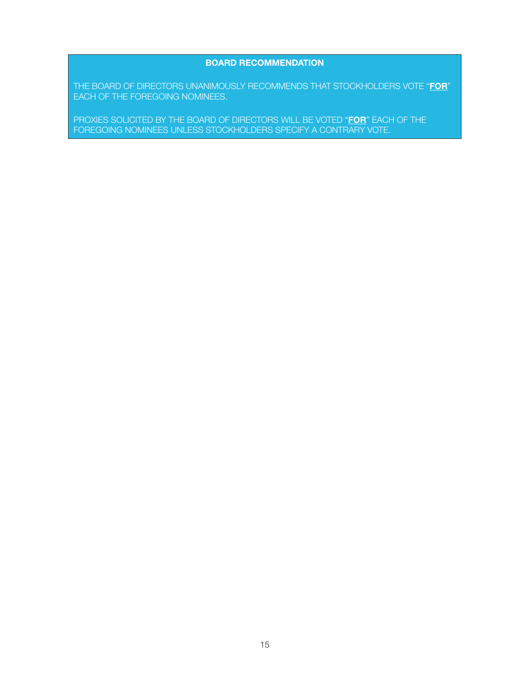## BOARD RECOMMENDATION

THE BOARD OF DIRECTORS UNANIMOUSLY RECOMMENDS THAT STOCKHOLDERS VOTE "FOR" EACH OF THE FOREGOING NOMINEES.

PROXIES SOLICITED BY THE BOARD OF DIRECTORS WILL BE VOTED "FOR" EACH OF THE FOREGOING NOMINEES UNLESS STOCKHOLDERS SPECIFY A CONTRARY VOTE.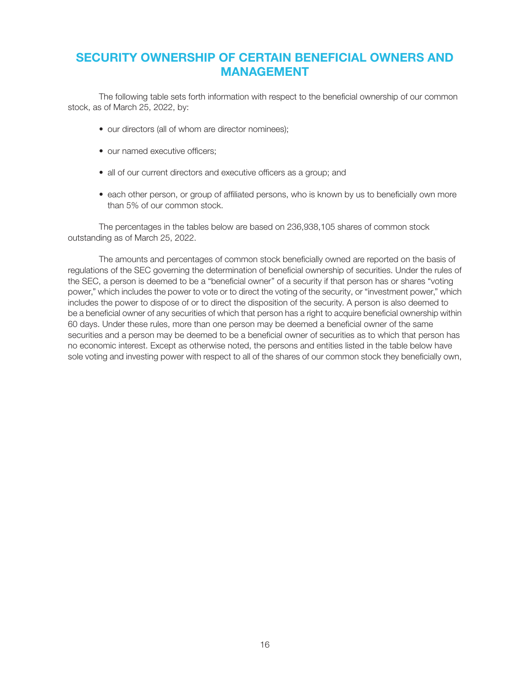# SECURITY OWNERSHIP OF CERTAIN BENEFICIAL OWNERS AND MANAGEMENT

The following table sets forth information with respect to the beneficial ownership of our common stock, as of March 25, 2022, by:

- our directors (all of whom are director nominees);
- our named executive officers:
- all of our current directors and executive officers as a group; and
- each other person, or group of affiliated persons, who is known by us to beneficially own more than 5% of our common stock.

The percentages in the tables below are based on 236,938,105 shares of common stock outstanding as of March 25, 2022.

The amounts and percentages of common stock beneficially owned are reported on the basis of regulations of the SEC governing the determination of beneficial ownership of securities. Under the rules of the SEC, a person is deemed to be a "beneficial owner" of a security if that person has or shares "voting power," which includes the power to vote or to direct the voting of the security, or "investment power," which includes the power to dispose of or to direct the disposition of the security. A person is also deemed to be a beneficial owner of any securities of which that person has a right to acquire beneficial ownership within 60 days. Under these rules, more than one person may be deemed a beneficial owner of the same securities and a person may be deemed to be a beneficial owner of securities as to which that person has no economic interest. Except as otherwise noted, the persons and entities listed in the table below have sole voting and investing power with respect to all of the shares of our common stock they beneficially own,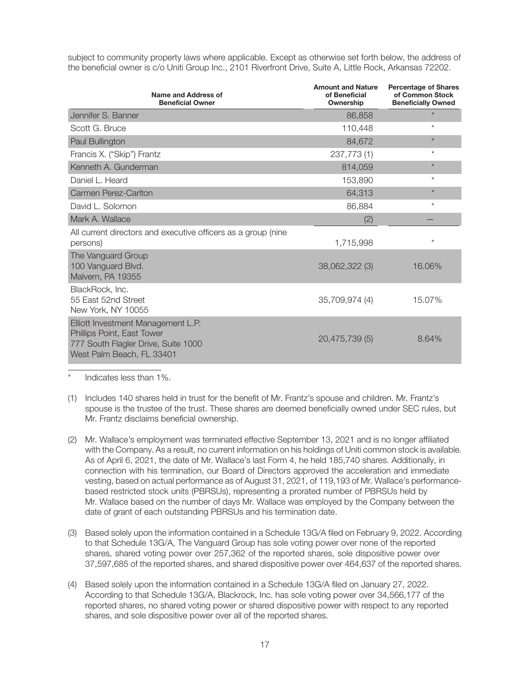subject to community property laws where applicable. Except as otherwise set forth below, the address of the beneficial owner is c/o Uniti Group Inc., 2101 Riverfront Drive, Suite A, Little Rock, Arkansas 72202.

| Name and Address of<br><b>Beneficial Owner</b>                                                                                       | <b>Amount and Nature</b><br>of Beneficial<br>Ownership | <b>Percentage of Shares</b><br>of Common Stock<br><b>Beneficially Owned</b> |
|--------------------------------------------------------------------------------------------------------------------------------------|--------------------------------------------------------|-----------------------------------------------------------------------------|
| Jennifer S. Banner                                                                                                                   | 86,858                                                 | $\star$                                                                     |
| Scott G. Bruce                                                                                                                       | 110,448                                                | $^{\star}$                                                                  |
| Paul Bullington                                                                                                                      | 84,672                                                 | $\star$                                                                     |
| Francis X. ("Skip") Frantz                                                                                                           | 237,773(1)                                             | $^{\star}$                                                                  |
| Kenneth A. Gunderman                                                                                                                 | 814,059                                                | $\star$                                                                     |
| Daniel L. Heard                                                                                                                      | 153,890                                                | $\star$                                                                     |
| Carmen Perez-Carlton                                                                                                                 | 64,313                                                 | $\star$                                                                     |
| David L. Solomon                                                                                                                     | 86,884                                                 | $^\star$                                                                    |
| Mark A. Wallace                                                                                                                      | (2)                                                    |                                                                             |
| All current directors and executive officers as a group (nine<br>persons)                                                            | 1,715,998                                              | *                                                                           |
| The Vanguard Group<br>100 Vanguard Blvd.<br>Malvern, PA 19355                                                                        | 38,062,322 (3)                                         | 16.06%                                                                      |
| BlackRock, Inc.<br>55 East 52nd Street<br>New York, NY 10055                                                                         | 35,709,974 (4)                                         | 15.07%                                                                      |
| Elliott Investment Management L.P.<br>Phillips Point, East Tower<br>777 South Flagler Drive, Suite 1000<br>West Palm Beach, FL 33401 | 20,475,739 (5)                                         | 8.64%                                                                       |

Indicates less than 1%.

- (1) Includes 140 shares held in trust for the benefit of Mr. Frantz's spouse and children. Mr. Frantz's spouse is the trustee of the trust. These shares are deemed beneficially owned under SEC rules, but Mr. Frantz disclaims beneficial ownership.
- (2) Mr. Wallace's employment was terminated effective September 13, 2021 and is no longer affiliated with the Company. As a result, no current information on his holdings of Uniti common stock is available. As of April 6, 2021, the date of Mr. Wallace's last Form 4, he held 185,740 shares. Additionally, in connection with his termination, our Board of Directors approved the acceleration and immediate vesting, based on actual performance as of August 31, 2021, of 119,193 of Mr. Wallace's performancebased restricted stock units (PBRSUs), representing a prorated number of PBRSUs held by Mr. Wallace based on the number of days Mr. Wallace was employed by the Company between the date of grant of each outstanding PBRSUs and his termination date.
- (3) Based solely upon the information contained in a Schedule 13G/A filed on February 9, 2022. According to that Schedule 13G/A, The Vanguard Group has sole voting power over none of the reported shares, shared voting power over 257,362 of the reported shares, sole dispositive power over 37,597,685 of the reported shares, and shared dispositive power over 464,637 of the reported shares.
- (4) Based solely upon the information contained in a Schedule 13G/A filed on January 27, 2022. According to that Schedule 13G/A, Blackrock, Inc. has sole voting power over 34,566,177 of the reported shares, no shared voting power or shared dispositive power with respect to any reported shares, and sole dispositive power over all of the reported shares.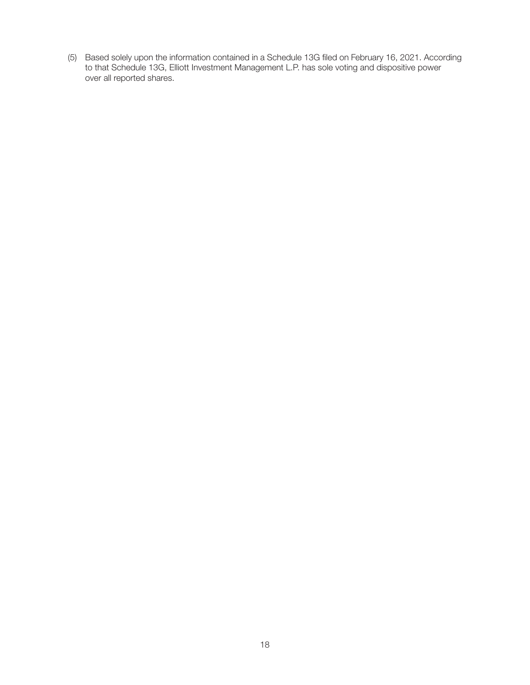(5) Based solely upon the information contained in a Schedule 13G filed on February 16, 2021. According to that Schedule 13G, Elliott Investment Management L.P. has sole voting and dispositive power over all reported shares.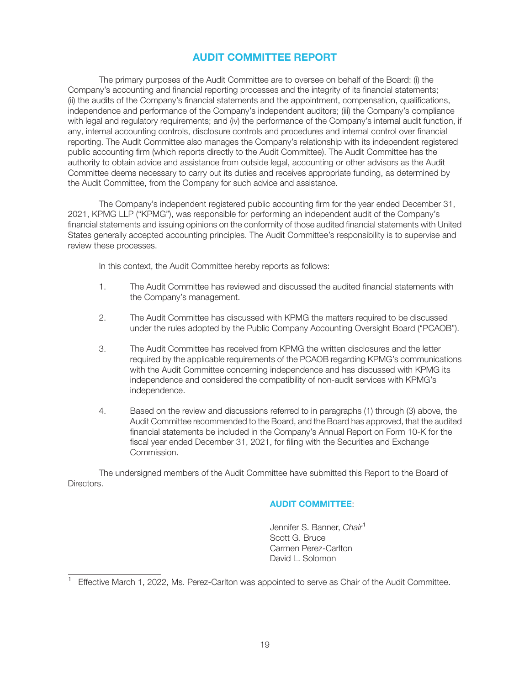# AUDIT COMMITTEE REPORT

The primary purposes of the Audit Committee are to oversee on behalf of the Board: (i) the Company's accounting and financial reporting processes and the integrity of its financial statements; (ii) the audits of the Company's financial statements and the appointment, compensation, qualifications, independence and performance of the Company's independent auditors; (iii) the Company's compliance with legal and regulatory requirements; and (iv) the performance of the Company's internal audit function, if any, internal accounting controls, disclosure controls and procedures and internal control over financial reporting. The Audit Committee also manages the Company's relationship with its independent registered public accounting firm (which reports directly to the Audit Committee). The Audit Committee has the authority to obtain advice and assistance from outside legal, accounting or other advisors as the Audit Committee deems necessary to carry out its duties and receives appropriate funding, as determined by the Audit Committee, from the Company for such advice and assistance.

The Company's independent registered public accounting firm for the year ended December 31, 2021, KPMG LLP ("KPMG"), was responsible for performing an independent audit of the Company's financial statements and issuing opinions on the conformity of those audited financial statements with United States generally accepted accounting principles. The Audit Committee's responsibility is to supervise and review these processes.

In this context, the Audit Committee hereby reports as follows:

- 1. The Audit Committee has reviewed and discussed the audited financial statements with the Company's management.
- 2. The Audit Committee has discussed with KPMG the matters required to be discussed under the rules adopted by the Public Company Accounting Oversight Board ("PCAOB").
- 3. The Audit Committee has received from KPMG the written disclosures and the letter required by the applicable requirements of the PCAOB regarding KPMG's communications with the Audit Committee concerning independence and has discussed with KPMG its independence and considered the compatibility of non-audit services with KPMG's independence.
- 4. Based on the review and discussions referred to in paragraphs (1) through (3) above, the Audit Committee recommended to the Board, and the Board has approved, that the audited financial statements be included in the Company's Annual Report on Form 10-K for the fiscal year ended December 31, 2021, for filing with the Securities and Exchange Commission.

The undersigned members of the Audit Committee have submitted this Report to the Board of Directors.

## AUDIT COMMITTEE:

Jennifer S. Banner, Chair<sup>1</sup> Scott G. Bruce Carmen Perez-Carlton David L. Solomon

Effective March 1, 2022, Ms. Perez-Carlton was appointed to serve as Chair of the Audit Committee.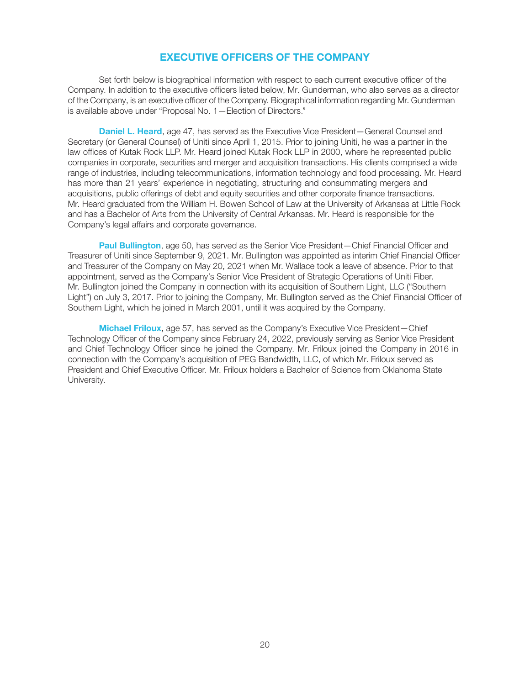# EXECUTIVE OFFICERS OF THE COMPANY

Set forth below is biographical information with respect to each current executive officer of the Company. In addition to the executive officers listed below, Mr. Gunderman, who also serves as a director of the Company, is an executive officer of the Company. Biographical information regarding Mr. Gunderman is available above under "Proposal No. 1—Election of Directors."

**Daniel L. Heard, age 47, has served as the Executive Vice President–General Counsel and** Secretary (or General Counsel) of Uniti since April 1, 2015. Prior to joining Uniti, he was a partner in the law offices of Kutak Rock LLP. Mr. Heard joined Kutak Rock LLP in 2000, where he represented public companies in corporate, securities and merger and acquisition transactions. His clients comprised a wide range of industries, including telecommunications, information technology and food processing. Mr. Heard has more than 21 years' experience in negotiating, structuring and consummating mergers and acquisitions, public offerings of debt and equity securities and other corporate finance transactions. Mr. Heard graduated from the William H. Bowen School of Law at the University of Arkansas at Little Rock and has a Bachelor of Arts from the University of Central Arkansas. Mr. Heard is responsible for the Company's legal affairs and corporate governance.

Paul Bullington, age 50, has served as the Senior Vice President—Chief Financial Officer and Treasurer of Uniti since September 9, 2021. Mr. Bullington was appointed as interim Chief Financial Officer and Treasurer of the Company on May 20, 2021 when Mr. Wallace took a leave of absence. Prior to that appointment, served as the Company's Senior Vice President of Strategic Operations of Uniti Fiber. Mr. Bullington joined the Company in connection with its acquisition of Southern Light, LLC ("Southern Light") on July 3, 2017. Prior to joining the Company, Mr. Bullington served as the Chief Financial Officer of Southern Light, which he joined in March 2001, until it was acquired by the Company.

Michael Friloux, age 57, has served as the Company's Executive Vice President—Chief Technology Officer of the Company since February 24, 2022, previously serving as Senior Vice President and Chief Technology Officer since he joined the Company. Mr. Friloux joined the Company in 2016 in connection with the Company's acquisition of PEG Bandwidth, LLC, of which Mr. Friloux served as President and Chief Executive Officer. Mr. Friloux holders a Bachelor of Science from Oklahoma State University.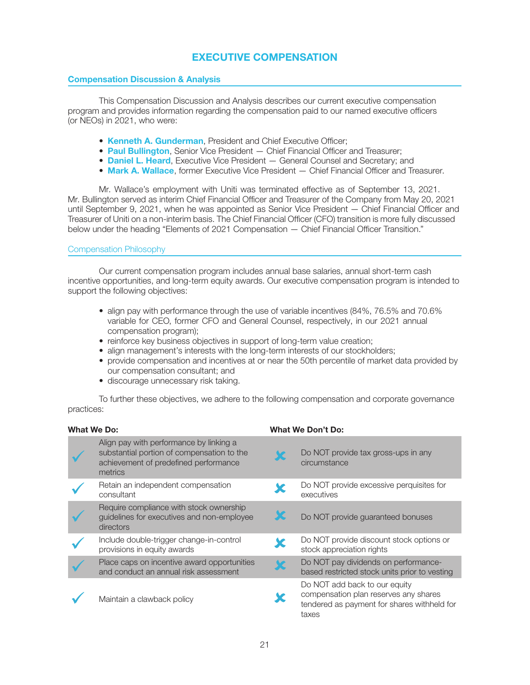# EXECUTIVE COMPENSATION

## Compensation Discussion & Analysis

This Compensation Discussion and Analysis describes our current executive compensation program and provides information regarding the compensation paid to our named executive officers (or NEOs) in 2021, who were:

- Kenneth A. Gunderman, President and Chief Executive Officer;
- Paul Bullington, Senior Vice President Chief Financial Officer and Treasurer;
- Daniel L. Heard, Executive Vice President General Counsel and Secretary; and
- Mark A. Wallace, former Executive Vice President Chief Financial Officer and Treasurer.

Mr. Wallace's employment with Uniti was terminated effective as of September 13, 2021. Mr. Bullington served as interim Chief Financial Officer and Treasurer of the Company from May 20, 2021 until September 9, 2021, when he was appointed as Senior Vice President — Chief Financial Officer and Treasurer of Uniti on a non-interim basis. The Chief Financial Officer (CFO) transition is more fully discussed below under the heading "Elements of 2021 Compensation — Chief Financial Officer Transition."

## Compensation Philosophy

Our current compensation program includes annual base salaries, annual short-term cash incentive opportunities, and long-term equity awards. Our executive compensation program is intended to support the following objectives:

- align pay with performance through the use of variable incentives (84%, 76.5% and 70.6%) variable for CEO, former CFO and General Counsel, respectively, in our 2021 annual compensation program);
- reinforce key business objectives in support of long-term value creation;
- align management's interests with the long-term interests of our stockholders;
- provide compensation and incentives at or near the 50th percentile of market data provided by our compensation consultant; and
- discourage unnecessary risk taking.

To further these objectives, we adhere to the following compensation and corporate governance practices:

| What We Do: |                                                                                                                                           | <b>What We Don't Do:</b> |                                                                                                                                |  |
|-------------|-------------------------------------------------------------------------------------------------------------------------------------------|--------------------------|--------------------------------------------------------------------------------------------------------------------------------|--|
|             | Align pay with performance by linking a<br>substantial portion of compensation to the<br>achievement of predefined performance<br>metrics |                          | Do NOT provide tax gross-ups in any<br>circumstance                                                                            |  |
|             | Retain an independent compensation<br>consultant                                                                                          |                          | Do NOT provide excessive perquisites for<br>executives                                                                         |  |
|             | Require compliance with stock ownership<br>guidelines for executives and non-employee<br>directors                                        | Ж                        | Do NOT provide guaranteed bonuses                                                                                              |  |
|             | Include double-trigger change-in-control<br>provisions in equity awards                                                                   | Х                        | Do NOT provide discount stock options or<br>stock appreciation rights                                                          |  |
|             | Place caps on incentive award opportunities<br>and conduct an annual risk assessment                                                      | Ж                        | Do NOT pay dividends on performance-<br>based restricted stock units prior to vesting                                          |  |
|             | Maintain a clawback policy                                                                                                                |                          | Do NOT add back to our equity<br>compensation plan reserves any shares<br>tendered as payment for shares withheld for<br>taxes |  |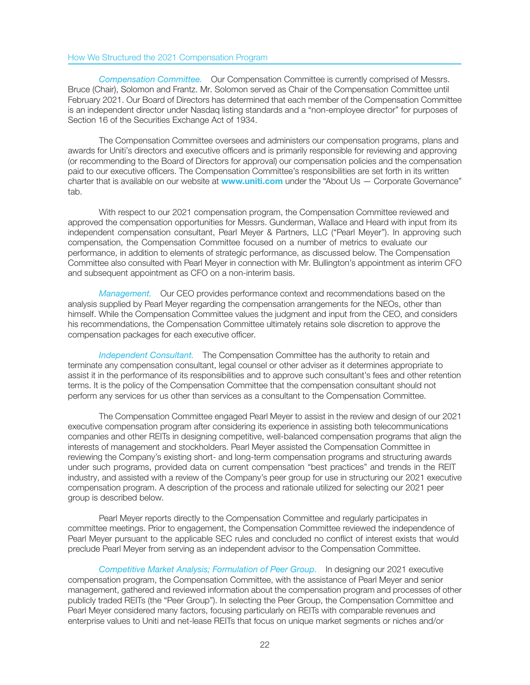## How We Structured the 2021 Compensation Program

Compensation Committee. Our Compensation Committee is currently comprised of Messrs. Bruce (Chair), Solomon and Frantz. Mr. Solomon served as Chair of the Compensation Committee until February 2021. Our Board of Directors has determined that each member of the Compensation Committee is an independent director under Nasdaq listing standards and a "non-employee director" for purposes of Section 16 of the Securities Exchange Act of 1934.

The Compensation Committee oversees and administers our compensation programs, plans and awards for Uniti's directors and executive officers and is primarily responsible for reviewing and approving (or recommending to the Board of Directors for approval) our compensation policies and the compensation paid to our executive officers. The Compensation Committee's responsibilities are set forth in its written charter that is available on our website at **www.uniti.com** under the "About Us - Corporate Governance" tab.

With respect to our 2021 compensation program, the Compensation Committee reviewed and approved the compensation opportunities for Messrs. Gunderman, Wallace and Heard with input from its independent compensation consultant, Pearl Meyer & Partners, LLC ("Pearl Meyer"). In approving such compensation, the Compensation Committee focused on a number of metrics to evaluate our performance, in addition to elements of strategic performance, as discussed below. The Compensation Committee also consulted with Pearl Meyer in connection with Mr. Bullington's appointment as interim CFO and subsequent appointment as CFO on a non-interim basis.

Management. Our CEO provides performance context and recommendations based on the analysis supplied by Pearl Meyer regarding the compensation arrangements for the NEOs, other than himself. While the Compensation Committee values the judgment and input from the CEO, and considers his recommendations, the Compensation Committee ultimately retains sole discretion to approve the compensation packages for each executive officer.

Independent Consultant. The Compensation Committee has the authority to retain and terminate any compensation consultant, legal counsel or other adviser as it determines appropriate to assist it in the performance of its responsibilities and to approve such consultant's fees and other retention terms. It is the policy of the Compensation Committee that the compensation consultant should not perform any services for us other than services as a consultant to the Compensation Committee.

The Compensation Committee engaged Pearl Meyer to assist in the review and design of our 2021 executive compensation program after considering its experience in assisting both telecommunications companies and other REITs in designing competitive, well-balanced compensation programs that align the interests of management and stockholders. Pearl Meyer assisted the Compensation Committee in reviewing the Company's existing short- and long-term compensation programs and structuring awards under such programs, provided data on current compensation "best practices" and trends in the REIT industry, and assisted with a review of the Company's peer group for use in structuring our 2021 executive compensation program. A description of the process and rationale utilized for selecting our 2021 peer group is described below.

Pearl Meyer reports directly to the Compensation Committee and regularly participates in committee meetings. Prior to engagement, the Compensation Committee reviewed the independence of Pearl Meyer pursuant to the applicable SEC rules and concluded no conflict of interest exists that would preclude Pearl Meyer from serving as an independent advisor to the Compensation Committee.

Competitive Market Analysis; Formulation of Peer Group. In designing our 2021 executive compensation program, the Compensation Committee, with the assistance of Pearl Meyer and senior management, gathered and reviewed information about the compensation program and processes of other publicly traded REITs (the "Peer Group"). In selecting the Peer Group, the Compensation Committee and Pearl Meyer considered many factors, focusing particularly on REITs with comparable revenues and enterprise values to Uniti and net-lease REITs that focus on unique market segments or niches and/or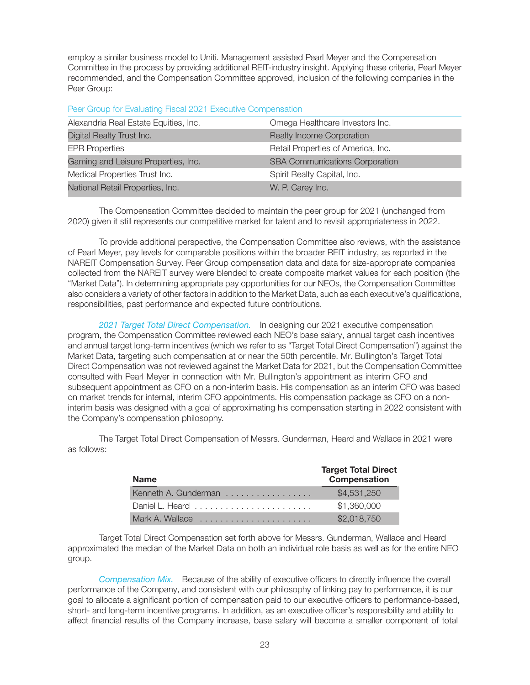employ a similar business model to Uniti. Management assisted Pearl Meyer and the Compensation Committee in the process by providing additional REIT-industry insight. Applying these criteria, Pearl Meyer recommended, and the Compensation Committee approved, inclusion of the following companies in the Peer Group:

Peer Group for Evaluating Fiscal 2021 Executive Compensation

| Alexandria Real Estate Equities, Inc. | Omega Healthcare Investors Inc.       |
|---------------------------------------|---------------------------------------|
| Digital Realty Trust Inc.             | <b>Realty Income Corporation</b>      |
| <b>EPR Properties</b>                 | Retail Properties of America, Inc.    |
| Gaming and Leisure Properties, Inc.   | <b>SBA Communications Corporation</b> |
| Medical Properties Trust Inc.         | Spirit Realty Capital, Inc.           |
| National Retail Properties, Inc.      | W. P. Carey Inc.                      |

The Compensation Committee decided to maintain the peer group for 2021 (unchanged from 2020) given it still represents our competitive market for talent and to revisit appropriateness in 2022.

To provide additional perspective, the Compensation Committee also reviews, with the assistance of Pearl Meyer, pay levels for comparable positions within the broader REIT industry, as reported in the NAREIT Compensation Survey. Peer Group compensation data and data for size-appropriate companies collected from the NAREIT survey were blended to create composite market values for each position (the "Market Data"). In determining appropriate pay opportunities for our NEOs, the Compensation Committee also considers a variety of other factors in addition to the Market Data, such as each executive's qualifications, responsibilities, past performance and expected future contributions.

2021 Target Total Direct Compensation. In designing our 2021 executive compensation program, the Compensation Committee reviewed each NEO's base salary, annual target cash incentives and annual target long-term incentives (which we refer to as "Target Total Direct Compensation") against the Market Data, targeting such compensation at or near the 50th percentile. Mr. Bullington's Target Total Direct Compensation was not reviewed against the Market Data for 2021, but the Compensation Committee consulted with Pearl Meyer in connection with Mr. Bullington's appointment as interim CFO and subsequent appointment as CFO on a non-interim basis. His compensation as an interim CFO was based on market trends for internal, interim CFO appointments. His compensation package as CFO on a noninterim basis was designed with a goal of approximating his compensation starting in 2022 consistent with the Company's compensation philosophy.

> Name Target Total Direct Compensation Kenneth A. Gunderman . . . . . . . . . . . . . . . . . \$4,531,250 Daniel L. Heard ....................... \$1,360,000 Mark A. Wallace ...................... \$2,018,750

The Target Total Direct Compensation of Messrs. Gunderman, Heard and Wallace in 2021 were as follows:

Target Total Direct Compensation set forth above for Messrs. Gunderman, Wallace and Heard approximated the median of the Market Data on both an individual role basis as well as for the entire NEO group.

Compensation Mix. Because of the ability of executive officers to directly influence the overall performance of the Company, and consistent with our philosophy of linking pay to performance, it is our goal to allocate a significant portion of compensation paid to our executive officers to performance-based, short- and long-term incentive programs. In addition, as an executive officer's responsibility and ability to affect financial results of the Company increase, base salary will become a smaller component of total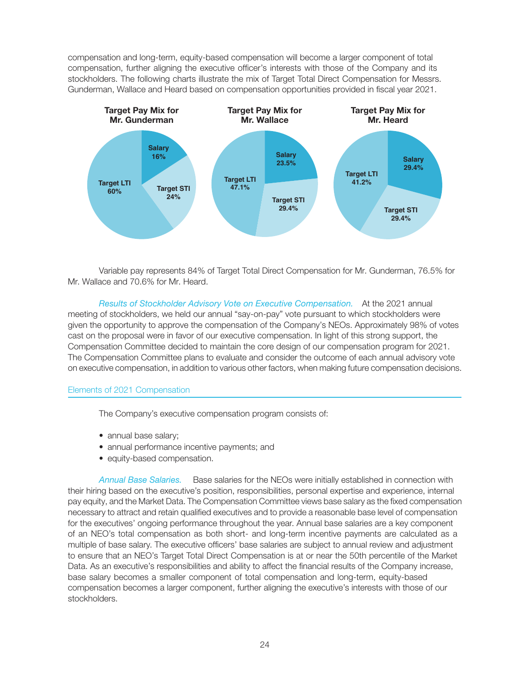compensation and long-term, equity-based compensation will become a larger component of total compensation, further aligning the executive officer's interests with those of the Company and its stockholders. The following charts illustrate the mix of Target Total Direct Compensation for Messrs. Gunderman, Wallace and Heard based on compensation opportunities provided in fiscal year 2021.



Variable pay represents 84% of Target Total Direct Compensation for Mr. Gunderman, 76.5% for Mr. Wallace and 70.6% for Mr. Heard.

Results of Stockholder Advisory Vote on Executive Compensation. At the 2021 annual meeting of stockholders, we held our annual "say-on-pay" vote pursuant to which stockholders were given the opportunity to approve the compensation of the Company's NEOs. Approximately 98% of votes cast on the proposal were in favor of our executive compensation. In light of this strong support, the Compensation Committee decided to maintain the core design of our compensation program for 2021. The Compensation Committee plans to evaluate and consider the outcome of each annual advisory vote on executive compensation, in addition to various other factors, when making future compensation decisions.

## Elements of 2021 Compensation

The Company's executive compensation program consists of:

- annual base salary:
- annual performance incentive payments; and
- equity-based compensation.

Annual Base Salaries. Base salaries for the NEOs were initially established in connection with their hiring based on the executive's position, responsibilities, personal expertise and experience, internal pay equity, and the Market Data. The Compensation Committee views base salary as the fixed compensation necessary to attract and retain qualified executives and to provide a reasonable base level of compensation for the executives' ongoing performance throughout the year. Annual base salaries are a key component of an NEO's total compensation as both short- and long-term incentive payments are calculated as a multiple of base salary. The executive officers' base salaries are subject to annual review and adjustment to ensure that an NEO's Target Total Direct Compensation is at or near the 50th percentile of the Market Data. As an executive's responsibilities and ability to affect the financial results of the Company increase, base salary becomes a smaller component of total compensation and long-term, equity-based compensation becomes a larger component, further aligning the executive's interests with those of our stockholders.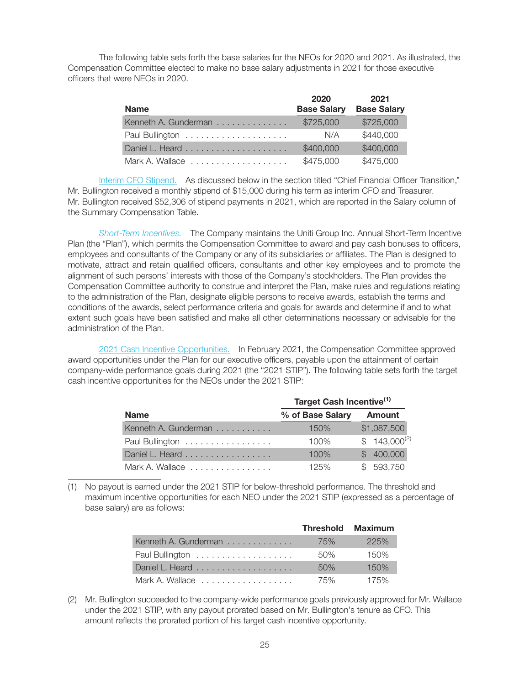The following table sets forth the base salaries for the NEOs for 2020 and 2021. As illustrated, the Compensation Committee elected to make no base salary adjustments in 2021 for those executive officers that were NEOs in 2020.

| <b>Name</b>          | 2020<br><b>Base Salary</b> | 2021<br><b>Base Salary</b> |
|----------------------|----------------------------|----------------------------|
| Kenneth A. Gunderman | \$725,000                  | \$725,000                  |
|                      | N/A                        | \$440,000                  |
|                      | \$400,000                  | \$400,000                  |
| Mark A. Wallace      | \$475,000                  | \$475,000                  |

Interim CFO Stipend. As discussed below in the section titled "Chief Financial Officer Transition," Mr. Bullington received a monthly stipend of \$15,000 during his term as interim CFO and Treasurer. Mr. Bullington received \$52,306 of stipend payments in 2021, which are reported in the Salary column of the Summary Compensation Table.

Short-Term Incentives. The Company maintains the Uniti Group Inc. Annual Short-Term Incentive Plan (the "Plan"), which permits the Compensation Committee to award and pay cash bonuses to officers, employees and consultants of the Company or any of its subsidiaries or affiliates. The Plan is designed to motivate, attract and retain qualified officers, consultants and other key employees and to promote the alignment of such persons' interests with those of the Company's stockholders. The Plan provides the Compensation Committee authority to construe and interpret the Plan, make rules and regulations relating to the administration of the Plan, designate eligible persons to receive awards, establish the terms and conditions of the awards, select performance criteria and goals for awards and determine if and to what extent such goals have been satisfied and make all other determinations necessary or advisable for the administration of the Plan.

2021 Cash Incentive Opportunities. In February 2021, the Compensation Committee approved award opportunities under the Plan for our executive officers, payable upon the attainment of certain company-wide performance goals during 2021 (the "2021 STIP"). The following table sets forth the target cash incentive opportunities for the NEOs under the 2021 STIP:

|                      | Target Cash Incentive <sup>(1)</sup> |                  |  |  |
|----------------------|--------------------------------------|------------------|--|--|
| <b>Name</b>          | % of Base Salary                     | Amount           |  |  |
| Kenneth A. Gunderman | 150%                                 | \$1,087,500      |  |  |
| Paul Bullington      | $100\%$                              | $$143,000^{(2)}$ |  |  |
| Daniel L. Heard      | 100%                                 | \$400,000        |  |  |
| Mark A. Wallace      | 125%                                 | \$593,750        |  |  |

(1) No payout is earned under the 2021 STIP for below-threshold performance. The threshold and maximum incentive opportunities for each NEO under the 2021 STIP (expressed as a percentage of base salary) are as follows:

|                      | <b>Threshold Maximum</b> |      |
|----------------------|--------------------------|------|
| Kenneth A. Gunderman | 75%                      | 225% |
| Paul Bullington      | 50%                      | 150% |
|                      | 50%                      | 150% |
| Mark A. Wallace      | 75%                      | 175% |

(2) Mr. Bullington succeeded to the company-wide performance goals previously approved for Mr. Wallace under the 2021 STIP, with any payout prorated based on Mr. Bullington's tenure as CFO. This amount reflects the prorated portion of his target cash incentive opportunity.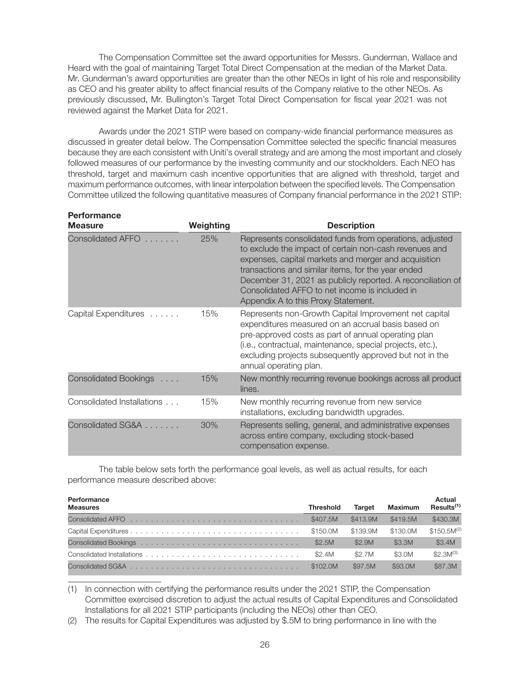The Compensation Committee set the award opportunities for Messrs. Gunderman, Wallace and Heard with the goal of maintaining Target Total Direct Compensation at the median of the Market Data. Mr. Gunderman's award opportunities are greater than the other NEOs in light of his role and responsibility as CEO and his greater ability to affect financial results of the Company relative to the other NEOs. As previously discussed, Mr. Bullington's Target Total Direct Compensation for fiscal year 2021 was not reviewed against the Market Data for 2021.

Awards under the 2021 STIP were based on company-wide financial performance measures as discussed in greater detail below. The Compensation Committee selected the specific financial measures because they are each consistent with Uniti's overall strategy and are among the most important and closely followed measures of our performance by the investing community and our stockholders. Each NEO has threshold, target and maximum cash incentive opportunities that are aligned with threshold, target and maximum performance outcomes, with linear interpolation between the specified levels. The Compensation Committee utilized the following quantitative measures of Company financial performance in the 2021 STIP:

| <b>Performance</b><br><b>Measure</b> | Weighting | <b>Description</b>                                                                                                                                                                                                                                                                                                                                                                      |
|--------------------------------------|-----------|-----------------------------------------------------------------------------------------------------------------------------------------------------------------------------------------------------------------------------------------------------------------------------------------------------------------------------------------------------------------------------------------|
| <b>Consolidated AFFO</b>             | 25%       | Represents consolidated funds from operations, adjusted<br>to exclude the impact of certain non-cash revenues and<br>expenses, capital markets and merger and acquisition<br>transactions and similar items, for the year ended<br>December 31, 2021 as publicly reported. A reconciliation of<br>Consolidated AFFO to net income is included in<br>Appendix A to this Proxy Statement. |
| Capital Expenditures                 | 15%       | Represents non-Growth Capital Improvement net capital<br>expenditures measured on an accrual basis based on<br>pre-approved costs as part of annual operating plan<br>(i.e., contractual, maintenance, special projects, etc.),<br>excluding projects subsequently approved but not in the<br>annual operating plan.                                                                    |
| Consolidated Bookings                | 15%       | New monthly recurring revenue bookings across all product<br>lines.                                                                                                                                                                                                                                                                                                                     |
| Consolidated Installations           | 15%       | New monthly recurring revenue from new service<br>installations, excluding bandwidth upgrades.                                                                                                                                                                                                                                                                                          |
| Consolidated SG&A                    | 30%       | Represents selling, general, and administrative expenses<br>across entire company, excluding stock-based<br>compensation expense.                                                                                                                                                                                                                                                       |

The table below sets forth the performance goal levels, as well as actual results, for each performance measure described above:

| Performance<br><b>Measures</b> | <b>Threshold</b> | <b>Target</b> | <b>Maximum</b> | <b>Actual</b><br>Results <sup>(1)</sup> |
|--------------------------------|------------------|---------------|----------------|-----------------------------------------|
|                                | \$407.5M         | \$413.9M      | \$419.5M       | \$430.3M                                |
|                                | \$150.0M         | \$139.9M      | \$130.0M       | $$150.5M^{(2)}$                         |
|                                | \$2.5M           | \$2.9M        | \$3.3M         | \$3.4M                                  |
|                                | \$2.4M           | \$2.7M        | \$3.0M         | $$2.3M^{(3)}$                           |
|                                | \$102.0M         | \$97.5M       | \$93.0M        | \$87.3M                                 |

(1) In connection with certifying the performance results under the 2021 STIP, the Compensation Committee exercised discretion to adjust the actual results of Capital Expenditures and Consolidated Installations for all 2021 STIP participants (including the NEOs) other than CEO.

(2) The results for Capital Expenditures was adjusted by \$.5M to bring performance in line with the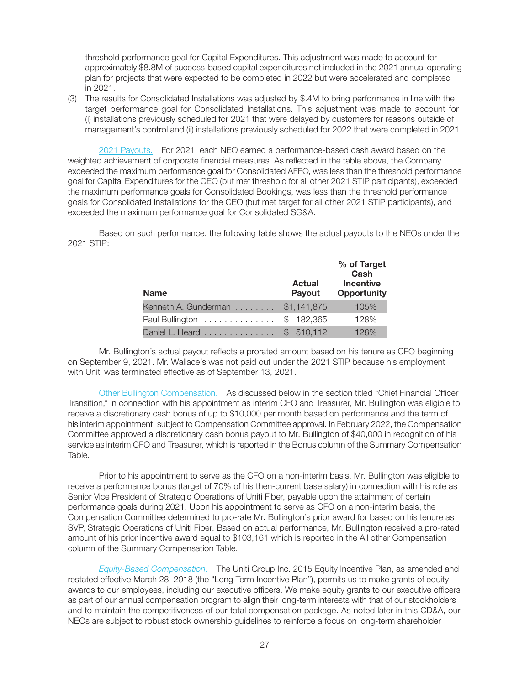threshold performance goal for Capital Expenditures. This adjustment was made to account for approximately \$8.8M of success-based capital expenditures not included in the 2021 annual operating plan for projects that were expected to be completed in 2022 but were accelerated and completed in 2021.

(3) The results for Consolidated Installations was adjusted by \$.4M to bring performance in line with the target performance goal for Consolidated Installations. This adjustment was made to account for (i) installations previously scheduled for 2021 that were delayed by customers for reasons outside of management's control and (ii) installations previously scheduled for 2022 that were completed in 2021.

2021 Payouts. For 2021, each NEO earned a performance-based cash award based on the weighted achievement of corporate financial measures. As reflected in the table above, the Company exceeded the maximum performance goal for Consolidated AFFO, was less than the threshold performance goal for Capital Expenditures for the CEO (but met threshold for all other 2021 STIP participants), exceeded the maximum performance goals for Consolidated Bookings, was less than the threshold performance goals for Consolidated Installations for the CEO (but met target for all other 2021 STIP participants), and exceeded the maximum performance goal for Consolidated SG&A.

Based on such performance, the following table shows the actual payouts to the NEOs under the 2021 STIP:

| <b>Name</b>          | <b>Actual</b><br><b>Payout</b> | % of Target<br>Cash<br><b>Incentive</b><br><b>Opportunity</b> |
|----------------------|--------------------------------|---------------------------------------------------------------|
| Kenneth A. Gunderman | \$1,141,875                    | 105%                                                          |
| Paul Bullington      | \$182,365                      | 128%                                                          |
| Daniel L. Heard      | \$510.112                      | 128%                                                          |

Mr. Bullington's actual payout reflects a prorated amount based on his tenure as CFO beginning on September 9, 2021. Mr. Wallace's was not paid out under the 2021 STIP because his employment with Uniti was terminated effective as of September 13, 2021.

Other Bullington Compensation. As discussed below in the section titled "Chief Financial Officer Transition," in connection with his appointment as interim CFO and Treasurer, Mr. Bullington was eligible to receive a discretionary cash bonus of up to \$10,000 per month based on performance and the term of his interim appointment, subject to Compensation Committee approval. In February 2022, the Compensation Committee approved a discretionary cash bonus payout to Mr. Bullington of \$40,000 in recognition of his service as interim CFO and Treasurer, which is reported in the Bonus column of the Summary Compensation Table.

Prior to his appointment to serve as the CFO on a non-interim basis, Mr. Bullington was eligible to receive a performance bonus (target of 70% of his then-current base salary) in connection with his role as Senior Vice President of Strategic Operations of Uniti Fiber, payable upon the attainment of certain performance goals during 2021. Upon his appointment to serve as CFO on a non-interim basis, the Compensation Committee determined to pro-rate Mr. Bullington's prior award for based on his tenure as SVP, Strategic Operations of Uniti Fiber. Based on actual performance, Mr. Bullington received a pro-rated amount of his prior incentive award equal to \$103,161 which is reported in the All other Compensation column of the Summary Compensation Table.

Equity-Based Compensation. The Uniti Group Inc. 2015 Equity Incentive Plan, as amended and restated effective March 28, 2018 (the "Long-Term Incentive Plan"), permits us to make grants of equity awards to our employees, including our executive officers. We make equity grants to our executive officers as part of our annual compensation program to align their long-term interests with that of our stockholders and to maintain the competitiveness of our total compensation package. As noted later in this CD&A, our NEOs are subject to robust stock ownership guidelines to reinforce a focus on long-term shareholder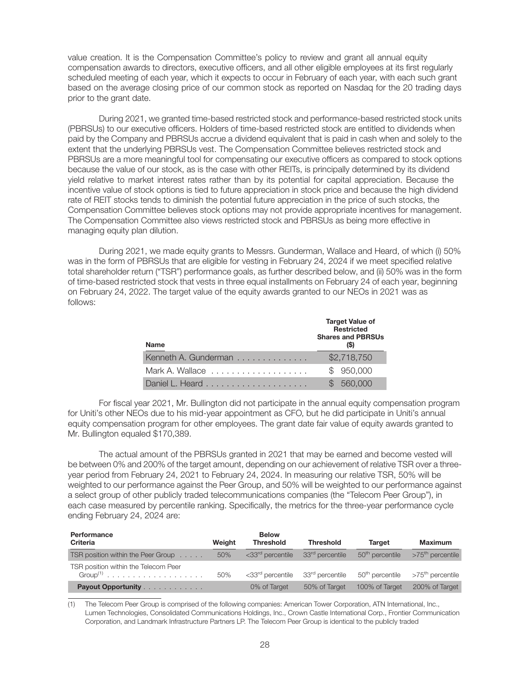value creation. It is the Compensation Committee's policy to review and grant all annual equity compensation awards to directors, executive officers, and all other eligible employees at its first regularly scheduled meeting of each year, which it expects to occur in February of each year, with each such grant based on the average closing price of our common stock as reported on Nasdaq for the 20 trading days prior to the grant date.

During 2021, we granted time-based restricted stock and performance-based restricted stock units (PBRSUs) to our executive officers. Holders of time-based restricted stock are entitled to dividends when paid by the Company and PBRSUs accrue a dividend equivalent that is paid in cash when and solely to the extent that the underlying PBRSUs vest. The Compensation Committee believes restricted stock and PBRSUs are a more meaningful tool for compensating our executive officers as compared to stock options because the value of our stock, as is the case with other REITs, is principally determined by its dividend yield relative to market interest rates rather than by its potential for capital appreciation. Because the incentive value of stock options is tied to future appreciation in stock price and because the high dividend rate of REIT stocks tends to diminish the potential future appreciation in the price of such stocks, the Compensation Committee believes stock options may not provide appropriate incentives for management. The Compensation Committee also views restricted stock and PBRSUs as being more effective in managing equity plan dilution.

During 2021, we made equity grants to Messrs. Gunderman, Wallace and Heard, of which (i) 50% was in the form of PBRSUs that are eligible for vesting in February 24, 2024 if we meet specified relative total shareholder return ("TSR") performance goals, as further described below, and (ii) 50% was in the form of time-based restricted stock that vests in three equal installments on February 24 of each year, beginning on February 24, 2022. The target value of the equity awards granted to our NEOs in 2021 was as follows:

| <b>Name</b>          | <b>Target Value of</b><br><b>Restricted</b><br><b>Shares and PBRSUs</b> |
|----------------------|-------------------------------------------------------------------------|
| Kenneth A. Gunderman | \$2,718,750                                                             |
|                      | \$950,000                                                               |
|                      | 560,000                                                                 |

For fiscal year 2021, Mr. Bullington did not participate in the annual equity compensation program for Uniti's other NEOs due to his mid-year appointment as CFO, but he did participate in Uniti's annual equity compensation program for other employees. The grant date fair value of equity awards granted to Mr. Bullington equaled \$170,389.

The actual amount of the PBRSUs granted in 2021 that may be earned and become vested will be between 0% and 200% of the target amount, depending on our achievement of relative TSR over a threeyear period from February 24, 2021 to February 24, 2024. In measuring our relative TSR, 50% will be weighted to our performance against the Peer Group, and 50% will be weighted to our performance against a select group of other publicly traded telecommunications companies (the "Telecom Peer Group"), in each case measured by percentile ranking. Specifically, the metrics for the three-year performance cycle ending February 24, 2024 are:

| Performance<br>Criteria                            | Weight | <b>Below</b><br><b>Threshold</b> | <b>Threshold</b>            | <b>Target</b>               | Maximum                      |
|----------------------------------------------------|--------|----------------------------------|-----------------------------|-----------------------------|------------------------------|
| TSR position within the Peer Group                 | 50%    | <33rd percentile                 | 33 <sup>rd</sup> percentile | 50 <sup>th</sup> percentile | $>75th$ percentile           |
| TSR position within the Telecom Peer<br>$Group(1)$ | 50%    | <33rd percentile                 | 33rd percentile             | 50 <sup>th</sup> percentile | >75 <sup>th</sup> percentile |
| Payout Opportunity                                 |        | 0% of Target                     | 50% of Target               | 100% of Target              | 200% of Target               |

(1) The Telecom Peer Group is comprised of the following companies: American Tower Corporation, ATN International, Inc., Lumen Technologies, Consolidated Communications Holdings, Inc., Crown Castle International Corp., Frontier Communication Corporation, and Landmark Infrastructure Partners LP. The Telecom Peer Group is identical to the publicly traded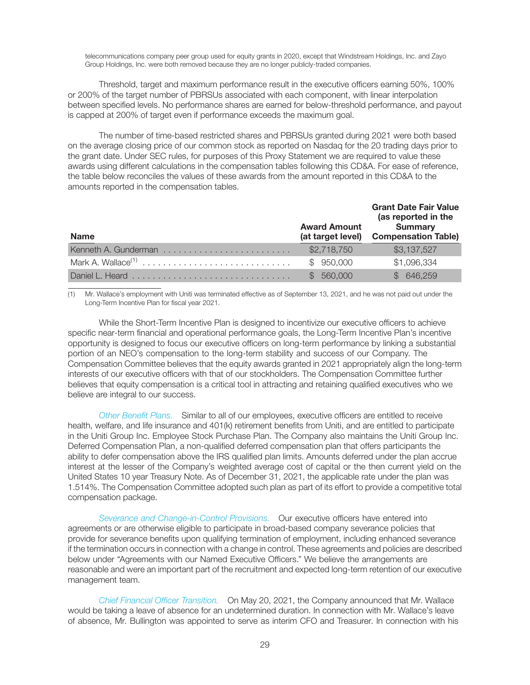telecommunications company peer group used for equity grants in 2020, except that Windstream Holdings, Inc. and Zayo Group Holdings, Inc. were both removed because they are no longer publicly-traded companies.

Threshold, target and maximum performance result in the executive officers earning 50%, 100% or 200% of the target number of PBRSUs associated with each component, with linear interpolation between specified levels. No performance shares are earned for below-threshold performance, and payout is capped at 200% of target even if performance exceeds the maximum goal.

The number of time-based restricted shares and PBRSUs granted during 2021 were both based on the average closing price of our common stock as reported on Nasdaq for the 20 trading days prior to the grant date. Under SEC rules, for purposes of this Proxy Statement we are required to value these awards using different calculations in the compensation tables following this CD&A. For ease of reference, the table below reconciles the values of these awards from the amount reported in this CD&A to the amounts reported in the compensation tables.

| <b>Name</b>                    | <b>Award Amount</b><br>(at target level) | <b>Grant Date Fair Value</b><br>(as reported in the<br><b>Summary</b><br><b>Compensation Table)</b> |
|--------------------------------|------------------------------------------|-----------------------------------------------------------------------------------------------------|
|                                | \$2,718,750                              | \$3,137,527                                                                                         |
| Mark A. Wallace <sup>(1)</sup> | \$950,000                                | \$1,096,334                                                                                         |
| Daniel L. Heard                | 560,000                                  | \$646,259                                                                                           |

(1) Mr. Wallace's employment with Uniti was terminated effective as of September 13, 2021, and he was not paid out under the Long-Term Incentive Plan for fiscal year 2021.

While the Short-Term Incentive Plan is designed to incentivize our executive officers to achieve specific near-term financial and operational performance goals, the Long-Term Incentive Plan's incentive opportunity is designed to focus our executive officers on long-term performance by linking a substantial portion of an NEO's compensation to the long-term stability and success of our Company. The Compensation Committee believes that the equity awards granted in 2021 appropriately align the long-term interests of our executive officers with that of our stockholders. The Compensation Committee further believes that equity compensation is a critical tool in attracting and retaining qualified executives who we believe are integral to our success.

Other Benefit Plans. Similar to all of our employees, executive officers are entitled to receive health, welfare, and life insurance and 401(k) retirement benefits from Uniti, and are entitled to participate in the Uniti Group Inc. Employee Stock Purchase Plan. The Company also maintains the Uniti Group Inc. Deferred Compensation Plan, a non-qualified deferred compensation plan that offers participants the ability to defer compensation above the IRS qualified plan limits. Amounts deferred under the plan accrue interest at the lesser of the Company's weighted average cost of capital or the then current yield on the United States 10 year Treasury Note. As of December 31, 2021, the applicable rate under the plan was 1.514%. The Compensation Committee adopted such plan as part of its effort to provide a competitive total compensation package.

Severance and Change-in-Control Provisions. Our executive officers have entered into agreements or are otherwise eligible to participate in broad-based company severance policies that provide for severance benefits upon qualifying termination of employment, including enhanced severance if the termination occurs in connection with a change in control. These agreements and policies are described below under "Agreements with our Named Executive Officers." We believe the arrangements are reasonable and were an important part of the recruitment and expected long-term retention of our executive management team.

Chief Financial Officer Transition. On May 20, 2021, the Company announced that Mr. Wallace would be taking a leave of absence for an undetermined duration. In connection with Mr. Wallace's leave of absence, Mr. Bullington was appointed to serve as interim CFO and Treasurer. In connection with his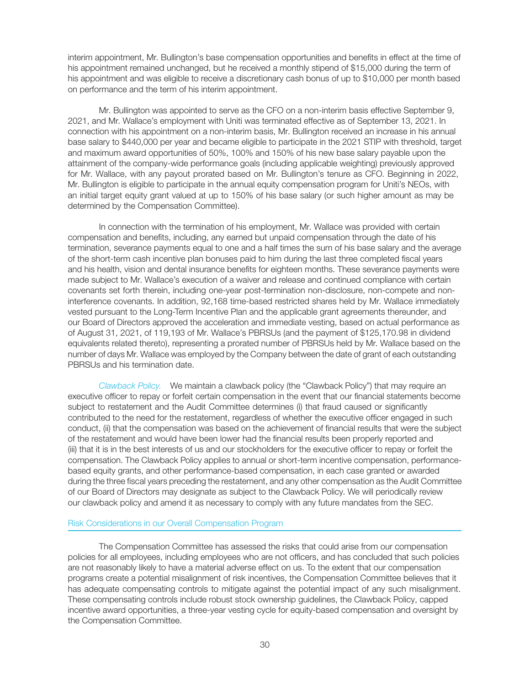interim appointment, Mr. Bullington's base compensation opportunities and benefits in effect at the time of his appointment remained unchanged, but he received a monthly stipend of \$15,000 during the term of his appointment and was eligible to receive a discretionary cash bonus of up to \$10,000 per month based on performance and the term of his interim appointment.

Mr. Bullington was appointed to serve as the CFO on a non-interim basis effective September 9, 2021, and Mr. Wallace's employment with Uniti was terminated effective as of September 13, 2021. In connection with his appointment on a non-interim basis, Mr. Bullington received an increase in his annual base salary to \$440,000 per year and became eligible to participate in the 2021 STIP with threshold, target and maximum award opportunities of 50%, 100% and 150% of his new base salary payable upon the attainment of the company-wide performance goals (including applicable weighting) previously approved for Mr. Wallace, with any payout prorated based on Mr. Bullington's tenure as CFO. Beginning in 2022, Mr. Bullington is eligible to participate in the annual equity compensation program for Uniti's NEOs, with an initial target equity grant valued at up to 150% of his base salary (or such higher amount as may be determined by the Compensation Committee).

In connection with the termination of his employment, Mr. Wallace was provided with certain compensation and benefits, including, any earned but unpaid compensation through the date of his termination, severance payments equal to one and a half times the sum of his base salary and the average of the short-term cash incentive plan bonuses paid to him during the last three completed fiscal years and his health, vision and dental insurance benefits for eighteen months. These severance payments were made subject to Mr. Wallace's execution of a waiver and release and continued compliance with certain covenants set forth therein, including one-year post-termination non-disclosure, non-compete and noninterference covenants. In addition, 92,168 time-based restricted shares held by Mr. Wallace immediately vested pursuant to the Long-Term Incentive Plan and the applicable grant agreements thereunder, and our Board of Directors approved the acceleration and immediate vesting, based on actual performance as of August 31, 2021, of 119,193 of Mr. Wallace's PBRSUs (and the payment of \$125,170.98 in dividend equivalents related thereto), representing a prorated number of PBRSUs held by Mr. Wallace based on the number of days Mr. Wallace was employed by the Company between the date of grant of each outstanding PBRSUs and his termination date.

Clawback Policy. We maintain a clawback policy (the "Clawback Policy") that may require an executive officer to repay or forfeit certain compensation in the event that our financial statements become subject to restatement and the Audit Committee determines (i) that fraud caused or significantly contributed to the need for the restatement, regardless of whether the executive officer engaged in such conduct, (ii) that the compensation was based on the achievement of financial results that were the subject of the restatement and would have been lower had the financial results been properly reported and (iii) that it is in the best interests of us and our stockholders for the executive officer to repay or forfeit the compensation. The Clawback Policy applies to annual or short-term incentive compensation, performancebased equity grants, and other performance-based compensation, in each case granted or awarded during the three fiscal years preceding the restatement, and any other compensation as the Audit Committee of our Board of Directors may designate as subject to the Clawback Policy. We will periodically review our clawback policy and amend it as necessary to comply with any future mandates from the SEC.

## Risk Considerations in our Overall Compensation Program

The Compensation Committee has assessed the risks that could arise from our compensation policies for all employees, including employees who are not officers, and has concluded that such policies are not reasonably likely to have a material adverse effect on us. To the extent that our compensation programs create a potential misalignment of risk incentives, the Compensation Committee believes that it has adequate compensating controls to mitigate against the potential impact of any such misalignment. These compensating controls include robust stock ownership guidelines, the Clawback Policy, capped incentive award opportunities, a three-year vesting cycle for equity-based compensation and oversight by the Compensation Committee.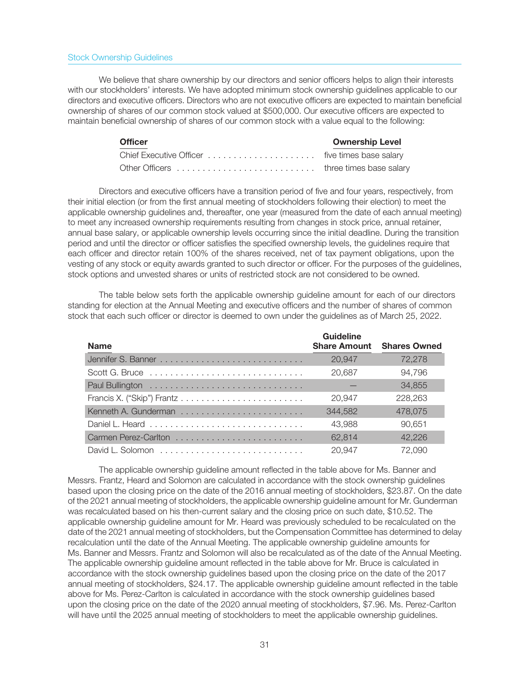## Stock Ownership Guidelines

We believe that share ownership by our directors and senior officers helps to align their interests with our stockholders' interests. We have adopted minimum stock ownership guidelines applicable to our directors and executive officers. Directors who are not executive officers are expected to maintain beneficial ownership of shares of our common stock valued at \$500,000. Our executive officers are expected to maintain beneficial ownership of shares of our common stock with a value equal to the following:

| <b>Officer</b> | <b>Ownership Level</b> |
|----------------|------------------------|
|                |                        |
|                |                        |

Directors and executive officers have a transition period of five and four years, respectively, from their initial election (or from the first annual meeting of stockholders following their election) to meet the applicable ownership guidelines and, thereafter, one year (measured from the date of each annual meeting) to meet any increased ownership requirements resulting from changes in stock price, annual retainer, annual base salary, or applicable ownership levels occurring since the initial deadline. During the transition period and until the director or officer satisfies the specified ownership levels, the guidelines require that each officer and director retain 100% of the shares received, net of tax payment obligations, upon the vesting of any stock or equity awards granted to such director or officer. For the purposes of the guidelines, stock options and unvested shares or units of restricted stock are not considered to be owned.

The table below sets forth the applicable ownership guideline amount for each of our directors standing for election at the Annual Meeting and executive officers and the number of shares of common stock that each such officer or director is deemed to own under the guidelines as of March 25, 2022.

| <b>Name</b> | Guideline<br><b>Share Amount</b> | <b>Shares Owned</b> |
|-------------|----------------------------------|---------------------|
|             | 20,947                           | 72,278              |
|             | 20,687                           | 94,796              |
|             |                                  | 34,855              |
|             | 20.947                           | 228,263             |
|             | 344,582                          | 478,075             |
|             | 43,988                           | 90.651              |
|             | 62.814                           | 42.226              |
|             | 20.947                           | 72.090              |

The applicable ownership guideline amount reflected in the table above for Ms. Banner and Messrs. Frantz, Heard and Solomon are calculated in accordance with the stock ownership guidelines based upon the closing price on the date of the 2016 annual meeting of stockholders, \$23.87. On the date of the 2021 annual meeting of stockholders, the applicable ownership guideline amount for Mr. Gunderman was recalculated based on his then-current salary and the closing price on such date, \$10.52. The applicable ownership guideline amount for Mr. Heard was previously scheduled to be recalculated on the date of the 2021 annual meeting of stockholders, but the Compensation Committee has determined to delay recalculation until the date of the Annual Meeting. The applicable ownership guideline amounts for Ms. Banner and Messrs. Frantz and Solomon will also be recalculated as of the date of the Annual Meeting. The applicable ownership guideline amount reflected in the table above for Mr. Bruce is calculated in accordance with the stock ownership guidelines based upon the closing price on the date of the 2017 annual meeting of stockholders, \$24.17. The applicable ownership guideline amount reflected in the table above for Ms. Perez-Carlton is calculated in accordance with the stock ownership guidelines based upon the closing price on the date of the 2020 annual meeting of stockholders, \$7.96. Ms. Perez-Carlton will have until the 2025 annual meeting of stockholders to meet the applicable ownership guidelines.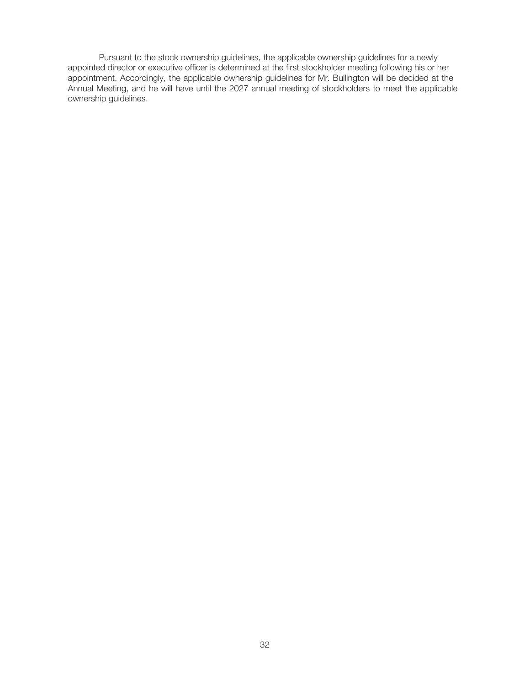Pursuant to the stock ownership guidelines, the applicable ownership guidelines for a newly appointed director or executive officer is determined at the first stockholder meeting following his or her appointment. Accordingly, the applicable ownership guidelines for Mr. Bullington will be decided at the Annual Meeting, and he will have until the 2027 annual meeting of stockholders to meet the applicable ownership guidelines.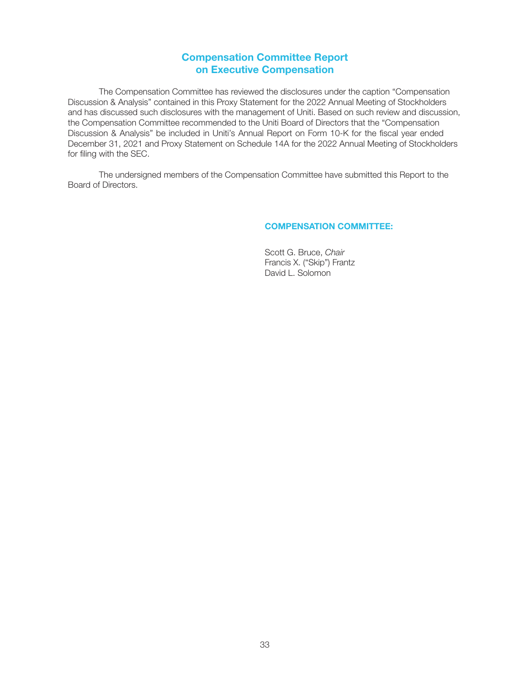# Compensation Committee Report on Executive Compensation

The Compensation Committee has reviewed the disclosures under the caption "Compensation Discussion & Analysis" contained in this Proxy Statement for the 2022 Annual Meeting of Stockholders and has discussed such disclosures with the management of Uniti. Based on such review and discussion, the Compensation Committee recommended to the Uniti Board of Directors that the "Compensation Discussion & Analysis" be included in Uniti's Annual Report on Form 10-K for the fiscal year ended December 31, 2021 and Proxy Statement on Schedule 14A for the 2022 Annual Meeting of Stockholders for filing with the SEC.

The undersigned members of the Compensation Committee have submitted this Report to the Board of Directors.

## COMPENSATION COMMITTEE:

Scott G. Bruce, Chair Francis X. ("Skip") Frantz David L. Solomon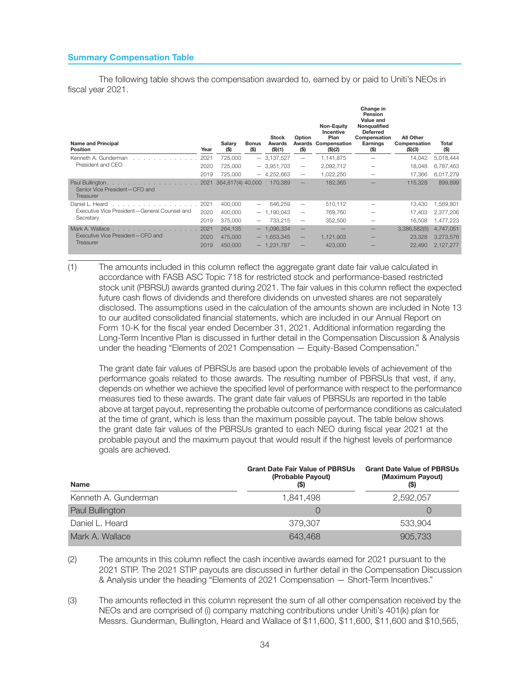## Summary Compensation Table

The following table shows the compensation awarded to, earned by or paid to Uniti's NEOs in fiscal year 2021.

| <b>Name and Principal</b><br><b>Position</b>                               | Year | Salary<br>(\$)    | <b>Bonus</b><br>(\$) | <b>Stock</b><br>Awards<br>(S)(1) | Option<br>$($ \$)        | <b>Non-Equity</b><br>Incentive<br>Plan<br><b>Awards Compensation</b><br>(\$)(2) | Change in<br>Pension<br>Value and<br>Nonqualified<br><b>Deferred</b><br>Compensation<br>Earnings<br>(S) | All Other<br>Compensation<br>(S)(3) | Total<br>(\$) |
|----------------------------------------------------------------------------|------|-------------------|----------------------|----------------------------------|--------------------------|---------------------------------------------------------------------------------|---------------------------------------------------------------------------------------------------------|-------------------------------------|---------------|
| Kenneth A. Gunderman<br>the contract of the contract of the                | 2021 | 725,000           |                      | $-3,137,527$                     |                          | 1.141.875                                                                       |                                                                                                         | 14.042                              | 5,018,444     |
| President and CEO                                                          | 2020 | 725,000           |                      | $-3,951,703$                     | $\overline{\phantom{m}}$ | 2,092,712                                                                       |                                                                                                         | 18.048                              | 6,787,463     |
|                                                                            | 2019 | 725,000           |                      | $-4,252,663$                     |                          | 1,022,250                                                                       |                                                                                                         | 17.366                              | 6,017,279     |
| Paul Bullington.<br>.<br>Senior Vice President-CFO and<br><b>Treasurer</b> | 2021 | 364,817(4) 40,000 |                      | 170,389                          | $\overline{\phantom{0}}$ | 182.365                                                                         |                                                                                                         | 115,328                             | 899.899       |
| Daniel L. Heard                                                            | 2021 | 400,000           |                      | 646.259                          |                          | 510.112                                                                         |                                                                                                         | 13.430                              | 1,569,801     |
| Executive Vice President-General Counsel and                               | 2020 | 400,000           |                      | $-1.190.043$                     | $\overline{\phantom{m}}$ | 769.760                                                                         |                                                                                                         | 17.403                              | 2.377.206     |
| Secretary                                                                  | 2019 | 375,000           |                      | 733.215                          |                          | 352,500                                                                         |                                                                                                         | 16.508                              | 1,477,223     |
| Mark A. Wallace                                                            | 2021 | 264,135           |                      | $-1,096,334$                     | $\qquad \qquad -$        |                                                                                 |                                                                                                         | 3,386,582(5)                        | 4,747,051     |
| Executive Vice President-CFO and                                           | 2020 | 475,000           |                      | $-1,653,345$                     | $\overline{\phantom{m}}$ | 1,121,903                                                                       |                                                                                                         | 23,328                              | 3,273,576     |
| Treasurer                                                                  | 2019 | 450,000           |                      | $-1.231.787$                     | $\overline{\phantom{0}}$ | 423,000                                                                         |                                                                                                         | 22,490                              | 2,127,277     |

(1) The amounts included in this column reflect the aggregate grant date fair value calculated in accordance with FASB ASC Topic 718 for restricted stock and performance-based restricted stock unit (PBRSU) awards granted during 2021. The fair values in this column reflect the expected future cash flows of dividends and therefore dividends on unvested shares are not separately disclosed. The assumptions used in the calculation of the amounts shown are included in Note 13 to our audited consolidated financial statements, which are included in our Annual Report on Form 10-K for the fiscal year ended December 31, 2021. Additional information regarding the Long-Term Incentive Plan is discussed in further detail in the Compensation Discussion & Analysis under the heading "Elements of 2021 Compensation — Equity-Based Compensation."

The grant date fair values of PBRSUs are based upon the probable levels of achievement of the performance goals related to those awards. The resulting number of PBRSUs that vest, if any, depends on whether we achieve the specified level of performance with respect to the performance measures tied to these awards. The grant date fair values of PBRSUs are reported in the table above at target payout, representing the probable outcome of performance conditions as calculated at the time of grant, which is less than the maximum possible payout. The table below shows the grant date fair values of the PBRSUs granted to each NEO during fiscal year 2021 at the probable payout and the maximum payout that would result if the highest levels of performance goals are achieved.

| <b>Name</b>          | <b>Grant Date Fair Value of PBRSUs</b><br>(Probable Payout) | <b>Grant Date Value of PBRSUs</b><br>(Maximum Payout) |
|----------------------|-------------------------------------------------------------|-------------------------------------------------------|
| Kenneth A. Gunderman | 1.841.498                                                   | 2.592.057                                             |
| Paul Bullington      |                                                             |                                                       |
| Daniel L. Heard      | 379.307                                                     | 533.904                                               |
| Mark A. Wallace      | 643,468                                                     | 905,733                                               |

(2) The amounts in this column reflect the cash incentive awards earned for 2021 pursuant to the 2021 STIP. The 2021 STIP payouts are discussed in further detail in the Compensation Discussion & Analysis under the heading "Elements of 2021 Compensation — Short-Term Incentives."

(3) The amounts reflected in this column represent the sum of all other compensation received by the NEOs and are comprised of (i) company matching contributions under Uniti's 401(k) plan for Messrs. Gunderman, Bullington, Heard and Wallace of \$11,600, \$11,600, \$11,600 and \$10,565,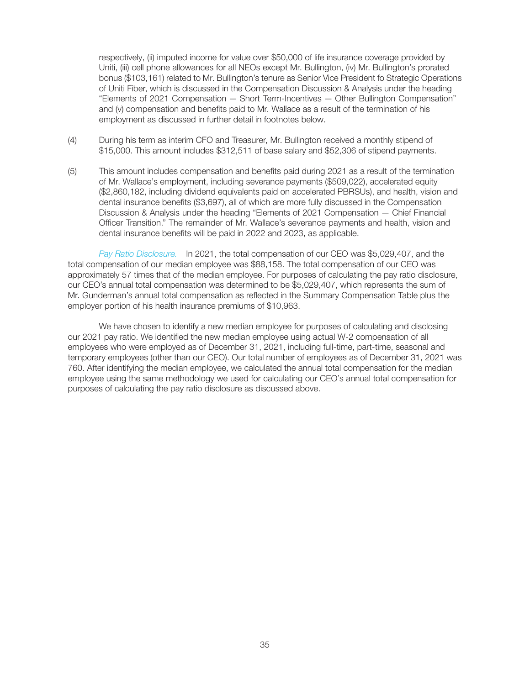respectively, (ii) imputed income for value over \$50,000 of life insurance coverage provided by Uniti, (iii) cell phone allowances for all NEOs except Mr. Bullington, (iv) Mr. Bullington's prorated bonus (\$103,161) related to Mr. Bullington's tenure as Senior Vice President fo Strategic Operations of Uniti Fiber, which is discussed in the Compensation Discussion & Analysis under the heading "Elements of 2021 Compensation — Short Term-Incentives — Other Bullington Compensation" and (v) compensation and benefits paid to Mr. Wallace as a result of the termination of his employment as discussed in further detail in footnotes below.

- (4) During his term as interim CFO and Treasurer, Mr. Bullington received a monthly stipend of \$15,000. This amount includes \$312,511 of base salary and \$52,306 of stipend payments.
- (5) This amount includes compensation and benefits paid during 2021 as a result of the termination of Mr. Wallace's employment, including severance payments (\$509,022), accelerated equity (\$2,860,182, including dividend equivalents paid on accelerated PBRSUs), and health, vision and dental insurance benefits (\$3,697), all of which are more fully discussed in the Compensation Discussion & Analysis under the heading "Elements of 2021 Compensation — Chief Financial Officer Transition." The remainder of Mr. Wallace's severance payments and health, vision and dental insurance benefits will be paid in 2022 and 2023, as applicable.

Pay Ratio Disclosure. In 2021, the total compensation of our CEO was \$5,029,407, and the total compensation of our median employee was \$88,158. The total compensation of our CEO was approximately 57 times that of the median employee. For purposes of calculating the pay ratio disclosure, our CEO's annual total compensation was determined to be \$5,029,407, which represents the sum of Mr. Gunderman's annual total compensation as reflected in the Summary Compensation Table plus the employer portion of his health insurance premiums of \$10,963.

We have chosen to identify a new median employee for purposes of calculating and disclosing our 2021 pay ratio. We identified the new median employee using actual W-2 compensation of all employees who were employed as of December 31, 2021, including full-time, part-time, seasonal and temporary employees (other than our CEO). Our total number of employees as of December 31, 2021 was 760. After identifying the median employee, we calculated the annual total compensation for the median employee using the same methodology we used for calculating our CEO's annual total compensation for purposes of calculating the pay ratio disclosure as discussed above.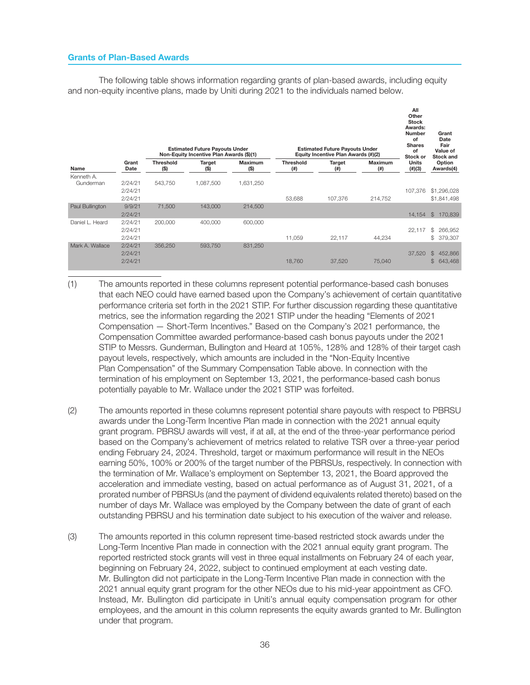## Grants of Plan-Based Awards

The following table shows information regarding grants of plan-based awards, including equity and non-equity incentive plans, made by Uniti during 2021 to the individuals named below.

|                         |                               |                          | <b>Estimated Future Payouts Under</b><br>Non-Equity Incentive Plan Awards (\$)(1) |                           |                            | <b>Estimated Future Payouts Under</b><br>Equity Incentive Plan Awards (#)(2) |                          | All<br>Other<br><b>Stock</b><br>Awards:<br><b>Number</b><br>of<br><b>Shares</b><br>of<br>Stock or | Grant<br>Date<br>Fair<br>Value of<br>Stock and |
|-------------------------|-------------------------------|--------------------------|-----------------------------------------------------------------------------------|---------------------------|----------------------------|------------------------------------------------------------------------------|--------------------------|---------------------------------------------------------------------------------------------------|------------------------------------------------|
| Name                    | Grant<br>Date                 | <b>Threshold</b><br>(\$) | Target<br>(\$)                                                                    | <b>Maximum</b><br>$($ \$) | <b>Threshold</b><br>$($ #) | Target<br>(# )                                                               | <b>Maximum</b><br>$($ #) | <b>Units</b><br>$(\#)(3)$                                                                         | Option<br>Awards(4)                            |
| Kenneth A.<br>Gunderman | 2/24/21<br>2/24/21<br>2/24/21 | 543,750                  | 1,087,500                                                                         | 1,631,250                 | 53,688                     | 107,376                                                                      | 214,752                  | 107.376                                                                                           | \$1,296,028<br>\$1,841,498                     |
| Paul Bullington         | 9/9/21<br>2/24/21             | 71,500                   | 143,000                                                                           | 214,500                   |                            |                                                                              |                          | 14,154                                                                                            | \$<br>170,839                                  |
| Daniel L. Heard         | 2/24/21<br>2/24/21<br>2/24/21 | 200,000                  | 400,000                                                                           | 600,000                   | 11,059                     | 22,117                                                                       | 44,234                   | 22,117                                                                                            | \$<br>266,952<br>\$<br>379,307                 |
| Mark A. Wallace         | 2/24/21<br>2/24/21<br>2/24/21 | 356,250                  | 593,750                                                                           | 831.250                   | 18,760                     | 37,520                                                                       | 75,040                   | 37,520                                                                                            | \$<br>452,866<br>$$\mathbb{S}$$<br>643,468     |

- (1) The amounts reported in these columns represent potential performance-based cash bonuses that each NEO could have earned based upon the Company's achievement of certain quantitative performance criteria set forth in the 2021 STIP. For further discussion regarding these quantitative metrics, see the information regarding the 2021 STIP under the heading "Elements of 2021 Compensation — Short-Term Incentives." Based on the Company's 2021 performance, the Compensation Committee awarded performance-based cash bonus payouts under the 2021 STIP to Messrs. Gunderman, Bullington and Heard at 105%, 128% and 128% of their target cash payout levels, respectively, which amounts are included in the "Non-Equity Incentive Plan Compensation" of the Summary Compensation Table above. In connection with the termination of his employment on September 13, 2021, the performance-based cash bonus potentially payable to Mr. Wallace under the 2021 STIP was forfeited.
- (2) The amounts reported in these columns represent potential share payouts with respect to PBRSU awards under the Long-Term Incentive Plan made in connection with the 2021 annual equity grant program. PBRSU awards will vest, if at all, at the end of the three-year performance period based on the Company's achievement of metrics related to relative TSR over a three-year period ending February 24, 2024. Threshold, target or maximum performance will result in the NEOs earning 50%, 100% or 200% of the target number of the PBRSUs, respectively. In connection with the termination of Mr. Wallace's employment on September 13, 2021, the Board approved the acceleration and immediate vesting, based on actual performance as of August 31, 2021, of a prorated number of PBRSUs (and the payment of dividend equivalents related thereto) based on the number of days Mr. Wallace was employed by the Company between the date of grant of each outstanding PBRSU and his termination date subject to his execution of the waiver and release.
- (3) The amounts reported in this column represent time-based restricted stock awards under the Long-Term Incentive Plan made in connection with the 2021 annual equity grant program. The reported restricted stock grants will vest in three equal installments on February 24 of each year, beginning on February 24, 2022, subject to continued employment at each vesting date. Mr. Bullington did not participate in the Long-Term Incentive Plan made in connection with the 2021 annual equity grant program for the other NEOs due to his mid-year appointment as CFO. Instead, Mr. Bullington did participate in Uniti's annual equity compensation program for other employees, and the amount in this column represents the equity awards granted to Mr. Bullington under that program.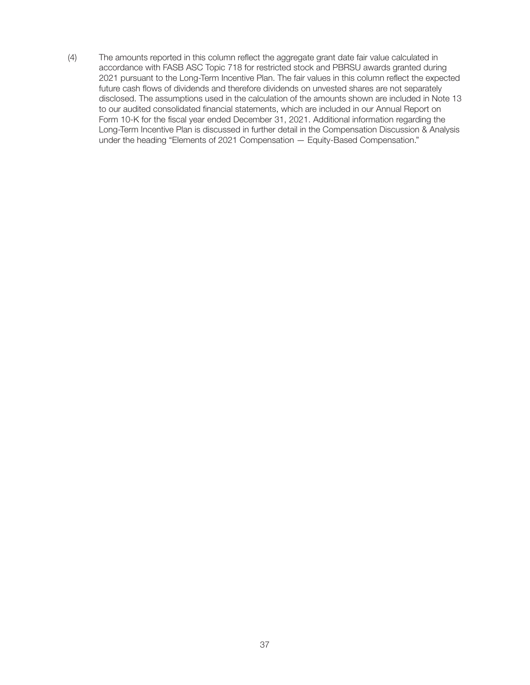(4) The amounts reported in this column reflect the aggregate grant date fair value calculated in accordance with FASB ASC Topic 718 for restricted stock and PBRSU awards granted during 2021 pursuant to the Long-Term Incentive Plan. The fair values in this column reflect the expected future cash flows of dividends and therefore dividends on unvested shares are not separately disclosed. The assumptions used in the calculation of the amounts shown are included in Note 13 to our audited consolidated financial statements, which are included in our Annual Report on Form 10-K for the fiscal year ended December 31, 2021. Additional information regarding the Long-Term Incentive Plan is discussed in further detail in the Compensation Discussion & Analysis under the heading "Elements of 2021 Compensation — Equity-Based Compensation."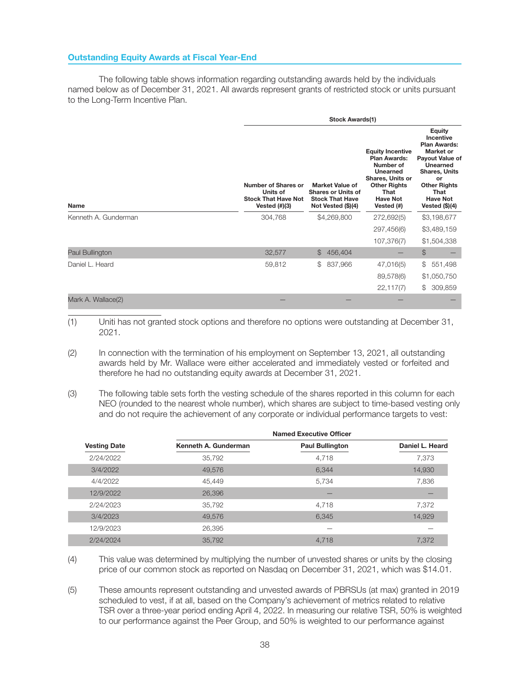The following table shows information regarding outstanding awards held by the individuals named below as of December 31, 2021. All awards represent grants of restricted stock or units pursuant to the Long-Term Incentive Plan.

|                      |                                                                                   |                                                                                                     | <b>Stock Awards(1)</b> |                                                                                                                                                                           |                                                                                                                                                                                                          |  |
|----------------------|-----------------------------------------------------------------------------------|-----------------------------------------------------------------------------------------------------|------------------------|---------------------------------------------------------------------------------------------------------------------------------------------------------------------------|----------------------------------------------------------------------------------------------------------------------------------------------------------------------------------------------------------|--|
| Name                 | Number of Shares or<br>Units of<br><b>Stock That Have Not</b><br>Vested $(\#)(3)$ | <b>Market Value of</b><br><b>Shares or Units of</b><br><b>Stock That Have</b><br>Not Vested (\$)(4) |                        | <b>Equity Incentive</b><br><b>Plan Awards:</b><br>Number of<br>Unearned<br><b>Shares, Units or</b><br><b>Other Rights</b><br><b>That</b><br><b>Have Not</b><br>Vested (#) | <b>Equity</b><br>Incentive<br><b>Plan Awards:</b><br>Market or<br>Payout Value of<br>Unearned<br><b>Shares, Units</b><br>or<br><b>Other Rights</b><br><b>That</b><br><b>Have Not</b><br>Vested $(\$)(4)$ |  |
| Kenneth A. Gunderman | 304,768                                                                           |                                                                                                     | \$4,269,800            | 272,692(5)                                                                                                                                                                | \$3,198,677                                                                                                                                                                                              |  |
|                      |                                                                                   |                                                                                                     |                        | 297,456(6)                                                                                                                                                                | \$3,489,159                                                                                                                                                                                              |  |
|                      |                                                                                   |                                                                                                     |                        | 107,376(7)                                                                                                                                                                | \$1,504,338                                                                                                                                                                                              |  |
| Paul Bullington      | 32,577                                                                            | \$                                                                                                  | 456,404                |                                                                                                                                                                           | $\mathcal{L}$                                                                                                                                                                                            |  |
| Daniel L. Heard      | 59,812                                                                            | \$                                                                                                  | 837,966                | 47,016(5)                                                                                                                                                                 | \$<br>551,498                                                                                                                                                                                            |  |
|                      |                                                                                   |                                                                                                     |                        | 89,578(6)                                                                                                                                                                 | \$1,050,750                                                                                                                                                                                              |  |
|                      |                                                                                   |                                                                                                     |                        | 22,117(7)                                                                                                                                                                 | \$<br>309,859                                                                                                                                                                                            |  |
| Mark A. Wallace(2)   |                                                                                   |                                                                                                     |                        |                                                                                                                                                                           |                                                                                                                                                                                                          |  |

(1) Uniti has not granted stock options and therefore no options were outstanding at December 31, 2021.

- (2) In connection with the termination of his employment on September 13, 2021, all outstanding awards held by Mr. Wallace were either accelerated and immediately vested or forfeited and therefore he had no outstanding equity awards at December 31, 2021.
- (3) The following table sets forth the vesting schedule of the shares reported in this column for each NEO (rounded to the nearest whole number), which shares are subject to time-based vesting only and do not require the achievement of any corporate or individual performance targets to vest:

|                     |                      | <b>Named Executive Officer</b> |                 |
|---------------------|----------------------|--------------------------------|-----------------|
| <b>Vesting Date</b> | Kenneth A. Gunderman | <b>Paul Bullington</b>         | Daniel L. Heard |
| 2/24/2022           | 35,792               | 4,718                          | 7,373           |
| 3/4/2022            | 49,576               | 6,344                          | 14,930          |
| 4/4/2022            | 45,449               | 5,734                          | 7,836           |
| 12/9/2022           | 26,396               |                                |                 |
| 2/24/2023           | 35,792               | 4,718                          | 7,372           |
| 3/4/2023            | 49.576               | 6,345                          | 14,929          |
| 12/9/2023           | 26,395               |                                |                 |
| 2/24/2024           | 35,792               | 4.718                          | 7,372           |

(4) This value was determined by multiplying the number of unvested shares or units by the closing price of our common stock as reported on Nasdaq on December 31, 2021, which was \$14.01.

(5) These amounts represent outstanding and unvested awards of PBRSUs (at max) granted in 2019 scheduled to vest, if at all, based on the Company's achievement of metrics related to relative TSR over a three-year period ending April 4, 2022. In measuring our relative TSR, 50% is weighted to our performance against the Peer Group, and 50% is weighted to our performance against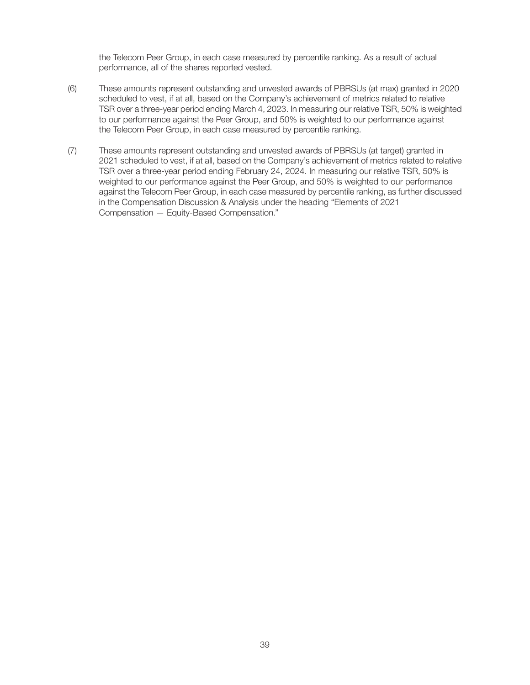the Telecom Peer Group, in each case measured by percentile ranking. As a result of actual performance, all of the shares reported vested.

- (6) These amounts represent outstanding and unvested awards of PBRSUs (at max) granted in 2020 scheduled to vest, if at all, based on the Company's achievement of metrics related to relative TSR over a three-year period ending March 4, 2023. In measuring our relative TSR, 50% is weighted to our performance against the Peer Group, and 50% is weighted to our performance against the Telecom Peer Group, in each case measured by percentile ranking.
- (7) These amounts represent outstanding and unvested awards of PBRSUs (at target) granted in 2021 scheduled to vest, if at all, based on the Company's achievement of metrics related to relative TSR over a three-year period ending February 24, 2024. In measuring our relative TSR, 50% is weighted to our performance against the Peer Group, and 50% is weighted to our performance against the Telecom Peer Group, in each case measured by percentile ranking, as further discussed in the Compensation Discussion & Analysis under the heading "Elements of 2021 Compensation — Equity-Based Compensation."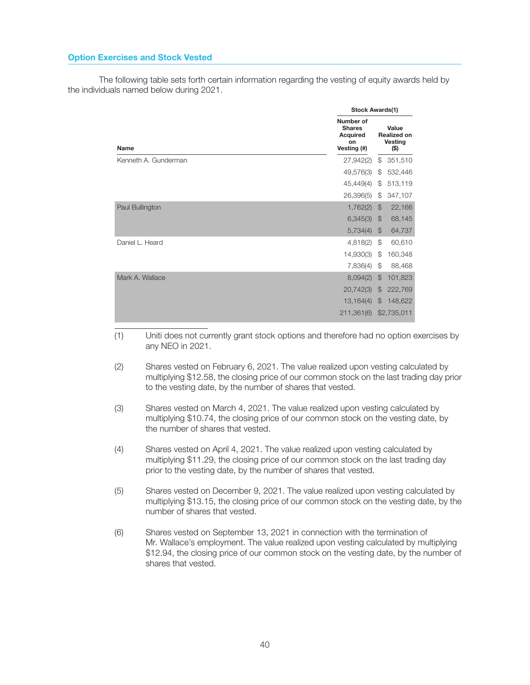## Option Exercises and Stock Vested

The following table sets forth certain information regarding the vesting of equity awards held by the individuals named below during 2021.

|                      | <b>Stock Awards(1)</b>                                             |               |                                                       |  |  |  |  |
|----------------------|--------------------------------------------------------------------|---------------|-------------------------------------------------------|--|--|--|--|
| Name                 | Number of<br><b>Shares</b><br><b>Acquired</b><br>on<br>Vesting (#) |               | Value<br><b>Realized on</b><br><b>Vesting</b><br>(\$) |  |  |  |  |
| Kenneth A. Gunderman | 27,942(2)                                                          | \$            | 351,510                                               |  |  |  |  |
|                      | 49,576(3)                                                          | \$            | 532,446                                               |  |  |  |  |
|                      | 45,449(4)                                                          | \$            | 513,119                                               |  |  |  |  |
|                      | 26,396(5)                                                          | \$            | 347,107                                               |  |  |  |  |
| Paul Bullington      | 1,762(2)                                                           | $\mathcal{F}$ | 22,166                                                |  |  |  |  |
|                      | 6,345(3)                                                           | $\mathcal{F}$ | 68,145                                                |  |  |  |  |
|                      | 5,734(4)                                                           | $\mathcal{F}$ | 64,737                                                |  |  |  |  |
| Daniel L. Heard      | 4,818(2)                                                           | \$            | 60,610                                                |  |  |  |  |
|                      | 14,930(3)                                                          | \$            | 160,348                                               |  |  |  |  |
|                      | 7,836(4)                                                           | \$            | 88,468                                                |  |  |  |  |
| Mark A. Wallace      | 8,094(2)                                                           | $\mathcal{L}$ | 101,823                                               |  |  |  |  |
|                      | 20,742(3)                                                          | $\mathcal{F}$ | 222,769                                               |  |  |  |  |
|                      | 13,164(4)                                                          | $\mathcal{F}$ | 148,622                                               |  |  |  |  |
|                      | 211,361(6)                                                         |               | \$2,735,011                                           |  |  |  |  |
|                      |                                                                    |               |                                                       |  |  |  |  |

- (1) Uniti does not currently grant stock options and therefore had no option exercises by any NEO in 2021.
- (2) Shares vested on February 6, 2021. The value realized upon vesting calculated by multiplying \$12.58, the closing price of our common stock on the last trading day prior to the vesting date, by the number of shares that vested.
- (3) Shares vested on March 4, 2021. The value realized upon vesting calculated by multiplying \$10.74, the closing price of our common stock on the vesting date, by the number of shares that vested.
- (4) Shares vested on April 4, 2021. The value realized upon vesting calculated by multiplying \$11.29, the closing price of our common stock on the last trading day prior to the vesting date, by the number of shares that vested.
- (5) Shares vested on December 9, 2021. The value realized upon vesting calculated by multiplying \$13.15, the closing price of our common stock on the vesting date, by the number of shares that vested.
- (6) Shares vested on September 13, 2021 in connection with the termination of Mr. Wallace's employment. The value realized upon vesting calculated by multiplying \$12.94, the closing price of our common stock on the vesting date, by the number of shares that vested.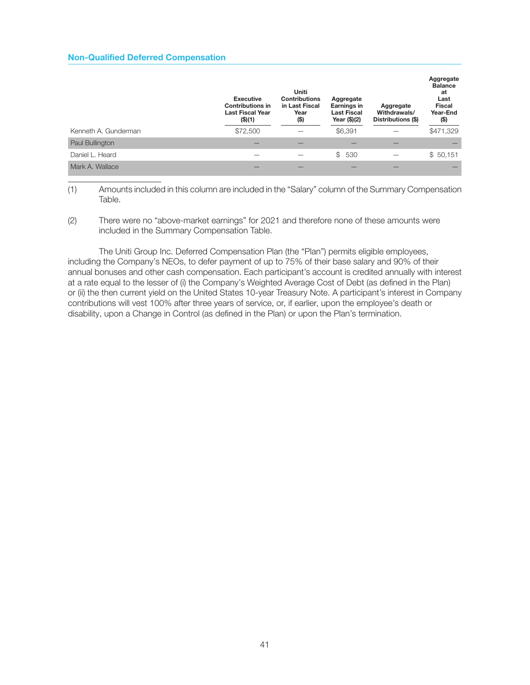## Non-Qualified Deferred Compensation

|                      | <b>Executive</b><br><b>Contributions in</b><br><b>Last Fiscal Year</b><br>(S)(1) | Uniti<br><b>Contributions</b><br>in Last Fiscal<br>Year<br>$($ \$) | Aggregate<br>Earnings in<br><b>Last Fiscal</b><br>Year (\$)(2) | Aggregate<br>Withdrawals/<br>Distributions (\$) | Aggregate<br><b>Balance</b><br>at<br>Last<br><b>Fiscal</b><br>Year-End<br>(\$) |
|----------------------|----------------------------------------------------------------------------------|--------------------------------------------------------------------|----------------------------------------------------------------|-------------------------------------------------|--------------------------------------------------------------------------------|
| Kenneth A. Gunderman | \$72,500                                                                         |                                                                    | \$6,391                                                        |                                                 | \$471,329                                                                      |
| Paul Bullington      |                                                                                  |                                                                    |                                                                |                                                 |                                                                                |
| Daniel L. Heard      |                                                                                  |                                                                    | \$530                                                          |                                                 | \$50,151                                                                       |
| Mark A. Wallace      |                                                                                  |                                                                    |                                                                |                                                 |                                                                                |

(1) Amounts included in this column are included in the "Salary" column of the Summary Compensation Table.

(2) There were no "above-market earnings" for 2021 and therefore none of these amounts were included in the Summary Compensation Table.

The Uniti Group Inc. Deferred Compensation Plan (the "Plan") permits eligible employees, including the Company's NEOs, to defer payment of up to 75% of their base salary and 90% of their annual bonuses and other cash compensation. Each participant's account is credited annually with interest at a rate equal to the lesser of (i) the Company's Weighted Average Cost of Debt (as defined in the Plan) or (ii) the then current yield on the United States 10-year Treasury Note. A participant's interest in Company contributions will vest 100% after three years of service, or, if earlier, upon the employee's death or disability, upon a Change in Control (as defined in the Plan) or upon the Plan's termination.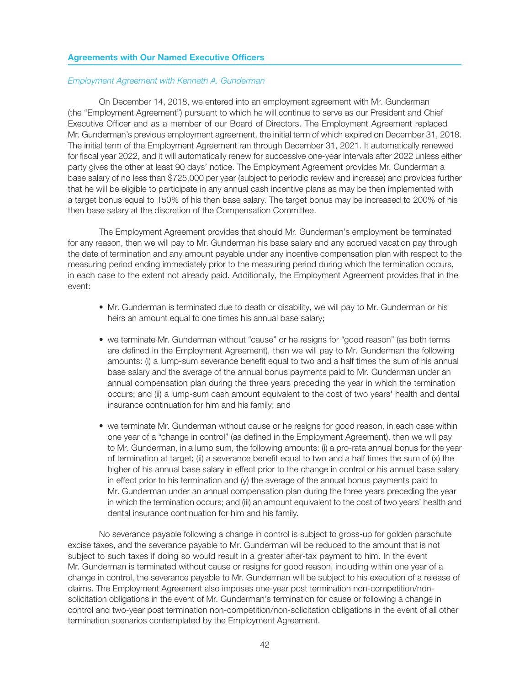## Agreements with Our Named Executive Officers

## Employment Agreement with Kenneth A. Gunderman

On December 14, 2018, we entered into an employment agreement with Mr. Gunderman (the "Employment Agreement") pursuant to which he will continue to serve as our President and Chief Executive Officer and as a member of our Board of Directors. The Employment Agreement replaced Mr. Gunderman's previous employment agreement, the initial term of which expired on December 31, 2018. The initial term of the Employment Agreement ran through December 31, 2021. It automatically renewed for fiscal year 2022, and it will automatically renew for successive one-year intervals after 2022 unless either party gives the other at least 90 days' notice. The Employment Agreement provides Mr. Gunderman a base salary of no less than \$725,000 per year (subject to periodic review and increase) and provides further that he will be eligible to participate in any annual cash incentive plans as may be then implemented with a target bonus equal to 150% of his then base salary. The target bonus may be increased to 200% of his then base salary at the discretion of the Compensation Committee.

The Employment Agreement provides that should Mr. Gunderman's employment be terminated for any reason, then we will pay to Mr. Gunderman his base salary and any accrued vacation pay through the date of termination and any amount payable under any incentive compensation plan with respect to the measuring period ending immediately prior to the measuring period during which the termination occurs, in each case to the extent not already paid. Additionally, the Employment Agreement provides that in the event:

- Mr. Gunderman is terminated due to death or disability, we will pay to Mr. Gunderman or his heirs an amount equal to one times his annual base salary;
- we terminate Mr. Gunderman without "cause" or he resigns for "good reason" (as both terms are defined in the Employment Agreement), then we will pay to Mr. Gunderman the following amounts: (i) a lump-sum severance benefit equal to two and a half times the sum of his annual base salary and the average of the annual bonus payments paid to Mr. Gunderman under an annual compensation plan during the three years preceding the year in which the termination occurs; and (ii) a lump-sum cash amount equivalent to the cost of two years' health and dental insurance continuation for him and his family; and
- we terminate Mr. Gunderman without cause or he resigns for good reason, in each case within one year of a "change in control" (as defined in the Employment Agreement), then we will pay to Mr. Gunderman, in a lump sum, the following amounts: (i) a pro-rata annual bonus for the year of termination at target; (ii) a severance benefit equal to two and a half times the sum of (x) the higher of his annual base salary in effect prior to the change in control or his annual base salary in effect prior to his termination and (y) the average of the annual bonus payments paid to Mr. Gunderman under an annual compensation plan during the three years preceding the year in which the termination occurs; and (iii) an amount equivalent to the cost of two years' health and dental insurance continuation for him and his family.

No severance payable following a change in control is subject to gross-up for golden parachute excise taxes, and the severance payable to Mr. Gunderman will be reduced to the amount that is not subject to such taxes if doing so would result in a greater after-tax payment to him. In the event Mr. Gunderman is terminated without cause or resigns for good reason, including within one year of a change in control, the severance payable to Mr. Gunderman will be subject to his execution of a release of claims. The Employment Agreement also imposes one-year post termination non-competition/nonsolicitation obligations in the event of Mr. Gunderman's termination for cause or following a change in control and two-year post termination non-competition/non-solicitation obligations in the event of all other termination scenarios contemplated by the Employment Agreement.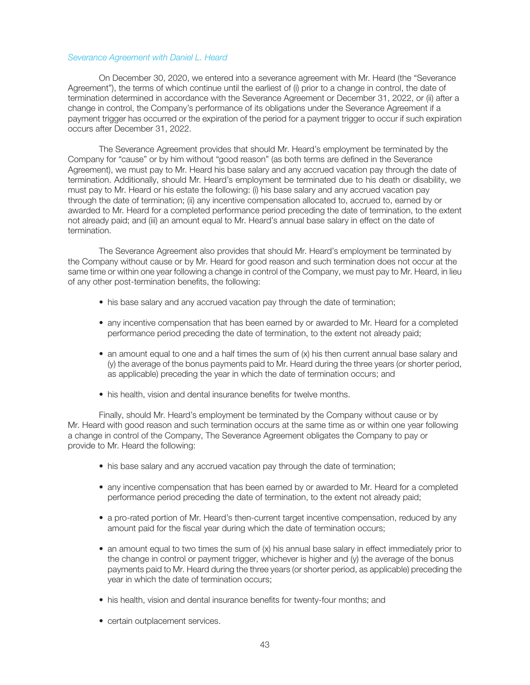## Severance Agreement with Daniel L. Heard

On December 30, 2020, we entered into a severance agreement with Mr. Heard (the "Severance Agreement"), the terms of which continue until the earliest of (i) prior to a change in control, the date of termination determined in accordance with the Severance Agreement or December 31, 2022, or (ii) after a change in control, the Company's performance of its obligations under the Severance Agreement if a payment trigger has occurred or the expiration of the period for a payment trigger to occur if such expiration occurs after December 31, 2022.

The Severance Agreement provides that should Mr. Heard's employment be terminated by the Company for "cause" or by him without "good reason" (as both terms are defined in the Severance Agreement), we must pay to Mr. Heard his base salary and any accrued vacation pay through the date of termination. Additionally, should Mr. Heard's employment be terminated due to his death or disability, we must pay to Mr. Heard or his estate the following: (i) his base salary and any accrued vacation pay through the date of termination; (ii) any incentive compensation allocated to, accrued to, earned by or awarded to Mr. Heard for a completed performance period preceding the date of termination, to the extent not already paid; and (iii) an amount equal to Mr. Heard's annual base salary in effect on the date of termination.

The Severance Agreement also provides that should Mr. Heard's employment be terminated by the Company without cause or by Mr. Heard for good reason and such termination does not occur at the same time or within one year following a change in control of the Company, we must pay to Mr. Heard, in lieu of any other post-termination benefits, the following:

- his base salary and any accrued vacation pay through the date of termination;
- any incentive compensation that has been earned by or awarded to Mr. Heard for a completed performance period preceding the date of termination, to the extent not already paid;
- an amount equal to one and a half times the sum of (x) his then current annual base salary and (y) the average of the bonus payments paid to Mr. Heard during the three years (or shorter period, as applicable) preceding the year in which the date of termination occurs; and
- his health, vision and dental insurance benefits for twelve months.

Finally, should Mr. Heard's employment be terminated by the Company without cause or by Mr. Heard with good reason and such termination occurs at the same time as or within one year following a change in control of the Company, The Severance Agreement obligates the Company to pay or provide to Mr. Heard the following:

- his base salary and any accrued vacation pay through the date of termination;
- any incentive compensation that has been earned by or awarded to Mr. Heard for a completed performance period preceding the date of termination, to the extent not already paid;
- a pro-rated portion of Mr. Heard's then-current target incentive compensation, reduced by any amount paid for the fiscal year during which the date of termination occurs;
- an amount equal to two times the sum of (x) his annual base salary in effect immediately prior to the change in control or payment trigger, whichever is higher and  $(y)$  the average of the bonus payments paid to Mr. Heard during the three years (or shorter period, as applicable) preceding the year in which the date of termination occurs;
- his health, vision and dental insurance benefits for twenty-four months; and
- certain outplacement services.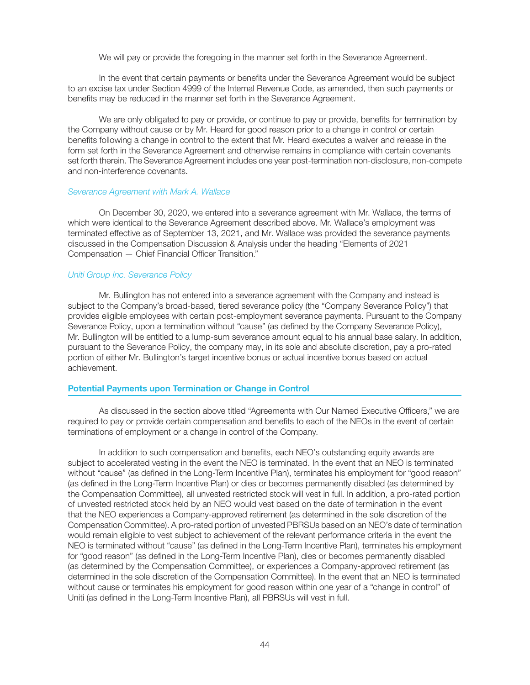We will pay or provide the foregoing in the manner set forth in the Severance Agreement.

In the event that certain payments or benefits under the Severance Agreement would be subject to an excise tax under Section 4999 of the Internal Revenue Code, as amended, then such payments or benefits may be reduced in the manner set forth in the Severance Agreement.

We are only obligated to pay or provide, or continue to pay or provide, benefits for termination by the Company without cause or by Mr. Heard for good reason prior to a change in control or certain benefits following a change in control to the extent that Mr. Heard executes a waiver and release in the form set forth in the Severance Agreement and otherwise remains in compliance with certain covenants set forth therein. The Severance Agreement includes one year post-termination non-disclosure, non-compete and non-interference covenants.

## Severance Agreement with Mark A. Wallace

On December 30, 2020, we entered into a severance agreement with Mr. Wallace, the terms of which were identical to the Severance Agreement described above. Mr. Wallace's employment was terminated effective as of September 13, 2021, and Mr. Wallace was provided the severance payments discussed in the Compensation Discussion & Analysis under the heading "Elements of 2021 Compensation — Chief Financial Officer Transition."

## Uniti Group Inc. Severance Policy

Mr. Bullington has not entered into a severance agreement with the Company and instead is subject to the Company's broad-based, tiered severance policy (the "Company Severance Policy") that provides eligible employees with certain post-employment severance payments. Pursuant to the Company Severance Policy, upon a termination without "cause" (as defined by the Company Severance Policy), Mr. Bullington will be entitled to a lump-sum severance amount equal to his annual base salary. In addition, pursuant to the Severance Policy, the company may, in its sole and absolute discretion, pay a pro-rated portion of either Mr. Bullington's target incentive bonus or actual incentive bonus based on actual achievement.

## Potential Payments upon Termination or Change in Control

As discussed in the section above titled "Agreements with Our Named Executive Officers," we are required to pay or provide certain compensation and benefits to each of the NEOs in the event of certain terminations of employment or a change in control of the Company.

In addition to such compensation and benefits, each NEO's outstanding equity awards are subject to accelerated vesting in the event the NEO is terminated. In the event that an NEO is terminated without "cause" (as defined in the Long-Term Incentive Plan), terminates his employment for "good reason" (as defined in the Long-Term Incentive Plan) or dies or becomes permanently disabled (as determined by the Compensation Committee), all unvested restricted stock will vest in full. In addition, a pro-rated portion of unvested restricted stock held by an NEO would vest based on the date of termination in the event that the NEO experiences a Company-approved retirement (as determined in the sole discretion of the Compensation Committee). A pro-rated portion of unvested PBRSUs based on an NEO's date of termination would remain eligible to vest subject to achievement of the relevant performance criteria in the event the NEO is terminated without "cause" (as defined in the Long-Term Incentive Plan), terminates his employment for "good reason" (as defined in the Long-Term Incentive Plan), dies or becomes permanently disabled (as determined by the Compensation Committee), or experiences a Company-approved retirement (as determined in the sole discretion of the Compensation Committee). In the event that an NEO is terminated without cause or terminates his employment for good reason within one year of a "change in control" of Uniti (as defined in the Long-Term Incentive Plan), all PBRSUs will vest in full.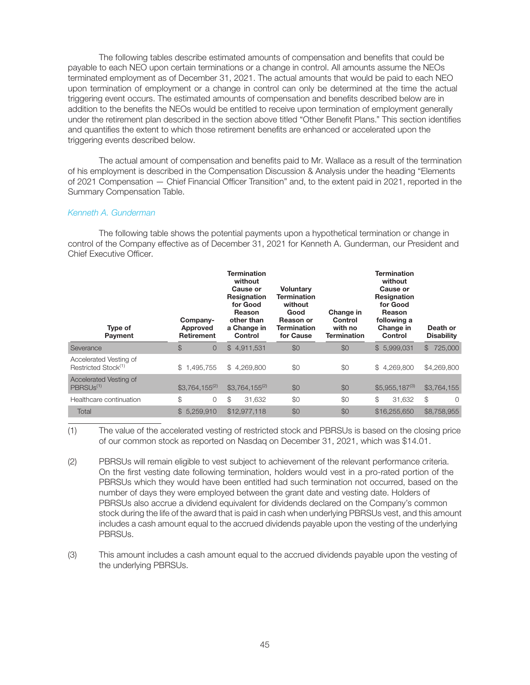The following tables describe estimated amounts of compensation and benefits that could be payable to each NEO upon certain terminations or a change in control. All amounts assume the NEOs terminated employment as of December 31, 2021. The actual amounts that would be paid to each NEO upon termination of employment or a change in control can only be determined at the time the actual triggering event occurs. The estimated amounts of compensation and benefits described below are in addition to the benefits the NEOs would be entitled to receive upon termination of employment generally under the retirement plan described in the section above titled "Other Benefit Plans." This section identifies and quantifies the extent to which those retirement benefits are enhanced or accelerated upon the triggering events described below.

The actual amount of compensation and benefits paid to Mr. Wallace as a result of the termination of his employment is described in the Compensation Discussion & Analysis under the heading "Elements of 2021 Compensation — Chief Financial Officer Transition" and, to the extent paid in 2021, reported in the Summary Compensation Table.

## Kenneth A. Gunderman

The following table shows the potential payments upon a hypothetical termination or change in control of the Company effective as of December 31, 2021 for Kenneth A. Gunderman, our President and Chief Executive Officer

| Type of<br>Payment                                        | Company-<br>Approved<br><b>Retirement</b> | Termination<br>without<br>Cause or<br><b>Resignation</b><br>for Good<br>Reason<br>other than<br>a Change in<br>Control | <b>Voluntary</b><br>Termination<br>without<br>Good<br>Reason or<br>Termination<br>for Cause | Change in<br>Control<br>with no<br><b>Termination</b> | Termination<br>without<br>Cause or<br><b>Resignation</b><br>for Good<br>Reason<br>following a<br>Change in<br>Control | Death or<br><b>Disability</b> |
|-----------------------------------------------------------|-------------------------------------------|------------------------------------------------------------------------------------------------------------------------|---------------------------------------------------------------------------------------------|-------------------------------------------------------|-----------------------------------------------------------------------------------------------------------------------|-------------------------------|
| Severance                                                 | \$<br>$\overline{O}$                      | \$4,911,531                                                                                                            | \$0                                                                                         | \$0                                                   | \$5,999,031                                                                                                           | $\mathbb{S}$<br>725,000       |
| Accelerated Vesting of<br>Restricted Stock <sup>(1)</sup> | 1,495,755<br>S.                           | \$4,269,800                                                                                                            | \$0                                                                                         | \$0                                                   | 4,269,800<br>\$                                                                                                       | \$4,269,800                   |
| Accelerated Vesting of<br>PBRSU <sub>s(1)</sub>           | $$3.764.155^{(2)}$                        | $$3.764.155^{(2)}$                                                                                                     | \$0                                                                                         | \$0                                                   | $$5,955,187^{(3)}$                                                                                                    | \$3,764,155                   |
| Healthcare continuation                                   | \$<br>0                                   | \$<br>31.632                                                                                                           | \$0                                                                                         | \$0                                                   | \$<br>31,632                                                                                                          | $\mathbb{S}$<br>$\Omega$      |
| Total                                                     | 5.259.910<br>$\mathbb{S}$                 | \$12,977,118                                                                                                           | \$0                                                                                         | \$0                                                   | \$16,255,650                                                                                                          | \$8,758,955                   |

(1) The value of the accelerated vesting of restricted stock and PBRSUs is based on the closing price of our common stock as reported on Nasdaq on December 31, 2021, which was \$14.01.

(2) PBRSUs will remain eligible to vest subject to achievement of the relevant performance criteria. On the first vesting date following termination, holders would vest in a pro-rated portion of the PBRSUs which they would have been entitled had such termination not occurred, based on the number of days they were employed between the grant date and vesting date. Holders of PBRSUs also accrue a dividend equivalent for dividends declared on the Company's common stock during the life of the award that is paid in cash when underlying PBRSUs vest, and this amount includes a cash amount equal to the accrued dividends payable upon the vesting of the underlying PBRSUs.

(3) This amount includes a cash amount equal to the accrued dividends payable upon the vesting of the underlying PBRSUs.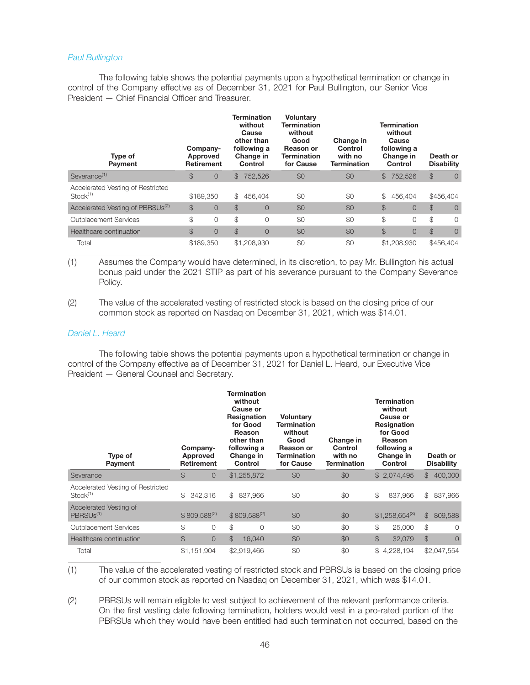## Paul Bullington

The following table shows the potential payments upon a hypothetical termination or change in control of the Company effective as of December 31, 2021 for Paul Bullington, our Senior Vice President — Chief Financial Officer and Treasurer.

| Type of<br>Payment                               |               | Company-<br>Approved<br>Retirement |               | Termination<br>without<br>Cause<br>other than<br>following a<br>Change in<br>Control | <b>Voluntary</b><br><b>Termination</b><br>without<br>Good<br><b>Reason or</b><br><b>Termination</b><br>for Cause | Change in<br>Control<br>with no<br><b>Termination</b> |               | Termination<br>without<br>Cause<br>following a<br>Change in<br>Control |               | Death or<br><b>Disability</b> |
|--------------------------------------------------|---------------|------------------------------------|---------------|--------------------------------------------------------------------------------------|------------------------------------------------------------------------------------------------------------------|-------------------------------------------------------|---------------|------------------------------------------------------------------------|---------------|-------------------------------|
| Severance <sup>(1)</sup>                         | $\mathcal{L}$ | 0                                  | \$.           | 752.526                                                                              | \$0                                                                                                              | \$0                                                   | $\mathbb S$   | 752,526                                                                | $\mathcal{F}$ | $\overline{0}$                |
| Accelerated Vesting of Restricted<br>$Stock(1)}$ |               | \$189,350                          | \$            | 456.404                                                                              | \$0                                                                                                              | \$0                                                   | \$            | 456.404                                                                |               | \$456,404                     |
| Accelerated Vesting of PBRSUs <sup>(2)</sup>     | $\mathcal{L}$ | $\overline{0}$                     | $\mathcal{L}$ | $\overline{0}$                                                                       | \$0                                                                                                              | \$0                                                   | $\mathcal{S}$ | $\overline{0}$                                                         | $\mathcal{S}$ | $\overline{0}$                |
| Outplacement Services                            | \$            | 0                                  | \$            | $\mathbf 0$                                                                          | \$0                                                                                                              | \$0                                                   | \$            | 0                                                                      | \$            | $\Omega$                      |
| Healthcare continuation                          | $\mathcal{L}$ | $\overline{0}$                     | $\mathcal{L}$ | $\overline{0}$                                                                       | \$0                                                                                                              | \$0                                                   | $\mathcal{S}$ | $\overline{0}$                                                         | \$            | $\overline{0}$                |
| Total                                            |               | \$189,350                          |               | \$1,208,930                                                                          | \$0                                                                                                              | \$0                                                   |               | \$1,208,930                                                            |               | \$456,404                     |

(1) Assumes the Company would have determined, in its discretion, to pay Mr. Bullington his actual bonus paid under the 2021 STIP as part of his severance pursuant to the Company Severance Policy.

(2) The value of the accelerated vesting of restricted stock is based on the closing price of our common stock as reported on Nasdaq on December 31, 2021, which was \$14.01.

## Daniel L. Heard

The following table shows the potential payments upon a hypothetical termination or change in control of the Company effective as of December 31, 2021 for Daniel L. Heard, our Executive Vice President — General Counsel and Secretary.

| Type of<br>Payment                                          | Company-<br>Approved<br>Retirement | Termination<br>without<br>Cause or<br>Resignation<br>for Good<br>Reason<br>other than<br>following a<br>Change in<br>Control | <b>Voluntary</b><br><b>Termination</b><br>without<br>Good<br><b>Reason or</b><br><b>Termination</b><br>for Cause | Change in<br>Control<br>with no<br><b>Termination</b> | <b>Termination</b><br>without<br>Cause or<br>Resignation<br>for Good<br>Reason<br>following a<br>Change in<br>Control | Death or<br><b>Disability</b>  |
|-------------------------------------------------------------|------------------------------------|------------------------------------------------------------------------------------------------------------------------------|------------------------------------------------------------------------------------------------------------------|-------------------------------------------------------|-----------------------------------------------------------------------------------------------------------------------|--------------------------------|
| Severance                                                   | \$<br>$\overline{0}$               | \$1,255,872                                                                                                                  | \$0                                                                                                              | \$0                                                   | \$2,074,495                                                                                                           | 400,000<br>$^{\circ}$          |
| Accelerated Vesting of Restricted<br>Stock <sup>(1)</sup>   | \$<br>342.316                      | 837.966<br>$\mathbb{S}^-$                                                                                                    | \$0                                                                                                              | \$0                                                   | \$<br>837.966                                                                                                         | \$<br>837,966                  |
| Accelerated Vesting of<br>PBRSU <sub>s</sub> <sup>(1)</sup> | $$809.588^{(2)}$                   | $$809.588^{(2)}$                                                                                                             | \$0                                                                                                              | \$0                                                   | $$1,258,654^{(3)}$                                                                                                    | $$\mathbb{S}$$<br>809,588      |
| Outplacement Services                                       | \$<br>0                            | \$<br>$\Omega$                                                                                                               | \$0                                                                                                              | \$0                                                   | \$<br>25,000                                                                                                          | \$<br>$\Omega$                 |
| Healthcare continuation                                     | $$\mathbb{S}$$<br>$\overline{0}$   | $\mathcal{L}$<br>16,040                                                                                                      | \$0                                                                                                              | \$0                                                   | $\mathcal{L}$<br>32,079                                                                                               | $\mathbb{S}$<br>$\overline{0}$ |
| Total                                                       | \$1,151,904                        | \$2,919,466                                                                                                                  | \$0                                                                                                              | \$0                                                   | \$<br>4,228,194                                                                                                       | \$2,047,554                    |

(1) The value of the accelerated vesting of restricted stock and PBRSUs is based on the closing price of our common stock as reported on Nasdaq on December 31, 2021, which was \$14.01.

(2) PBRSUs will remain eligible to vest subject to achievement of the relevant performance criteria. On the first vesting date following termination, holders would vest in a pro-rated portion of the PBRSUs which they would have been entitled had such termination not occurred, based on the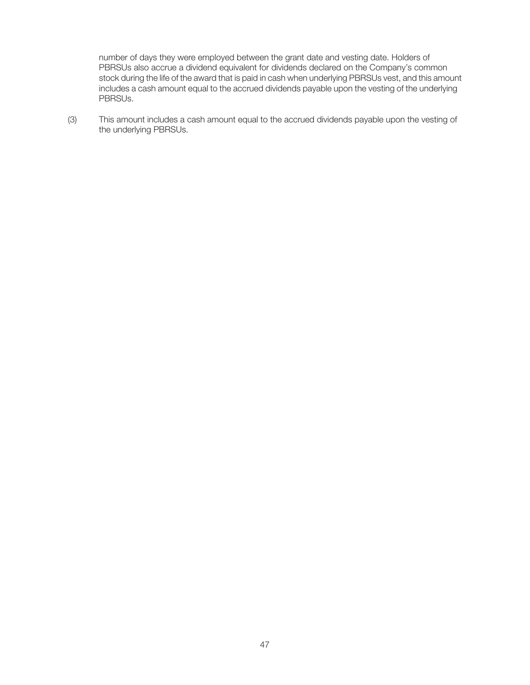number of days they were employed between the grant date and vesting date. Holders of PBRSUs also accrue a dividend equivalent for dividends declared on the Company's common stock during the life of the award that is paid in cash when underlying PBRSUs vest, and this amount includes a cash amount equal to the accrued dividends payable upon the vesting of the underlying PBRSUs.

(3) This amount includes a cash amount equal to the accrued dividends payable upon the vesting of the underlying PBRSUs.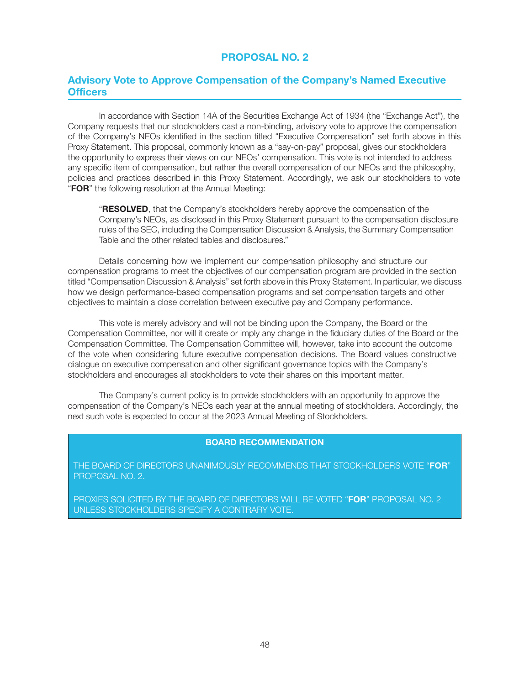# Advisory Vote to Approve Compensation of the Company's Named Executive **Officers**

In accordance with Section 14A of the Securities Exchange Act of 1934 (the "Exchange Act"), the Company requests that our stockholders cast a non-binding, advisory vote to approve the compensation of the Company's NEOs identified in the section titled "Executive Compensation" set forth above in this Proxy Statement. This proposal, commonly known as a "say-on-pay" proposal, gives our stockholders the opportunity to express their views on our NEOs' compensation. This vote is not intended to address any specific item of compensation, but rather the overall compensation of our NEOs and the philosophy, policies and practices described in this Proxy Statement. Accordingly, we ask our stockholders to vote "FOR" the following resolution at the Annual Meeting:

**"RESOLVED**, that the Company's stockholders hereby approve the compensation of the Company's NEOs, as disclosed in this Proxy Statement pursuant to the compensation disclosure rules of the SEC, including the Compensation Discussion & Analysis, the Summary Compensation Table and the other related tables and disclosures."

Details concerning how we implement our compensation philosophy and structure our compensation programs to meet the objectives of our compensation program are provided in the section titled "Compensation Discussion & Analysis" set forth above in this Proxy Statement. In particular, we discuss how we design performance-based compensation programs and set compensation targets and other objectives to maintain a close correlation between executive pay and Company performance.

This vote is merely advisory and will not be binding upon the Company, the Board or the Compensation Committee, nor will it create or imply any change in the fiduciary duties of the Board or the Compensation Committee. The Compensation Committee will, however, take into account the outcome of the vote when considering future executive compensation decisions. The Board values constructive dialogue on executive compensation and other significant governance topics with the Company's stockholders and encourages all stockholders to vote their shares on this important matter.

The Company's current policy is to provide stockholders with an opportunity to approve the compensation of the Company's NEOs each year at the annual meeting of stockholders. Accordingly, the next such vote is expected to occur at the 2023 Annual Meeting of Stockholders.

## BOARD RECOMMENDATION

THE BOARD OF DIRECTORS UNANIMOUSLY RECOMMENDS THAT STOCKHOLDERS VOTE "FOR" PROPOSAL NO. 2.

PROXIES SOLICITED BY THE BOARD OF DIRECTORS WILL BE VOTED "FOR" PROPOSAL NO. 2 UNLESS STOCKHOLDERS SPECIFY A CONTRARY VOTE.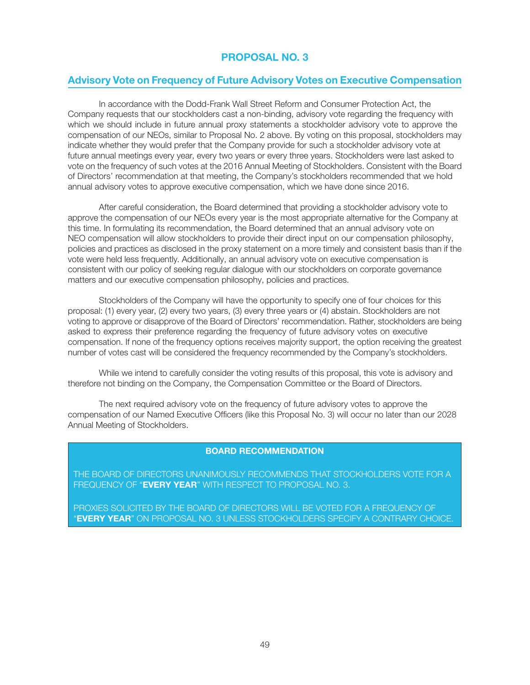## Advisory Vote on Frequency of Future Advisory Votes on Executive Compensation

In accordance with the Dodd-Frank Wall Street Reform and Consumer Protection Act, the Company requests that our stockholders cast a non-binding, advisory vote regarding the frequency with which we should include in future annual proxy statements a stockholder advisory vote to approve the compensation of our NEOs, similar to Proposal No. 2 above. By voting on this proposal, stockholders may indicate whether they would prefer that the Company provide for such a stockholder advisory vote at future annual meetings every year, every two years or every three years. Stockholders were last asked to vote on the frequency of such votes at the 2016 Annual Meeting of Stockholders. Consistent with the Board of Directors' recommendation at that meeting, the Company's stockholders recommended that we hold annual advisory votes to approve executive compensation, which we have done since 2016.

After careful consideration, the Board determined that providing a stockholder advisory vote to approve the compensation of our NEOs every year is the most appropriate alternative for the Company at this time. In formulating its recommendation, the Board determined that an annual advisory vote on NEO compensation will allow stockholders to provide their direct input on our compensation philosophy, policies and practices as disclosed in the proxy statement on a more timely and consistent basis than if the vote were held less frequently. Additionally, an annual advisory vote on executive compensation is consistent with our policy of seeking regular dialogue with our stockholders on corporate governance matters and our executive compensation philosophy, policies and practices.

Stockholders of the Company will have the opportunity to specify one of four choices for this proposal: (1) every year, (2) every two years, (3) every three years or (4) abstain. Stockholders are not voting to approve or disapprove of the Board of Directors' recommendation. Rather, stockholders are being asked to express their preference regarding the frequency of future advisory votes on executive compensation. If none of the frequency options receives majority support, the option receiving the greatest number of votes cast will be considered the frequency recommended by the Company's stockholders.

While we intend to carefully consider the voting results of this proposal, this vote is advisory and therefore not binding on the Company, the Compensation Committee or the Board of Directors.

The next required advisory vote on the frequency of future advisory votes to approve the compensation of our Named Executive Officers (like this Proposal No. 3) will occur no later than our 2028 Annual Meeting of Stockholders.

## BOARD RECOMMENDATION

THE BOARD OF DIRECTORS UNANIMOUSLY RECOMMENDS THAT STOCKHOLDERS VOTE FOR A FREQUENCY OF "EVERY YEAR" WITH RESPECT TO PROPOSAL NO. 3.

PROXIES SOLICITED BY THE BOARD OF DIRECTORS WILL BE VOTED FOR A FREQUENCY OF "EVERY YEAR" ON PROPOSAL NO. 3 UNLESS STOCKHOLDERS SPECIFY A CONTRARY CHOICE.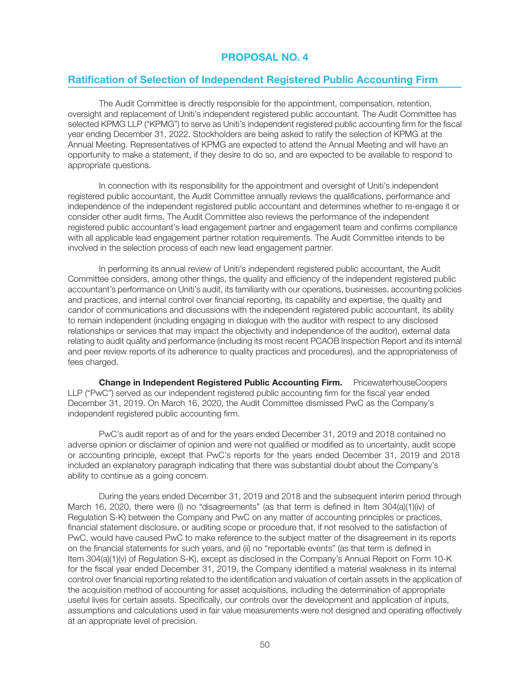## Ratification of Selection of Independent Registered Public Accounting Firm

The Audit Committee is directly responsible for the appointment, compensation, retention, oversight and replacement of Uniti's independent registered public accountant. The Audit Committee has selected KPMG LLP ("KPMG") to serve as Uniti's independent registered public accounting firm for the fiscal year ending December 31, 2022. Stockholders are being asked to ratify the selection of KPMG at the Annual Meeting. Representatives of KPMG are expected to attend the Annual Meeting and will have an opportunity to make a statement, if they desire to do so, and are expected to be available to respond to appropriate questions.

In connection with its responsibility for the appointment and oversight of Uniti's independent registered public accountant, the Audit Committee annually reviews the qualifications, performance and independence of the independent registered public accountant and determines whether to re-engage it or consider other audit firms. The Audit Committee also reviews the performance of the independent registered public accountant's lead engagement partner and engagement team and confirms compliance with all applicable lead engagement partner rotation requirements. The Audit Committee intends to be involved in the selection process of each new lead engagement partner.

In performing its annual review of Uniti's independent registered public accountant, the Audit Committee considers, among other things, the quality and efficiency of the independent registered public accountant's performance on Uniti's audit, its familiarity with our operations, businesses, accounting policies and practices, and internal control over financial reporting, its capability and expertise, the quality and candor of communications and discussions with the independent registered public accountant, its ability to remain independent (including engaging in dialogue with the auditor with respect to any disclosed relationships or services that may impact the objectivity and independence of the auditor), external data relating to audit quality and performance (including its most recent PCAOB Inspection Report and its internal and peer review reports of its adherence to quality practices and procedures), and the appropriateness of fees charged.

**Change in Independent Registered Public Accounting Firm.** PricewaterhouseCoopers LLP ("PwC") served as our independent registered public accounting firm for the fiscal year ended December 31, 2019. On March 16, 2020, the Audit Committee dismissed PwC as the Company's independent registered public accounting firm.

PwC's audit report as of and for the years ended December 31, 2019 and 2018 contained no adverse opinion or disclaimer of opinion and were not qualified or modified as to uncertainty, audit scope or accounting principle, except that PwC's reports for the years ended December 31, 2019 and 2018 included an explanatory paragraph indicating that there was substantial doubt about the Company's ability to continue as a going concern.

During the years ended December 31, 2019 and 2018 and the subsequent interim period through March 16, 2020, there were (i) no "disagreements" (as that term is defined in Item 304(a)(1)(iv) of Regulation S-K) between the Company and PwC on any matter of accounting principles or practices, financial statement disclosure, or auditing scope or procedure that, if not resolved to the satisfaction of PwC, would have caused PwC to make reference to the subject matter of the disagreement in its reports on the financial statements for such years, and (ii) no "reportable events" (as that term is defined in Item 304(a)(1)(v) of Regulation S-K), except as disclosed in the Company's Annual Report on Form 10-K for the fiscal year ended December 31, 2019, the Company identified a material weakness in its internal control over financial reporting related to the identification and valuation of certain assets in the application of the acquisition method of accounting for asset acquisitions, including the determination of appropriate useful lives for certain assets. Specifically, our controls over the development and application of inputs, assumptions and calculations used in fair value measurements were not designed and operating effectively at an appropriate level of precision.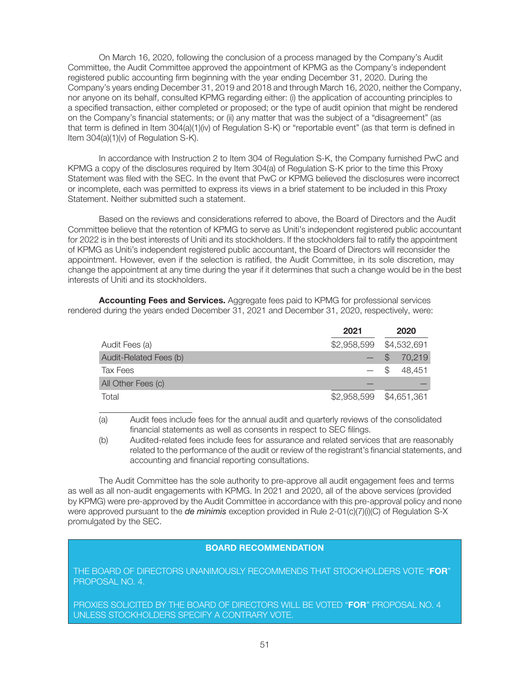On March 16, 2020, following the conclusion of a process managed by the Company's Audit Committee, the Audit Committee approved the appointment of KPMG as the Company's independent registered public accounting firm beginning with the year ending December 31, 2020. During the Company's years ending December 31, 2019 and 2018 and through March 16, 2020, neither the Company, nor anyone on its behalf, consulted KPMG regarding either: (i) the application of accounting principles to a specified transaction, either completed or proposed; or the type of audit opinion that might be rendered on the Company's financial statements; or (ii) any matter that was the subject of a "disagreement" (as that term is defined in Item 304(a)(1)(iv) of Regulation S-K) or "reportable event" (as that term is defined in Item 304(a)(1)(v) of Regulation S-K).

In accordance with Instruction 2 to Item 304 of Regulation S-K, the Company furnished PwC and KPMG a copy of the disclosures required by Item 304(a) of Regulation S-K prior to the time this Proxy Statement was filed with the SEC. In the event that PwC or KPMG believed the disclosures were incorrect or incomplete, each was permitted to express its views in a brief statement to be included in this Proxy Statement. Neither submitted such a statement.

Based on the reviews and considerations referred to above, the Board of Directors and the Audit Committee believe that the retention of KPMG to serve as Uniti's independent registered public accountant for 2022 is in the best interests of Uniti and its stockholders. If the stockholders fail to ratify the appointment of KPMG as Uniti's independent registered public accountant, the Board of Directors will reconsider the appointment. However, even if the selection is ratified, the Audit Committee, in its sole discretion, may change the appointment at any time during the year if it determines that such a change would be in the best interests of Uniti and its stockholders.

Accounting Fees and Services. Aggregate fees paid to KPMG for professional services rendered during the years ended December 31, 2021 and December 31, 2020, respectively, were:

|                        | 2021        |               | 2020        |
|------------------------|-------------|---------------|-------------|
| Audit Fees (a)         |             |               |             |
| Audit-Related Fees (b) |             |               | 70,219      |
| Tax Fees               |             | $\mathcal{S}$ | 48.451      |
| All Other Fees (c)     |             |               |             |
| Total                  | \$2,958,599 |               | \$4,651,361 |

(a) Audit fees include fees for the annual audit and quarterly reviews of the consolidated financial statements as well as consents in respect to SEC filings.

(b) Audited-related fees include fees for assurance and related services that are reasonably related to the performance of the audit or review of the registrant's financial statements, and accounting and financial reporting consultations.

The Audit Committee has the sole authority to pre-approve all audit engagement fees and terms as well as all non-audit engagements with KPMG. In 2021 and 2020, all of the above services (provided by KPMG) were pre-approved by the Audit Committee in accordance with this pre-approval policy and none were approved pursuant to the *de minimis* exception provided in Rule 2-01(c)(7)(i)(C) of Regulation S-X promulgated by the SEC.

## BOARD RECOMMENDATION

THE BOARD OF DIRECTORS UNANIMOUSLY RECOMMENDS THAT STOCKHOLDERS VOTE "FOR" PROPOSAL NO. 4.

PROXIES SOLICITED BY THE BOARD OF DIRECTORS WILL BE VOTED "FOR" PROPOSAL NO. 4 UNLESS STOCKHOLDERS SPECIFY A CONTRARY VOTE.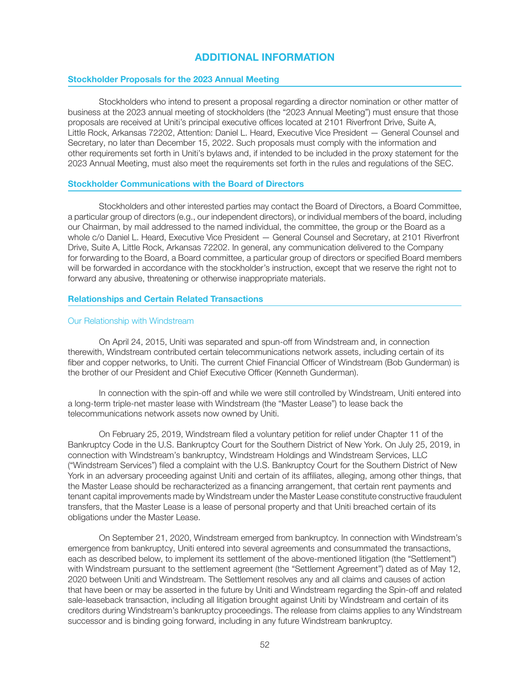# ADDITIONAL INFORMATION

## Stockholder Proposals for the 2023 Annual Meeting

Stockholders who intend to present a proposal regarding a director nomination or other matter of business at the 2023 annual meeting of stockholders (the "2023 Annual Meeting") must ensure that those proposals are received at Uniti's principal executive offices located at 2101 Riverfront Drive, Suite A, Little Rock, Arkansas 72202, Attention: Daniel L. Heard, Executive Vice President — General Counsel and Secretary, no later than December 15, 2022. Such proposals must comply with the information and other requirements set forth in Uniti's bylaws and, if intended to be included in the proxy statement for the 2023 Annual Meeting, must also meet the requirements set forth in the rules and regulations of the SEC.

## Stockholder Communications with the Board of Directors

Stockholders and other interested parties may contact the Board of Directors, a Board Committee, a particular group of directors (e.g., our independent directors), or individual members of the board, including our Chairman, by mail addressed to the named individual, the committee, the group or the Board as a whole c/o Daniel L. Heard, Executive Vice President — General Counsel and Secretary, at 2101 Riverfront Drive, Suite A, Little Rock, Arkansas 72202. In general, any communication delivered to the Company for forwarding to the Board, a Board committee, a particular group of directors or specified Board members will be forwarded in accordance with the stockholder's instruction, except that we reserve the right not to forward any abusive, threatening or otherwise inappropriate materials.

## Relationships and Certain Related Transactions

## Our Relationship with Windstream

On April 24, 2015, Uniti was separated and spun-off from Windstream and, in connection therewith, Windstream contributed certain telecommunications network assets, including certain of its fiber and copper networks, to Uniti. The current Chief Financial Officer of Windstream (Bob Gunderman) is the brother of our President and Chief Executive Officer (Kenneth Gunderman).

In connection with the spin-off and while we were still controlled by Windstream, Uniti entered into a long-term triple-net master lease with Windstream (the "Master Lease") to lease back the telecommunications network assets now owned by Uniti.

On February 25, 2019, Windstream filed a voluntary petition for relief under Chapter 11 of the Bankruptcy Code in the U.S. Bankruptcy Court for the Southern District of New York. On July 25, 2019, in connection with Windstream's bankruptcy, Windstream Holdings and Windstream Services, LLC ("Windstream Services") filed a complaint with the U.S. Bankruptcy Court for the Southern District of New York in an adversary proceeding against Uniti and certain of its affiliates, alleging, among other things, that the Master Lease should be recharacterized as a financing arrangement, that certain rent payments and tenant capital improvements made by Windstream under the Master Lease constitute constructive fraudulent transfers, that the Master Lease is a lease of personal property and that Uniti breached certain of its obligations under the Master Lease.

On September 21, 2020, Windstream emerged from bankruptcy. In connection with Windstream's emergence from bankruptcy, Uniti entered into several agreements and consummated the transactions, each as described below, to implement its settlement of the above-mentioned litigation (the "Settlement") with Windstream pursuant to the settlement agreement (the "Settlement Agreement") dated as of May 12, 2020 between Uniti and Windstream. The Settlement resolves any and all claims and causes of action that have been or may be asserted in the future by Uniti and Windstream regarding the Spin-off and related sale-leaseback transaction, including all litigation brought against Uniti by Windstream and certain of its creditors during Windstream's bankruptcy proceedings. The release from claims applies to any Windstream successor and is binding going forward, including in any future Windstream bankruptcy.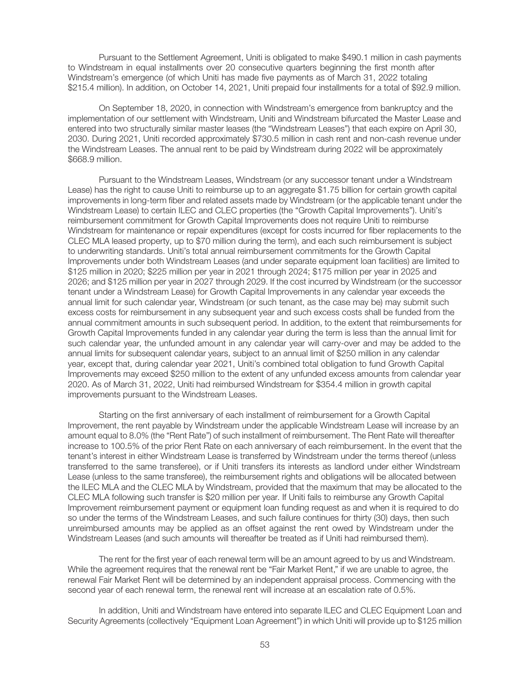Pursuant to the Settlement Agreement, Uniti is obligated to make \$490.1 million in cash payments to Windstream in equal installments over 20 consecutive quarters beginning the first month after Windstream's emergence (of which Uniti has made five payments as of March 31, 2022 totaling \$215.4 million). In addition, on October 14, 2021, Uniti prepaid four installments for a total of \$92.9 million.

On September 18, 2020, in connection with Windstream's emergence from bankruptcy and the implementation of our settlement with Windstream, Uniti and Windstream bifurcated the Master Lease and entered into two structurally similar master leases (the "Windstream Leases") that each expire on April 30, 2030. During 2021, Uniti recorded approximately \$730.5 million in cash rent and non-cash revenue under the Windstream Leases. The annual rent to be paid by Windstream during 2022 will be approximately \$668.9 million.

Pursuant to the Windstream Leases, Windstream (or any successor tenant under a Windstream Lease) has the right to cause Uniti to reimburse up to an aggregate \$1.75 billion for certain growth capital improvements in long-term fiber and related assets made by Windstream (or the applicable tenant under the Windstream Lease) to certain ILEC and CLEC properties (the "Growth Capital Improvements"). Uniti's reimbursement commitment for Growth Capital Improvements does not require Uniti to reimburse Windstream for maintenance or repair expenditures (except for costs incurred for fiber replacements to the CLEC MLA leased property, up to \$70 million during the term), and each such reimbursement is subject to underwriting standards. Uniti's total annual reimbursement commitments for the Growth Capital Improvements under both Windstream Leases (and under separate equipment loan facilities) are limited to \$125 million in 2020; \$225 million per year in 2021 through 2024; \$175 million per year in 2025 and 2026; and \$125 million per year in 2027 through 2029. If the cost incurred by Windstream (or the successor tenant under a Windstream Lease) for Growth Capital Improvements in any calendar year exceeds the annual limit for such calendar year, Windstream (or such tenant, as the case may be) may submit such excess costs for reimbursement in any subsequent year and such excess costs shall be funded from the annual commitment amounts in such subsequent period. In addition, to the extent that reimbursements for Growth Capital Improvements funded in any calendar year during the term is less than the annual limit for such calendar year, the unfunded amount in any calendar year will carry-over and may be added to the annual limits for subsequent calendar years, subject to an annual limit of \$250 million in any calendar year, except that, during calendar year 2021, Uniti's combined total obligation to fund Growth Capital Improvements may exceed \$250 million to the extent of any unfunded excess amounts from calendar year 2020. As of March 31, 2022, Uniti had reimbursed Windstream for \$354.4 million in growth capital improvements pursuant to the Windstream Leases.

Starting on the first anniversary of each installment of reimbursement for a Growth Capital Improvement, the rent payable by Windstream under the applicable Windstream Lease will increase by an amount equal to 8.0% (the "Rent Rate") of such installment of reimbursement. The Rent Rate will thereafter increase to 100.5% of the prior Rent Rate on each anniversary of each reimbursement. In the event that the tenant's interest in either Windstream Lease is transferred by Windstream under the terms thereof (unless transferred to the same transferee), or if Uniti transfers its interests as landlord under either Windstream Lease (unless to the same transferee), the reimbursement rights and obligations will be allocated between the ILEC MLA and the CLEC MLA by Windstream, provided that the maximum that may be allocated to the CLEC MLA following such transfer is \$20 million per year. If Uniti fails to reimburse any Growth Capital Improvement reimbursement payment or equipment loan funding request as and when it is required to do so under the terms of the Windstream Leases, and such failure continues for thirty (30) days, then such unreimbursed amounts may be applied as an offset against the rent owed by Windstream under the Windstream Leases (and such amounts will thereafter be treated as if Uniti had reimbursed them).

The rent for the first year of each renewal term will be an amount agreed to by us and Windstream. While the agreement requires that the renewal rent be "Fair Market Rent," if we are unable to agree, the renewal Fair Market Rent will be determined by an independent appraisal process. Commencing with the second year of each renewal term, the renewal rent will increase at an escalation rate of 0.5%.

In addition, Uniti and Windstream have entered into separate ILEC and CLEC Equipment Loan and Security Agreements (collectively "Equipment Loan Agreement") in which Uniti will provide up to \$125 million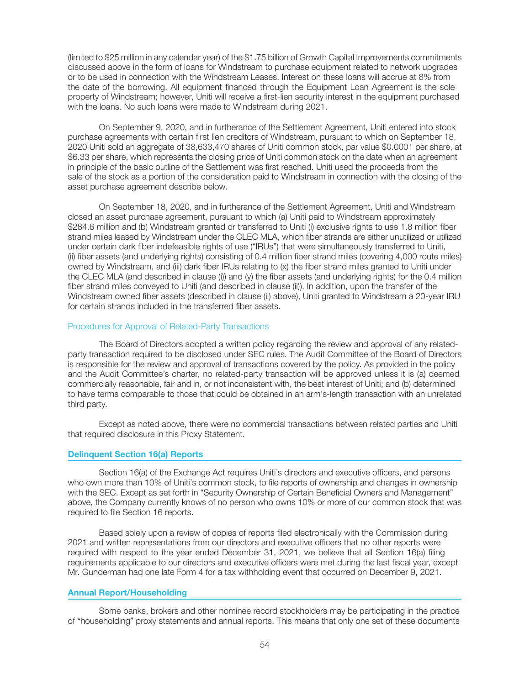(limited to \$25 million in any calendar year) of the \$1.75 billion of Growth Capital Improvements commitments discussed above in the form of loans for Windstream to purchase equipment related to network upgrades or to be used in connection with the Windstream Leases. Interest on these loans will accrue at 8% from the date of the borrowing. All equipment financed through the Equipment Loan Agreement is the sole property of Windstream; however, Uniti will receive a first-lien security interest in the equipment purchased with the loans. No such loans were made to Windstream during 2021.

On September 9, 2020, and in furtherance of the Settlement Agreement, Uniti entered into stock purchase agreements with certain first lien creditors of Windstream, pursuant to which on September 18, 2020 Uniti sold an aggregate of 38,633,470 shares of Uniti common stock, par value \$0.0001 per share, at \$6.33 per share, which represents the closing price of Uniti common stock on the date when an agreement in principle of the basic outline of the Settlement was first reached. Uniti used the proceeds from the sale of the stock as a portion of the consideration paid to Windstream in connection with the closing of the asset purchase agreement describe below.

On September 18, 2020, and in furtherance of the Settlement Agreement, Uniti and Windstream closed an asset purchase agreement, pursuant to which (a) Uniti paid to Windstream approximately \$284.6 million and (b) Windstream granted or transferred to Uniti (i) exclusive rights to use 1.8 million fiber strand miles leased by Windstream under the CLEC MLA, which fiber strands are either unutilized or utilized under certain dark fiber indefeasible rights of use ("IRUs") that were simultaneously transferred to Uniti, (ii) fiber assets (and underlying rights) consisting of 0.4 million fiber strand miles (covering 4,000 route miles) owned by Windstream, and (iii) dark fiber IRUs relating to (x) the fiber strand miles granted to Uniti under the CLEC MLA (and described in clause (i)) and (y) the fiber assets (and underlying rights) for the 0.4 million fiber strand miles conveyed to Uniti (and described in clause (ii)). In addition, upon the transfer of the Windstream owned fiber assets (described in clause (ii) above), Uniti granted to Windstream a 20-year IRU for certain strands included in the transferred fiber assets.

## Procedures for Approval of Related-Party Transactions

The Board of Directors adopted a written policy regarding the review and approval of any relatedparty transaction required to be disclosed under SEC rules. The Audit Committee of the Board of Directors is responsible for the review and approval of transactions covered by the policy. As provided in the policy and the Audit Committee's charter, no related-party transaction will be approved unless it is (a) deemed commercially reasonable, fair and in, or not inconsistent with, the best interest of Uniti; and (b) determined to have terms comparable to those that could be obtained in an arm's-length transaction with an unrelated third party.

Except as noted above, there were no commercial transactions between related parties and Uniti that required disclosure in this Proxy Statement.

## Delinquent Section 16(a) Reports

Section 16(a) of the Exchange Act requires Uniti's directors and executive officers, and persons who own more than 10% of Uniti's common stock, to file reports of ownership and changes in ownership with the SEC. Except as set forth in "Security Ownership of Certain Beneficial Owners and Management" above, the Company currently knows of no person who owns 10% or more of our common stock that was required to file Section 16 reports.

Based solely upon a review of copies of reports filed electronically with the Commission during 2021 and written representations from our directors and executive officers that no other reports were required with respect to the year ended December 31, 2021, we believe that all Section 16(a) filing requirements applicable to our directors and executive officers were met during the last fiscal year, except Mr. Gunderman had one late Form 4 for a tax withholding event that occurred on December 9, 2021.

## Annual Report/Householding

Some banks, brokers and other nominee record stockholders may be participating in the practice of "householding" proxy statements and annual reports. This means that only one set of these documents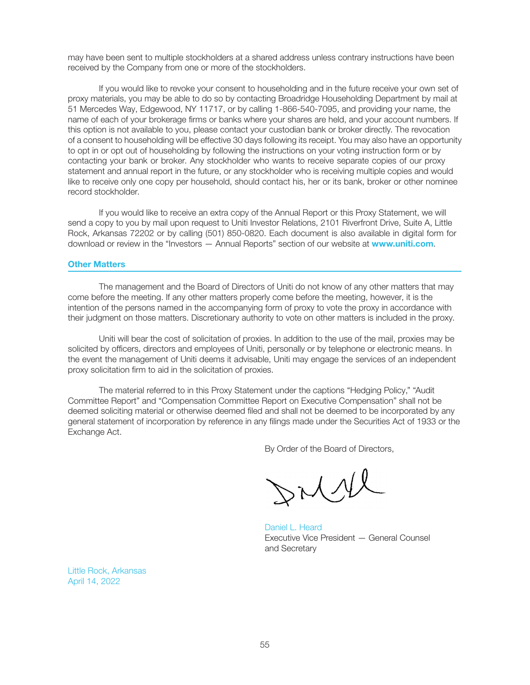may have been sent to multiple stockholders at a shared address unless contrary instructions have been received by the Company from one or more of the stockholders.

If you would like to revoke your consent to householding and in the future receive your own set of proxy materials, you may be able to do so by contacting Broadridge Householding Department by mail at 51 Mercedes Way, Edgewood, NY 11717, or by calling 1-866-540-7095, and providing your name, the name of each of your brokerage firms or banks where your shares are held, and your account numbers. If this option is not available to you, please contact your custodian bank or broker directly. The revocation of a consent to householding will be effective 30 days following its receipt. You may also have an opportunity to opt in or opt out of householding by following the instructions on your voting instruction form or by contacting your bank or broker. Any stockholder who wants to receive separate copies of our proxy statement and annual report in the future, or any stockholder who is receiving multiple copies and would like to receive only one copy per household, should contact his, her or its bank, broker or other nominee record stockholder.

If you would like to receive an extra copy of the Annual Report or this Proxy Statement, we will send a copy to you by mail upon request to Uniti Investor Relations, 2101 Riverfront Drive, Suite A, Little Rock, Arkansas 72202 or by calling (501) 850-0820. Each document is also available in digital form for download or review in the "Investors - Annual Reports" section of our website at www.uniti.com.

## Other Matters

The management and the Board of Directors of Uniti do not know of any other matters that may come before the meeting. If any other matters properly come before the meeting, however, it is the intention of the persons named in the accompanying form of proxy to vote the proxy in accordance with their judgment on those matters. Discretionary authority to vote on other matters is included in the proxy.

Uniti will bear the cost of solicitation of proxies. In addition to the use of the mail, proxies may be solicited by officers, directors and employees of Uniti, personally or by telephone or electronic means. In the event the management of Uniti deems it advisable, Uniti may engage the services of an independent proxy solicitation firm to aid in the solicitation of proxies.

The material referred to in this Proxy Statement under the captions "Hedging Policy," "Audit Committee Report" and "Compensation Committee Report on Executive Compensation" shall not be deemed soliciting material or otherwise deemed filed and shall not be deemed to be incorporated by any general statement of incorporation by reference in any filings made under the Securities Act of 1933 or the Exchange Act.

By Order of the Board of Directors,

rich

Daniel L. Heard Executive Vice President — General Counsel and Secretary

Little Rock, Arkansas April 14, 2022